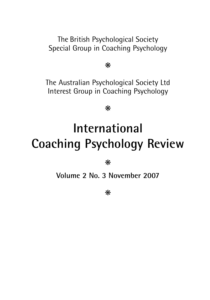## The British Psychological Society Special Group in Coaching Psychology

 $\ast$ 

The Australian Psychological Society Ltd Interest Group in Coaching Psychology

 $\ast$ 

# **International Coaching Psychology Review**

 $\ast$ 

**Volume 2 No. 3 November 2007**

 $\ast$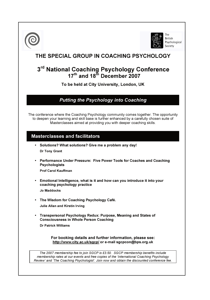



### **THE SPECIAL GROUP IN COACHING PSYCHOLOGY**

### **3rd National Coaching Psychology Conference 17th and 18th December 2007**

**To be held at City University, London, UK** 

## *Putting the Psychology into Coaching*

The conference where the Coaching Psychology community comes together. The opportunity to deepen your learning and skill base is further enhanced by a carefully chosen suite of Masterclasses aimed at providing you with deeper coaching skills.

#### **Masterclasses and facilitators**

- **Solutions? What solutions? Give me a problem any day! Dr Tony Grant**
- **Performance Under Pressure: Five Power Tools for Coaches and Coaching Psychologists**

**Prof Carol Kauffman**

- **Emotional Intelligence, what is it and how can you introduce it into your coaching psychology practice Jo Maddocks**
- **The Wisdom for Coaching Psychology Café. Julie Allan and Kirstin Irving**
- **Transpersonal Psychology Redux: Purpose, Meaning and States of Consciousness in Whole Person Coaching Dr Patrick Williams**

**For booking details and further information, please see: http://www.city.ac.uk/sgcp/ or e-mail sgcpcon@bps.org.uk**

*The 2007 membership fee to join SGCP is £3.50. SGCP membership benefits include membership rates at our events and free copies of the 'International Coaching Psychology Review' and 'The Coaching Psychologist'. Join now and obtain the discounted conference fee.*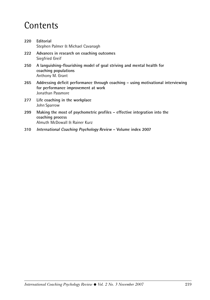## **Contents**

- **220 Editorial** Stephen Palmer & Michael Cavanagh
- **222 Advances in research on coaching outcomes** Siegfried Greif
- **250 A languishing-flourishing model of goal striving and mental health for coaching populations** Anthony M. Grant
- **265 Addressing deficit performance through coaching using motivational interviewing for performance improvement at work** Jonathan Passmore
- **277 Life coaching in the workplace** John Sparrow
- **299 Making the most of psychometric profiles effective integration into the coaching process** Almuth McDowall & Rainer Kurz
- **310 International Coaching Psychology Review Volume index 2007**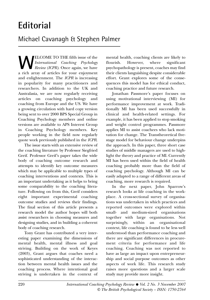## Michael Cavanagh & Stephen Palmer

**W**ELCOME TO THE fifth issue of the *International Coaching Psychology Review (ICPR)*. Once again, we have a rich array of articles for your enjoyment and enlightenment. The *ICPR* is increasing in popularity for many practitioners and researchers. In addition to the UK and Australasia, we are now regularly receiving articles on coaching psychology and coaching from Europe and the US. We have a growing circulation with hard copy version being sent to over 2000 BPS Special Group in Coaching Psychology members and online versions are available to APS Interest Group in Coaching Psychology members. Key people working in the field now regularly quote work previously published in the *ICPR*.

The issue starts with an extensive review of the coaching literature by Professor Siegfried Greif. Professor Greif's paper takes the wide body of coaching outcome research and attempts to identify key outcome measures which may be applicable to multiple types of coaching interventions and contexts. This is an important undertaking as it helps to bring some comparability to the coaching literature. Following on from this, Greif considers eight important experimental coaching outcome studies and reviews their findings. The final section of this article presents a research model the author hopes will both assist researchers in choosing measures and designing studies, and in building a coherent body of coaching research.

Tony Grant has contributed a very interesting paper examining the dimensions of mental health, mental illness and goal striving. Building on the work of Keyes (2003), Grant argues that coaches need a sophisticated understanding of the interaction between mental health issues and the coaching process. Where intentional goal striving is undertaken in the context of mental health, coaching clients are likely to flourish. However, where significant psychopathology is present, coaches may find their clients languishing despite considerable effort. Grant explores some of the consequences this model has for ethical conduct, coaching practice and future research.

Jonathan Passmore's paper focuses on using motivational interviewing (MI) for performance improvement at work. Traditionally MI has been used successfully in clinical and health-related settings. For example, it has been applied to stop smoking and weight control programmes. Passmore applies MI to assist coachees who lack motivation for change. The Transtheoretical fivestage model for behaviour change underpins the approach. In this paper, three short case studies of middle managers are used to highlight the theory and practice of MI. Currently MI has been used within the field of health coaching probably more than the field of coaching psychology. Although MI can be easily adapted to a range of different areas of coaching, more research is required.

In the next paper, John Sparrow's research looks at life coaching in the workplace. A cross-sectional survey of organisations was undertaken in which practices and reported outcomes were explored within small- and medium-sized organisations together with large organisations. Not surprisingly, within an organisational context, life coaching is found to be less well understood than performance coaching and there are significant differences in procurement criteria for performance and life coaching. Coaching was not reported to have as large an impact upon entrepreneurship and social purpose outcomes as other aspects of work life. This research study raises more questions and a larger scale study may provide more insight.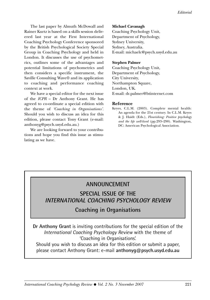The last paper by Almuth McDowall and Rainer Kurtz is based on a skills session delivered last year at the First International Coaching Psychology Conference sponsored by the British Psychological Society Special Group in Coaching Psychology and held in London. It discusses the use of psychometrics, outlines some of the advantages and potential limitations of psychometrics and then considers a specific instrument, the Saville Consulting Wave® and its application to coaching and performance coaching context at work.

We have a special editor for the next issue of the *ICPR* – Dr Anthony Grant. He has agreed to co-ordinate a special edition with the theme of *'Coaching in Organisations'*. Should you wish to discuss an idea for this edition, please contact Tony Grant (e-mail: anthonyg@psych.usyd.edu.au.)

We are looking forward to your contributions and hope you find this issue as stimulating as we have.

#### **Michael Cavanagh**

Coaching Psychology Unit, Department of Psychology, Sydney University, Sydney, Australia. E-mail: michaelc@psych.usyd.edu.au

#### **Stephen Palmer**

Coaching Psychology Unit, Department of Psychology, City University, Northampton Square, London, UK. E-mail: dr.palmer@btinternet.com

#### **Reference**

Keyes, C.L.M. (2003). Complete mental health: An agenda for the 21st century. In C.L.M. Keyes & J. Haidt (Eds.), *Flourishing: Positive psychology and the life well-lived* (pp.293–290). Washington, DC: American Psychological Association.

## **ANNOUNCEMENT**

### **SPECIAL ISSUE OF THE INTERNATIONAL COACHING PSYCHOLOGY REVIEW**

### **Coaching in Organisations**

**Dr Anthony Grant** is inviting contributions for the special edition of the *International Coaching Psychology Review* with the theme of 'Coaching in Organisations'.

Should you wish to discuss an idea for this edition or submit a paper, please contact Anthony Grant: e-mail **anthonyg@psych.usyd.edu.au**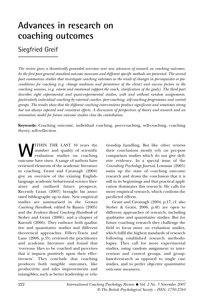## **Advances in research on coaching outcomes**

## Siegfried Greif

*The review gives a theoretically grounded overview over new advances of research on coaching outcomes. In the first part general standard outcome measures and different specific methods are presented. The second part summarises studies that investigate coaching outcomes as the result of changes in pre-requisites or preconditions for coaching (e.g. change readiness and persistence of the client) and success factors in the coaching sessions, (e.g. esteem and emotional support the coach, clarification of the goals). The third part describes eight experimental and quasi-experimental studies, with and without random assignments. particularly individual coaching by external coaches, peer-coaching, self-coaching programmes and control groups. The results show that the different coaching interventions produce significant and sometimes strong but not always expected and consistent effects. A discussion of perspectives of theory and research and an orientation model for future outcome studies close the contribution.* 

**Keywords:** Coaching outcome, individual coaching, peer-coaching, self-coaching, coaching theory, self-reflection.

**WITHIN THE LAST 10 years the**<br>number and quality of scientific<br>outcome have risen A range of authors have number and quality of scientific evaluation studies on coaching outcome have risen. A range of authors have reviewed elements of the academic literature in coaching. Grant and Cavanagh (2004) give an overview of the existing Englishlanguage academic behavioural science literature and outlined future prospects. Recently Grant (2007) brought his annotated bibliography up to date. New empirical studies are summarised in the *German Coaching Handbook*, edited by Rauen (2005) and the *Evidence Based Coaching Handbook* of Stober and Grant (2006), and a chapter of Kuenzli (2006). They embrace both qualitative and quantitative studies and different theoretical approaches. Fillery-Travis and Lane (2006, p.35) reviewed the practitioner and academic literature and found that 'everyone likes to be coached and perceives that it impacts positively upon their effectiveness'. They conclude that coaching produces both tangible outcomes, like productivity and sales improvements and intangibles, such as better leadership or rela-

tionship handling. But like other reviews their conclusions mostly rely on pre-post comparison studies which do not give definite evidence. In a special issue of the *Consulting Psychology Journal*, Lowman (2005) sums up the state of coaching outcome research and draws the conclusion that it is still in its beginnings and that practical application dominates this research. He calls for more empirical research, which confirms the predicted effects.

Grant and Cavanagh (2004, p.17, cf. also Stober & Grant, 2006, p.4f) are open to different approaches of research, including qualitative and quantitative studies. But for future coaching research they challenge the field to focus more on evaluation studies, which fulfil the highest standards of research following established research methodologies. They call for more experimental studies, using random assignment to intervention and control groups, and groupbased-research as opposed to single case studies, and to prefer objective quantitative outcome measures.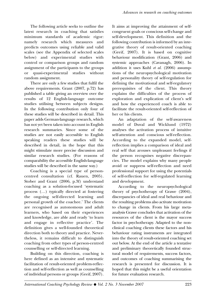The following article seeks to outline the latest research in coaching that satisfies minimum standards of academic rigor: namely research which measures and predicts outcomes using reliable and valid scales (see the Appendix of selected scales below) and experimental studies with control or comparison groups and random assignment of the participants to the groups or quasi-experimental studies without random assignment.

There are only a few studies that fulfil the above requirements. Grant (2007, p.72) has published a table giving an overview over the results of 12 English-language outcome studies utilising between subjects designs. In the following contribution only four of these studies will be described in detail. This paper adds German-language research, which has not yet been taken into account in English research summaries. Since some of the studies are not easily accessible to English speaking readers these studies will be described in detail, in the hope that this might stimulate more precise discussion and similar research studies. (For reasons of comparability the accessible English-language studies will be described in the same way.)

Coaching is a special type of personcentred consultation (cf. Rauen, 2005). Stober and Grant (2006, p.3f) understand coaching as a solution-focused 'systematic process (…) typically directed at fostering the ongoing self-directed learning and personal growth of the coachee.' The clients are recognised as autonomous and adult learners, who based on their experiences and knowledge, are able and ready 'to learn and engage in reflective practice'. The definition gives a well-founded theoretical direction both to theory and practice. Nevertheless, it remains difficult to distinguish coaching from other types of person-centred counselling or self-directed learning.

Building on this direction, coaching is here defined as an intensive and systematic facilitation of result-oriented problem-reflection and self-reflection as well as counselling of individual persons or groups (Greif, 2007). It aims at improving the attainment of selfcongruent goals or conscious self-change and self-development. This definition and the following contribution is informed by an integrative theory of result-oriented coaching (Greif, 2007). It is based on cognitive behaviour modification (Grant, 2006) and systemic approaches (Cavanagh, 2006). In addition it uses Kuhl *et al.* (2006) assumptions of the neuropsychological motivation and personality theory of self-regulation for defining the motivational and self-regulatory prerequisites of the client. This theory explains the difficulties of the process of exploration and explication of client's self and how the experienced coach is able to facilitate the result-oriented self-reflection of her or his clients.

An adaptation of the self-awareness model of Duval and Wicklund (1972) analyses the activation process of intuitive self-attention and conscious self-reflection. According to the expanded model, selfreflection implies a comparison of ideal and real self that arouses unpleasant feelings if the person recognises negative discrepancies. The model explains why many people avoid or suppress self-reflection and need professional support for using the potentials of self-reflection for self-regulated learning and development.

According to the neuropsychological theory of psychotherapy of Grawe (2004), discrepancies of ideal and real behaviour and the resulting problems also activate motivation to change in clients. From his large metaanalysis Grawe concludes that activation of the resources of the client is the mayor success factor in psychotherapy. Adapted to the nonclinical coaching clients these factors and his behaviour rating instruments are integrated into the theory of result-oriented coaching set out below. At the end of the article a tentative and preliminary theoretically founded structural model of requirements, success factors, and outcomes of coaching summarising the research is presented for discussion. It is hoped that this might be a useful orientation for future evaluation research.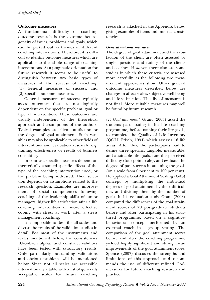#### **Outcome measures**

A fundamental difficulty of coaching outcome research is the extreme heterogeneity of issues, problems and goals, which can be picked out as themes in different coaching interventions. Therefore, it is difficult to identify outcome measures which are applicable to the whole range of coaching interventions. As a pragmatic orientation for future research it seems to be useful to distinguish between two basic types of measures of the success of coaching: (1) General measures of success; and (2) specific outcome measures.

General measures of success typically assess outcomes that are not logically dependent on the specific problem, goal or type of intervention. These outcomes are usually independent of the theoretical approach and assumptions of the authors. Typical examples are client satisfaction or the degree of goal attainment. Such variables may also be applicable to other fields of interventions and evaluation research, e.g. training effectiveness or results of business consulting.

In contrast, specific measures depend on theoretically assumed specific effects of the type of the coaching intervention used, or the problem being addressed. Their selection depends on assumptions related to the research question. Examples are improvement of social competences following coaching of the leadership skills of junior managers, higher life satisfaction after a life coaching intervention or more effective coping with stress at work after a stress management coaching.

It is impossible to describe all scales and discuss the results of the validation studies in detail. For most of the instruments and scales mentioned below, the consistencies (Cronbach alpha) and construct validities have been tested with satisfactory results. Only particularly outstanding validations and obvious problems will be mentioned below. Since not all scales are accessible internationally a table with a list of generally acceptable scales for future coaching research is attached in the Appendix below, giving examples of items and internal consistencies.

#### **General outcome measures**

The degree of goal attainment and the satisfaction of the client are often assessed by single questions and ratings of the clients and coaches. However, there also are some studies in which these criteria are assessed more carefully, as the following two measurement approaches show. Other general outcome measures described below are changes in affect-scales, subjective well-being and life-satisfaction. This list of measures is not final. More suitable measures may well be found by future research.

*(1) Goal attainment:* Grant (2003) asked the students participating in his life coaching programme, before naming their life goals, to complete the Quality of Life Inventory (QOLI, Frisch, 1994) which assesses 16 life areas. After this, the participants had to define three specific, tangible, measurable, and attainable life goals, rate the perceived difficulty (four-point scale), and evaluate the degree of past success in attaining the goals (on a scale from 0 per cent to 100 per cent). He applied a Goal Attainment Scaling (GAS) concept by multiplying the individual degrees of goal attainment by their difficulties, and dividing them by the number of goals. In his evaluation study, Grant (2003) compared the differences of the goal attainment scores of 20 postgraduate students before and after participating in his structured programme, based on a cognitivebehavioural concept performed by an external coach in a group setting. The comparison of the goal attainment scores before and after the coaching programme yielded highly significant and strong mean improvements of the goal attainment score. Spence (2007) discusses the strengths and limitations of this approach and recommends the use of different refined GASmeasures for future coaching research and practice.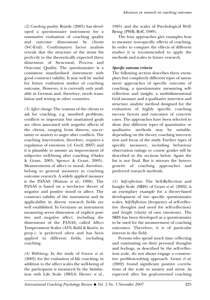*(2) Coaching quality:* Runde (2005) has developed a questionnaire instrument for a summative evaluation of coaching quality and outcome dimensions by clients (S-C-Eval). Confirmatory factor analysis reveals that the structure of the items fits perfectly to the theoretically expected three dimension of Structural, Process and Outcome Quality. The questionnaire is a consistent standardised instrument with good construct validity. It may well be useful for future evaluation studies of coaching outcome. However, it is currently only available in German and, therefore, needs translation and testing in other countries.

*(3) Affect change:* The reasons of the clients to ask for coaching, e.g. unsolved problems, conflicts or important but unattained goals are often associated with negative affects of the clients, ranging from distress, uncertainty or anxiety to anger after conflicts. The coaching intervention, therefore, requires a regulation of emotions (cf. Greif, 2007) and it is plausible to assume an improvement of subjective well-being after coaching (Oades & Grant, 2005; Spence & Grant, 2005). Measurements of affect or mood, therefore, belong to general measures in coaching outcome research. A widely applied measure is the PANAS (Watson *et al.*, 1988). The PANAS is based on a two-factor theory of negative and positive mood or affect. The construct validity of the instrument and its applicability in diverse research fields are well established. In Germany an instrument measuring seven dimension of explicit positive and negative affect, including the dimensions of the PANAS, called Affect Temperament Scales (ATS; Kuhl & Kazén, in prep.), is preferred often and has been applied in different fields, including coaching.

*(4) Well-being:* In the study of Green *et al.* (2005) for the evaluation of life coaching, in addition to the affect scales the well-being of the participants is measured by the Satisfaction with Life Scale (SWLS; Diener *et al.*,

1985) and the scales of Psychological Well-Being (PWB; Ryff, 1989).

The four approaches give examples how to measure non-specific effects of coaching. In order to compare the effects of different studies it is recommended to apply the methods and scales in future research.

#### **Specific outcome criteria**

The following section describes three exemplary but completely different types of assessment approaches of specific outcome of coaching, a questionnaire measuring selfreflection and insight, a multidimensional Grid measure and a qualitative interview and structure analytic method designed for the evaluation of highly specific coaching success factors and outcomes of concrete cases. The approaches have been selected to show that different types of quantitative or qualitative methods may be suitable, depending on the theory, coaching intervention and focus of the study. Further types of specific measures, including behaviour observation ratings or course grades will be described in the sections below. Again the list is not final. But it mirrors the heterogeneity of coaching approaches and preferred research methods.

(1) *Self-reflection:* The Self-Reflection and Insight Scale (SRIS) of Grant *et al.* (2002) is an exemplary example for a theory-based development of two specific questionnaire scales, *Self-Reflection* (frequency of self-reflective thoughts and need for self-reflection) and *Insight* (clarity of own emotions). The SRIS has been developed as a questionnaire to be used for the measurement of coaching outcomes. Therefore, it is of particular interest in the field.

Persons who spend much time reflecting and ruminating on their personal thoughts and feelings, as described by the self-reflection scale, do not always engage a constructive problem-solving approach. Grant *et al.* (2002) found significant positive correlations of the scale to anxiety and stress. As expected after his goal-oriented coaching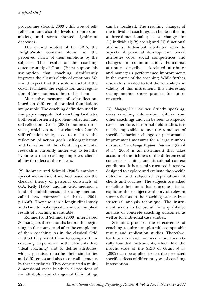programme (Grant, 2003), this type of selfreflection and also the levels of depression, anxiety, and stress showed significant decreases.

The second subtest of the SRIS, the Insight-Scale contains items on the perceived clarity of their emotions by the subjects. The results of the coaching outcome study of Grant (2003) support his assumption that coaching significantly improves the client's clarity of emotions. We would expect that this scale is useful if the coach facilitates the explication and regulation of the emotions of her or his client.

Alternative measures of self-reflection, based on different theoretical foundations are possible. The coaching definition used in this paper suggests that coaching facilitates both result oriented problem- reflection and self-reflection. Greif (2007) outlines three scales, which do not correlate with Grant's self-reflection scale, used to measure the reflection of action goals, self-organisation and behaviour of the client. Experimental research is currently under way to test the hypothesis that coaching improves clients' ability to reflect at these levels.

(2) Rohmert and Schmid (2003) employ a special measurement method based on the classical theory of personal constructs of G.A. Kelly (1955) and his Grid method, a kind of multidimensional scaling method, called *next expertizer*<sup>™</sup> (cf. Kruse, 2004, p.163ff). They use it in a longitudinal study and claim to make specific and even implicit results of coaching measurable.

Rohmert and Schmid (2003) interviewed 30 managers three months before the beginning, in the course, and after the completion of their coaching. As in the classical Grid method they asked them to compare their coaching experience with elements like 'ideal coaching' and to define attributes, which, pairwise, describe their similarities and differences and also to rate all elements by these attributes. They constructed a multidimensional space in which all positions of the attributes and changes of their ratings can be localised. The resulting changes of the individual coachings can be described in a three-dimensional space as changes in: (1) individual; (2) social; and (3) functional attributes. Individual attributes refer to aspects of personal development. Social attributes cover social competences and changes in communication. Functional attributes describe task-related attributes and manager's performance improvements in the course of the coaching. While further research is needed to test the reliability and validity of this instrument, this interesting scaling method shows promise for future research.

(3) *Idiographic measures:* Strictly speaking, every coaching intervention differs from other coachings and can be seen as a special case. Therefore, in normal field studies, it is nearly impossible to use the same set of specific behaviour change or performance improvement measures for a large number of cases. *The Change Explorer Interview* (Greif *et al.*, 2005) is an instrument that takes account of the richness of the differences of concrete coachings and situational context conditions. It is a semi-structured interview designed to explore and evaluate the specific outcome and subjective explanations of clients and coaches. The subjects are asked to define their individual outcome criteria, explicate their subjective theory of relevant success factors in the coaching process by a structural analysis technique. The instrument seems to be useful for a qualitative analysis of concrete coaching outcomes, as well as for individual case studies.

Scientific proof of the effectiveness of coaching requires samples with comparable results and replication studies. Therefore, for future research we need more theoretically founded instruments, which like the insight scale of the SRIS of Grant *et al.* (2002) can be applied to test the predicted specific effects of different types of coaching intervention.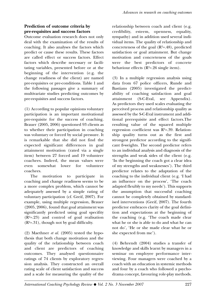#### **Prediction of outcome criteria by pre-requisites and success factors**

Outcome evaluation research does not only deal with the examination of the results of coaching. It also analyses the factors which predict or cause these results. These factors are called effect or success factors. Effect factors which describe necessary or facilitating variables, presented before or at the beginning of the intervention (e.g. the change readiness of the client) are named pre-requisites or pre-conditions. Table 1 and the following passages give a summary of multivariate studies predicting outcomes by pre-requisites and success factors.

(1) According to popular opinions voluntary participation is an important motivational pre-requisite for the success of coaching. Brauer (2005, 2006) questioned 93 clients as to whether their participation in coaching was voluntary or forced by social pressure. It is remarkable that she did not find the expected significant differences in goal attainment motivation (rated via a single item) between 27 forced and 19 volunteer coachees. Indeed, the mean values were even somewhat lower for volunteer coachees.

The motivation to participate in coaching and change readiness seems to be a more complex problem, which cannot be adequately assessed by a simple rating of voluntary participation (cf. Greif, 2007). For example, using multiple regression, Brauer (2005, 2006), found that goal attainment was significantly predicted using goal specifity  $(R<sup>2</sup>=.23)$  and control of goal realisation  $(R<sup>2</sup>=.31)$ , though not by goal difficulty.

(2) Maethner *et al.* (2005) tested the hypothesis that both change motivation and the quality of the relationship between coach and client are predictors of coaching outcomes. They analysed questionnaire ratings of 74 clients by exploratory regression analysis. They constructed an overall rating scale of client satisfaction and success and a scale for measuring the quality of the relationship between coach and client (e.g. credibility, esteem, openness, equality, sympathy) and in addition used several individual items. The quality of relationship and concreteness of the goal  $(R^2=.48)$ , predicted satisfaction or goal attainment. But change motivation and concreteness of the goals were the best predictors of concrete behaviour effects  $(R^2=0.26$  single item).

(3) In a multiple regression analysis using data from 67 police officers, Runde and Bastians (2005) investigated the predictability of coaching satisfaction and goal attainment (S-C-Eval, see Appendix). As predictors they used scales evaluating the perceived process and relationship quality as assessed by the S-C-Eval instrument and additional prerequisite and effect factors.The resulting value of the squared multiple regression coefficient was  $R^2 = .39$ . Relationship quality turns out as the first and strongest predictor according to the significant ß-weights. The second predictor refers to an individual analysis and diagnosis of the strengths and weak sides of the client (e.g. 'In the beginning the coach got a clear idea of my strengths and weaknesses'). The third predictor relates to the adaptation of the coaching to the individual client (e.g. 'I had an influence on the process', 'The coach adapted flexibly to my needs'). This supports the assumption that successful coaching cannot be completely obtained by standardised interventions (Greif, 2007). The fourth predictor embraces clarity of the goal definition and expectations at the beginning of the coaching (e.g. 'The coach made clear what he or she is able to do and what he can not do', 'He or she made clear what he or she expected from me').

(4) Behrendt (2004) studies a transfer of knowledge and skills learnt by managers in a seminar on employee performance interviewing. Four managers were coached by a coach with an education in systemic methods and four by a coach who followed a psychodrama concept, favouring role-play methods.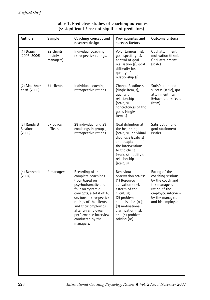| Table 1: Predictive studies of coaching outcomes   |
|----------------------------------------------------|
| (s: significant / ns: not significant predictors). |

| <b>Authors</b>                             | Sample                              | Coaching concept and<br>research design                                                                                                                                                                                                                                                   | Pre-requisites and<br>success factors                                                                                                                                                                                             | Outcome criteria                                                                                                                                       |
|--------------------------------------------|-------------------------------------|-------------------------------------------------------------------------------------------------------------------------------------------------------------------------------------------------------------------------------------------------------------------------------------------|-----------------------------------------------------------------------------------------------------------------------------------------------------------------------------------------------------------------------------------|--------------------------------------------------------------------------------------------------------------------------------------------------------|
| (1) Brauer<br>(2005, 2006)                 | 92 clients<br>(mainly<br>managers). | Individual coaching,<br>retrospective ratings.                                                                                                                                                                                                                                            | Voluntariness (ns),<br>goal specifity (s),<br>control of goal<br>realisation (s), goal<br>difficulty (ns),<br>quality of<br>relationship (s).                                                                                     | Goal attainment<br>motivation (item),<br>Goal attainment<br>(scale).                                                                                   |
| (2) Maethner<br>et al. (2005)              | 74 clients.                         | Individual coaching,<br>retrospective ratings.                                                                                                                                                                                                                                            | Change Readiness<br>(single item, s),<br>quality of<br>relationship<br>$(scale, s)$ ,<br>concreteness of the<br>goals (single<br>item, s).                                                                                        | Satisfaction and<br>success (scale), goal<br>attainment (item),<br><b>Behavioural effects</b><br>(item).                                               |
| $(3)$ Runde &<br><b>Bastians</b><br>(2005) | 57 police<br>officers.              | 28 individual and 29<br>coachings in groups,<br>retrospective ratings.                                                                                                                                                                                                                    | Goal definition at<br>the beginning<br>(scale, s), individual<br>diagnosis (scale, s)<br>and adaptation of<br>the interventions<br>to the client<br>(scale, s), quality of<br>relationship<br>$(scale, s)$ .                      | Satisfaction and<br>goal attainment<br>(scale).                                                                                                        |
| (4) Behrendt<br>(2004)                     | 8 managers.                         | Recording of the<br>complete coachings<br>(four based on<br>psychodramatic and<br>four on systemic<br>concepts, a total of 40<br>sessions), retrospective<br>ratings of the clients<br>and their employees<br>after an employee<br>performance interview<br>conducted by the<br>managers. | <b>Behaviour</b><br>observation scales:<br>(1) Resource<br>activation (incl.<br>esteem of the<br>client, s);<br>(2) problem<br>actualisation (ns);<br>(3) motivational<br>clarification (ns);<br>and (4) problem<br>solving (ns). | Rating of the<br>coaching sessions<br>by the coach and<br>the managers,<br>rating of the<br>employee interview<br>by the managers<br>and his employee. |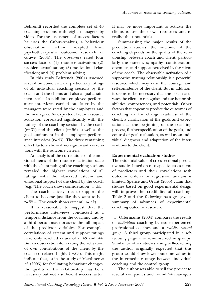Behrendt recorded the complete set of 40 coaching sessions with eight managers by video. For the assessment of success factors he uses the Cubus-Analysis, a behaviour observation method adapted from psychotherapeutic outcome research of Grawe (2004). The observers rated four success factors: (1) resource activation; (2) problem actualisation; (3) motivational clarification; and (4) problem solving.

In this study Behrendt (2004) assessed several outcome criteria, particularly ratings of all individual coaching sessions by the coach and the clients and also a goal attainment scale. In addition, employee performance interviews carried out later by the managers were rated by the employees and the managers. As expected, factor resource activation correlated significantly with the ratings of the coaching sessions by the coach  $(r=.31)$  and the client  $(r=.56)$  as well as the goal attainment in the employee performance interview (r=.43). The three remaining effect factors showed no significant correlations with the outcome criteria.

An analysis of the correlations of the individual items of the resource activation scale with the client rating of the coaching sessions revealed the highest correlations of all ratings with the observed esteem and emotional support of the client by the coach (e.g. 'The coach shows consideration', r=.55,' – 'The coach actively tries to support the client to become just like they want to be',  $r=.55$  – 'The coach shows esteem',  $r=.52$ ).

It is reasonable to suggest that the performance interviews conducted at a temporal distance from the coaching and by a third person may not assess the full impact of the predictor variables. For example, correlations of esteem and support ratings here only reached values of  $r=43$  and  $.44$ . But an observation item rating the activation of own contributions of the client by the coach correlated highly (r=.63). This might indicate that, as in the study of Maethner *et al.* (2005) for facilitating behaviour changes, the quality of the relationship may be a necessary but not a sufficient success factor.

It may be more important to activate the clients to use their own resources and to realise their potentials.

Summarising the major results of the prediction studies, the outcome of the coaching depends on the quality of the relationship between coach and client, particularly the esteem, sympathy, consideration, openness, and support perceived by the client of the coach. The observable activation of a supportive trusting relationship is a powerful resource which may raise the courage and self-confidence of the client. But in addition, it seems to be necessary that the coach activates the client to recognise and use her or his abilities, competences, and potentials. Other factors that appear to predict the outcomes of coaching are the change readiness of the client, a clarification of the goals and expectations at the beginning of the coaching process, further specification of the goals, and control of goal realisation, as well as an individual diagnosis and adaptation of the interventions to the client.

#### **Experimental evaluation studies**

The evidential value of cross sectional predictive studies based on retrospective assessment of predictors and their correlations with outcome criteria or regression analysis is limited. Spence and Grant (2005) claim that studies based on good experimental design will improve the credibility of coaching. Table 2 and the following passages give a summary of advances of experimental coaching outcome research.

(1) Offermanns (2004) compares the results of *individual* coaching by two experienced professional coaches and a *waitlist control group*. A third group participated in a *selfcoaching programme* administered in groups. Similar to other studies using self-coaching the author originally expected that this group would show lower outcome values in the intermediate range between individual coaching and the control group.

The author was able to sell the project to several companies and found 24 managers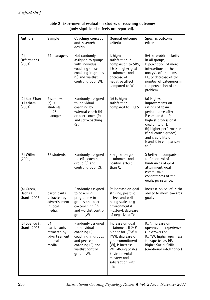| <b>Authors</b>                        | Sample                                                                    | Coaching concept<br>and research<br>design                                                                                                      | General outcome<br>criteria                                                                                                                                                                                       | Specific outcome<br>criteria                                                                                                                                                                                                                       |  |
|---------------------------------------|---------------------------------------------------------------------------|-------------------------------------------------------------------------------------------------------------------------------------------------|-------------------------------------------------------------------------------------------------------------------------------------------------------------------------------------------------------------------|----------------------------------------------------------------------------------------------------------------------------------------------------------------------------------------------------------------------------------------------------|--|
| (1)<br>Offermanns<br>(2004)           | 24 managers.                                                              | Not randomly<br>assigned to groups<br>with individual<br>coaching (I), self-<br>coaching in groups<br>(S) and waitlist<br>control group (W).    | I: higher<br>satisfaction in<br>comparison to S/W,<br>I & S: higher goal<br>attainment and<br>decrease of<br>negative affect<br>compared to W.                                                                    | Better problem clarity<br>in all groups,<br>I: perception of more<br>interactions in the<br>analysis of problems,<br>I & S: decrease of the<br>number of categories in<br>the perception of the<br>problem.                                        |  |
| (2) Sue-Chan<br>& Latham<br>(2004)    | 2 samples:<br>$(a)$ 30<br>students,<br>$(b)$ 23<br>managers.              | Randomly assigned<br>to individual<br>coaching by<br>external coach (E)<br>or peer coach (P)<br>and self-coaching<br>(S).                       | (b) E: higher<br>satisfaction<br>compared to P & S.                                                                                                                                                               | (a) Highest<br>improvements on<br>ratings of team<br>performance after<br>E compared to P,<br>highest professional<br>credibility of E.<br>(b) higher performance<br>(final course grades)<br>and credibility of<br>E and S in comparison<br>to C. |  |
| (3) Willms<br>(2004)                  | 76 students.                                                              | Randomly assigned<br>to self-coaching<br>group (S) and<br>control group (C).                                                                    | S higher on goal<br>attainment and<br>positive affect<br>than C.                                                                                                                                                  | S better in comparison<br>to C: control of<br>hindrances of goal<br>attainment, goal<br>commitment.<br>concreteness of the<br>goals, persistence.                                                                                                  |  |
| (4) Green,<br>Oades &<br>Grant (2005) | 56<br>participants<br>attracted by<br>advertisement<br>in local<br>media. | Randomly assigned<br>to coaching<br>programme in<br>groups and peer<br>co-coaching (P)<br>and waitlist control<br>group (W).                    | P: increase on goal<br>striving, positive<br>affect and well-<br>being scales (e.g.<br>environmental<br>mastery), decrease<br>of negative affect.                                                                 | Increase on belief in the<br>ability to move towards<br>goals.                                                                                                                                                                                     |  |
| (5) Spence &<br>Grant (2005)          | 64<br>participants<br>attracted by<br>advertisement<br>in local<br>media. | Randomly assigned<br>to individual<br>coaching (I),<br>coaching in groups<br>and peer co-<br>coaching (P) and<br>waitlist control<br>group (W). | Increase on goal<br>attainment (I & P,<br>higher for I/PW &<br>P/W), decrease of<br>goal commitment<br>(W), I: increase<br><b>Well-Being Scales</b><br>Environmental<br>mastery and<br>satisfaction with<br>life. | I&P: Increase on<br>openness to experience<br>& extroversion.<br>I&P/W: higher openness<br>to experience, I/P:<br>higher Social Skills<br>(emotional intelligence).                                                                                |  |

#### **Table 2: Experimental evaluation studies of coaching outcomes (only significant effects are reported).**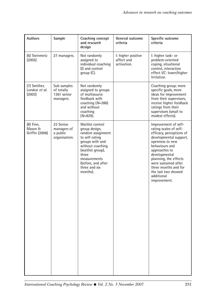| <b>Authors</b>                           | Sample                                                | Coaching concept<br>and research<br>desian                                                                                                                                                                       | General outcome<br>criteria                     | Specific outcome<br>criteria                                                                                                                                                                                                                                                                              |  |
|------------------------------------------|-------------------------------------------------------|------------------------------------------------------------------------------------------------------------------------------------------------------------------------------------------------------------------|-------------------------------------------------|-----------------------------------------------------------------------------------------------------------------------------------------------------------------------------------------------------------------------------------------------------------------------------------------------------------|--|
| (6) Steinmetz<br>(2005)                  | 27 managers.                                          | Not randomly<br>assigned to<br>individual coaching<br>(I) and control<br>group $(C)$ .                                                                                                                           | I: higher positive<br>affect and<br>activation. | I: higher task- or<br>problem-oriented<br>coping, situational<br>control, interaction<br>effect I/C: lower/higher<br>Irritation.                                                                                                                                                                          |  |
| (7) Smither,<br>London et al.<br>(2003)  | Sub samples<br>of totally<br>1361 senior<br>managers. | Not randomly<br>assigned to groups<br>of multisource<br>feedback with<br>coaching $(N=286)$<br>and without<br>coaching<br>$(N=829)$ .                                                                            |                                                 | Coaching group: more<br>specific goals, more<br>ideas for improvement<br>from their supervisors,<br>receive higher feedback<br>ratings from their<br>supervisors (small to<br>modest effects).                                                                                                            |  |
| $(8)$ Finn,<br>Mason &<br>Griffin (2006) | 23 Senior<br>managers of<br>a public<br>organisation. | Waitlist control<br>group design,<br>random assignment<br>to self-rating<br>groups with and<br>without coaching<br>(waitlist group),<br>three<br>measurements<br>(before, and after<br>three and six<br>months). |                                                 | Improvement of self-<br>rating scales of self-<br>efficacy, perceptions of<br>developmental support,<br>openness to new<br>behaviours and<br>approaches to<br>developmental<br>planning, the effects<br>were sustained after<br>three months and for<br>the last two showed<br>additional<br>improvement. |  |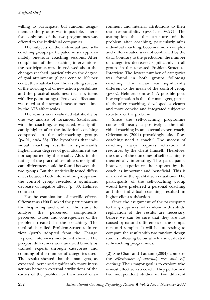willing to participate, but random assignment to the groups was impossible. Therefore, only one of the two programmes was offered to the individual companies.

The subjects of the individual and selfcoaching groups participated in six approximately one-hour coaching sessions. After completion of the coaching interventions, the participants were interviewed about the changes reached, particularly on the degree of goal attainment (0 per cent to 100 per cent), their satisfaction, the resulting success of the working out of new action possibilities and the practical usefulness (each by items with five-point ratings). Perceived affect state was rated at the second measurement time by the ATS affect scales.

The results were evaluated statistically by one way analysis of variances. Satisfaction with the coaching, as expected, was significantly higher after the individual coaching compared to the self-coaching groups ( $p=0.01$ ,  $eta^2=0.36$ ). The hypothesis that individual coaching results in significantly higher mean degrees of goal attainment was not supported by the results. Also, in the ratings of the practical usefulness, no significant differences could be found between the two groups. But the statistically tested differences between both intervention groups and the control group revealed a significant decrease of negative affect (p=.00, Helmert contrast).

For the examination of specific effects, Offermanns (2004) asked the participants at the beginning and end of the study to analyse the perceived components, perceived causes and consequences of the problem treated in the coaching. The method is called Problem-Structure-Interview (partly adopted from the Change Explorer interviews mentioned above). The pre-post differences were analysed blindly by trained experts through categories and counting of the number of categories used. The results showed that the managers, as expected, perceived significantly more interactions between external attributions of the causes of the problem to their social environment and internal attributions to their own responsibility ( $p=.04$ ,  $eta^{2}=.27$ ). The assumption that the structure of the problem after coaching, particularly after individual coaching, becomes more complex and differentiated was not confirmed by the data. Contrary to the prediction, the number of categories decreased significantly in all groups in the repeated Problem-Structure-Interview. The lowest number of categories was found in both groups following coaching. The mean was significantly different to the mean of the control group (p=.02, Helmert contrast). A possible posthoc explanation is that the managers, particularly after coaching, developed a clearer and more concise and integrated subjective structure of the problem.

Since the self-coaching programme comes off nearly as positively as the individual coaching by an external expert coach, Offermanns (2004) provokingly asks: 'Does coaching need a coach?' The success of coaching always requires activation of resources by the client himself. Therefore, the study of the outcomes of self-coaching is theoretically interesting. The participants, however, experience the support by the coach as important and beneficial. This is mirrored in the qualitative evaluations. The participants of the self-coaching group would have preferred a personal coaching and the individual coaching resulted in higher client satisfaction.

Since the assignment of the participants to the groups was not random in this study, replication of the results are necessary, before we can be sure that they are not caused by natural differences of the companies and samples. It will be interesting to compare the results with two random design studies following below which also evaluated self-coaching programmes.

(2) Sue-Chan and Latham (2004) compare the *effectiveness of external, peer and selfcoaching*. Their mayor goal is to explore who is most effective as a coach. They performed two independent studies in two different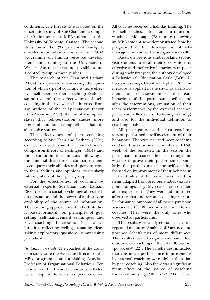continents. The first study was based on the dissertation study of Sue-Chan and a sample of 30 first-semester MBA-students at the University of Toronto, Canada. The second study consisted of 23 experienced managers, enrolled in an advance course in an EMBA programme on human resource development and training at the University of Western Australia. It was not possible to use a control group in these studies.

The research of Sue-Chan and Latham (2004) is exploratory, answering the question of which type of coaching is more effective – self, peer or expert coaching? Evidence supportive of the effectiveness of selfcoaching in their view can be inferred from assumptions of the self-persuasion theory from Aronson (1999). Its central assumption states that self-persuasion causes more powerful and long-lasting effects than do alternative sources.

The effectiveness of peer coaching according to Sue-Chan and Latham (2004) can be derived from the classical social comparison theory of Festinger (1954) and the assumption that humans following a fundamental drive for self-comparison tend to compare their abilities with persons close to their abilities and opinions, particularly with members of their peer group.

For the effectiveness of coaching by external experts Sue-Chan and Latham (2004) refer to social psychological research on persuasion and the power of authority or credibility of the source of information. The coaching approach used in both studies is based primarily on principles of goal setting, self-management techniques and key coaching behaviours (e.g. active listening, reflecting feelings, restating ideas, asking exploratory questions, summarising periodically).

*(a) Canadian study:* The coaches of the Canadian study were the Associate Director of the MBA programme and a visiting Associate Professor of Organisational Behaviour. Ten members of the first-year class were selected by a recipient to serve as peer coaches.

All coaches received a half-day training. The 10 self-coaches, after an introduction, watched a videotape (28 minutes) showing an MBA-student who demonstrated how he progressed in the development of selfmanagement and verbal self-guidance skills.

Based on previous studies asking second year students to recall their observations of effective and ineffective behaviours of peers during their first year, the authors developed a Behavioural Observation Scale (BOS, 14 five-point ratings, Cronbach alpha=.73). This measure is applied in the study as an instrument for self-assessment of the team behaviour of the participants before and after the interventions, evaluation of their team performance by the external coaches, peers and self-coaches (following training) and also for the individual definition of coaching goals.

All participants in the first coaching session performed a self-assessment of their behaviour. The external and peer coaching contained two sessions in the fifth and 13th week of the semester. In the session the participants discussed their self-ratings and ways to improve their performance. Similarly, the participants of the self-coaching focused on improvement of their behaviour.

Credibility of the coach was rated by items adapted from previous studies (six fivepoint ratings, e.g. 'My coach has considerable expertise.'). They were administered after the first and second coaching session. Performance outcome of all participants was assessed by the BOS-Scores of the external coaches. They were the only ones who observed all participants.

The results were analysed statistically by a repeated-measures Analysis of Variance and post-hoc Scheffé-tests of mean differences. The results revealed a significant main effect of source of coaching on the total BOS-Score ( $p$ <.05, eta $2$ =.22). The Scheffé-Test indicated that the mean performance improvements by external coaching were higher than that by peer coaching. Also there was a significant main effect of the source of coaching for credibility  $(p<.05, \text{eta}^2=.31)$ . Here,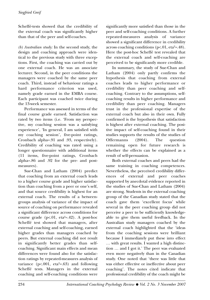Scheffé-tests showed that the credibility of the external coach was significantly higher than that of the peer and self-coaches.

*(b) Australian study:* In the second study, the design and coaching approach were identical to the previous study with three exceptions. First, the coaching was carried out by one external coach. He was an associate lecturer. Second, in the peer conditions the managers were coached by the same peer coach. Third, instead of behaviour ratings a hard performance criterion was used, namely grade earned in the EMBA course. Each participant was coached twice during the 13-week semester.

Performance was assessed in terms of the final course grade earned. Satisfaction was rated by two items (i.e. 'From my perspective, my coaching session was a satisfying experience', 'In general, I am satisfied with my coaching session', five-point ratings, Cronbach alpha=.91 and .93, respectively). Credibility of coaching was rated using a longer questionnaire with additional items (11 items, five-point ratings, Cronbach alpha=.86 and .92 for the pre- and postmeasures).

Sue-Chan and Latham (2004) predict that coaching from an external coach leads to a higher course grade and higher satisfaction than coaching from a peer or one's self, and that source credibility is highest for an external coach. The results of a betweengroups analysis of variance of the impact of source of coaching on performance revealed a significant difference across conditions for course grade  $(p<.01, eta^2=.42)$ . A post-hoc Scheffé test showed that managers, after external coaching and self-coaching, earned higher grades than managers coached by peers. But external coaching did not result in significantly better grades than selfcoaching. Significant main effects and mean differences were found also for the satisfaction ratings by repeated-measures analysis of variance ( $p<.001$ , eta<sup>2</sup>=.63) and following Scheffé tests. Managers in the external coaching and self-coaching conditions were significantly more satisfied than those in the peer and self-coaching conditions. A further repeated-measures analysis of variance showed a significant difference in credibility across coaching conditions  $(p<.01, eta^2=.48)$ . Here the post-hoc Scheffé test revealed that the external coach and self-coaching are perceived to be significantly more credible.

In summary, the study of Sue-Chan and Latham (2004) only partly confirms the hypothesis that coaching from external coaches leads to higher performance or credibility than peer coaching and selfcoaching. Contrary to the assumptions, selfcoaching results in higher performance and credibility than peer coaching. Managers trust in the professional expertise of the external coach but also in their own. Fully confirmed is the hypothesis that satisfaction is highest after external coaching. The positive impact of self-coaching found in their studies supports the results of the studies of Offermanns (2004). The question remaining open for future research is whether the effects can be explained as a result of self-persuasion.

Both external coaches and peers had the same training in coaching competences. Nevertheless, the perceived credibility differences of external and peer coaches supported by anecdotal evidence reported in the studies of Sue-Chan and Latham (2004) are strong. Students in the external coaching group of the Canadian study stated that the coach gave them 'excellent focus' while several in the peer coaching group did not perceive a peer to be sufficiently knowledgeable to give them useful feedback. In the Australian study managers coached by the external coach highlighted that the 'ideas from the coaching sessions were brilliant because I immediately put these into effect … with great results. I wanted a high distinction … and I got it.' The peer was evaluated even more negatively than in the Canadian study. One noted that 'there was little that was either effective or ineffective about peer coaching'. The notes cited indicate that professional credibility of the coach might be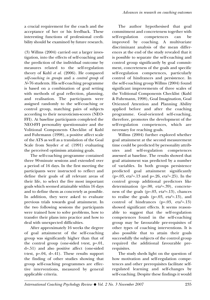a crucial requirement for the coach and the acceptance of her or his feedback. These interesting functions of professional credibility should be examined by future research.

(3) Willms (2004) carried out a larger investigation, into the effects of self-coaching and the prediction of the individual outcome by measures related to the self-regulation theory of Kuhl *et al.* (2006). He compared *self-coaching in groups* and a *control group* of *N*=76 students. His self-coaching programme is based on a combination of goal setting with methods of goal reflection, planning, and realisation. The participants were assigned randomly to the self-coaching or control group, matching pairs of subjects according to their neuroticism-scores (NEO-FFI). At baseline participants completed the NEO-FFI personality questionnaire and the Volitional Components Checklist of Kuhl and Fuhrmann (1998), a positive affect scale of the ATS as well as a translation of the Goal Scale from Snyder *et al.* (1991) evaluating the perceived optimism attaining goals.

The self-coaching programme contained three 90-minute sessions and extended over a period of 16 days. In the first meeting the participants were instructed to reflect and define their goals of all relevant areas of their life, to select the five most important goals which seemed attainable within 16 days and to define them as concretely as possible. In addition, they were asked to evaluate previous trials towards goal attainment. In the two following sessions the participants were trained how to solve problems, how to transfer their plans into practice and how to deal with unexpected difficulties.

After approximately 16 weeks the degree of goal attainment of the self-coaching group was significantly higher than that of the control group (one-sided t-test, p=.01, d=.51) and also positive affect (one-sided t-test, p=.04, d=.41). These results support the finding of other studies showing that group self-coaching programmes are effective interventions, measured by general applicable criteria.

The author hypothesised that goal commitment and concreteness together with self-regulation competences can be improved by coaching. A multivariate discriminant analysis of the mean differences at the end of the study revealed that it is possible to separate the self-coaching and control group significantly by goal commitment, concreteness of the goals and specific self-regulation competences, particularly control of hindrances and persistence. In the self-coaching group Willms (2004) found significant improvements of three scales of the Volitional Components Checklist (Kuhl & Fuhrmann, 1998), Goal Imagination, Goal Oriented Attention and Planning Ability applied before and after the coaching programme. Goal-oriented self-coaching, therefore, promotes the development of the self-regulation competences, which are necessary for reaching goals.

Willms (2004) further explored whether goal attainment at the second measurement time could be predicted by personality attributes and self-regulation competences assessed at baseline. The results showed that goal attainment was predicted by a number of variables. In both groups persistence predicted goal attainment significantly (p=.03, eta<sup>2</sup>=.13 and p=.26, eta<sup>2</sup>=.25). In the control group additional predictors like determination ( $p=.00$ ,  $eta^2=.39$ ), concreteness of the goals ( $p=.03$ , eta $2=.13$ ), chances to realise the goals ( $p=.03$ ,  $eta^2=.13$ ), and control of hindrances ( $p=.03$ ,  $eta^2=.13$ ) showed significant effects. It seems reasonable to suggest that the self-regulation competences found in the self-coaching group may be favourable pre-requisites of other types of coaching interventions. It is also possible that to attain their goals successfully the subjects of the control group required the additional favourable prerequisites.

The study sheds light on the question of how motivation and self-regulation competences and other prerequisites facilitate selfregulated learning and self-changes by self-coaching. Despite these findings it would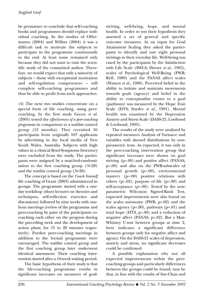be premature to conclude that self-coaching books and programmes should replace individual coaching. In the studies of Offermanns (2004) and Willms (2004) it was a difficult task to motivate the subjects to participate in the programme continuously to the end. At least some remained only because they did not want to ruin the scientific study of the committed author. Therefore, we would expect that only a minority of subjects – those with exceptional motivation and self-regulation competences – will complete self-coaching programmes and thus be able to profit from such approaches.

(4) The next two studies concentrate on a special form of life coaching, using peercoaching. In the first study Green *et al.* (2005) tested the *effectiveness of a peer-coaching programme* in comparison to a waitlist control group (12 months). They recruited 56 participants from originally 107 applicants by advertising in the local media of New South Wales, Australia. Subjects with high values in a clinical Brief-Symptoms Inventory were excluded from the study. The participants were assigned by a matched-randomisation to the first coaching group (*N*=28) and the waitlist control group (*N*=28).

The concept is based on the *Coach Yourself* life coaching of Grant (2003) administered in groups. The programme started with a oneday workshop (short lectures on theories and techniques, self-reflection exercises and discussions) followed by nine weeks with onehour meetings (review of the programme and peer-coaching by pairs of the participants cocoaching each other on the progress during the preceding week and the development of action plans, for 15 to 20 minutes respectively). Further peer-coaching meetings in addition to the formal programme were encouraged. The waitlist control group and the first coaching group later underwent identical assessment. Their coaching intervention started after a 10-week waiting period.

The basic hypothesis of their study is that the life-coaching programme results in significant increases on measures of goalstriving, well-being, hope, and mental health. In order to test their hypothesis they assessed a set of general and specific outcome measures. As an input for Goal Attainment Scaling they asked the participants to identify and rate eight personal strivings in their everyday life. Well-being was rated by the participants by the Satisfaction with Life Scale (SWLS; Diener *et al.*, 1985), scales of Psychological Well-Being (PWB; Ryff, 1989) and the PANAS affect scales (Watson *et al.*, 1988). Perceived belief in the ability to initiate and maintain movements towards goals (agency) and belief in the ability to conceptualise routes to a goal (pathways) was measured by the Hope Trait Scale (HTS; Snyder *et al.*, 1991). Mental health was examined by the Depression Anxiety and Stress Scale (DASS-21; Lovibond & Lovibond, 1995).

The results of the study were analysed by repeated measures Analysis of Variance and variables with skewed distributions by nonparametric tests. As expected, it was only in the peer-coaching intervention group that significant increases were shown on goal striving (p=.00) and positive affect (PANAS, p=.00) and also on the PWB-subscales of personal growth (p=.00), environmental mastery (p=.00) positive relations with others  $(p=.02)$ , purpose of life  $(p=.00)$  and self-acceptance (p=.00). Tested by the nonparametric Wilcoxon Signed-Rank Test, expected improvements were also found on the scales autonomy (PWB, p=.02) and the scales agency  $(p=.00)$ , pathways  $(p=.01)$  and total hope (HTS, p=.00) and a reduction of negative affect (PANAS, p=.02). But a Man-Whitney U-test between groups at time 2, here indicates a significant difference between groups only for negative affect and agency. On the DASS-21 scales of depression, anxiety and stress, no significant decreases could be confirmed.

A possible explanation why not all expected improvements within the peercoaching-groups and particularly differences between the groups could be found, may be that, in line with the results of Sue-Chan and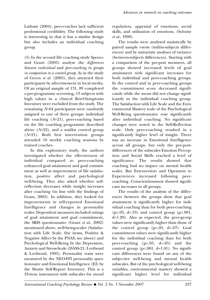Latham (2004), peer-coaches lack sufficient professional credibility. The following study is interesting in that it has a similar design but also includes an individual coaching group.

(5) In the second life coaching study Spence and Grant (2005) analyse the *differences between individual* and *peer-coaching in groups in comparison to a control group*. As in the study of Green *et al.* (2005), they attracted their participants by advertisement in local media. Of an original sample of 131, 89 completed a pre-programme screening, 13 subjects with high values in a clinical Brief-Symptoms Inventory were excluded from the study. The remaining *N*=64 participants were randomly assigned to one of three groups: individual life coaching (*N*=21), peer-coaching based on the life coaching programme described above (*N*=22), and a waitlist control group (*N*=21). Both first intervention groups attended 10 weekly coaching sessions by trained coaches.

In this exploratory study, the authors investigated whether the effectiveness of individual compared to peer-coaching enhanced goal attainment and goal commitment as well as improvement of life satisfaction, positive affect and psychological well-being. They also asked whether selfreflection decreases while insight increases after coaching (in line with the findings of Grant, 2003). In addition, they looked for improvements in self-reported Emotional Intelligence and changes in personality scales. Dependent measures included ratings of goal attainment and goal commitment, the SRIS questionnaire (Grant *et al.*, 2002) mentioned above, well-being-scales (Satisfaction with Life Scale, five items, Positive & Negative Affect by the PNAS, see above) and Psychological Well-Being by the Depression, Anxiety and Stress-Scale (DASS-21; Lovibond & Lovibond, 1995). Personality traits were measured by the NEO-FFI personality questionnaire and Emotional Intelligence (EI) by the Shutte Self-Report Inventory. This is a 33-item instrument with subscales for mood regulation, appraisal of emotions, social skills, and utilisation of emotions, (Schutte *et al.*, 1998).

The results were analysed statistically by paired sample t-tests (within-subjects differences) and by univariate analyses of variance (between-subjects differences). Starting with a comparison of the pre-post measures, all groups showed increased levels of goal attainment with significant increases for both individual and peer-coaching groups. In the control and in peer-coaching groups the commitment score decreased significantly while the mean did not change significantly in the individual coaching group. The Satisfaction with Life Scale and the Environmental Mastery scale of the Psychological Well-Being questionnaire rose significantly after individual coaching. No significant changes were noted in the Self-Reflection scale. Only peer-coaching resulted in a significantly higher level of insight. There was an increase in Emotional Intelligence across all groups, but only the pre-postdifferences of the subscales Emotion Perception and Social Skills reached a level of significance. The results showed that coaching had no impact on mental health scales. But Extroversion and Openness to Experiences increased following peercoaching. Conscientiousness showed significant increases in all groups.

The results of the analysis of the differences between the groups show that goal attainment is significantly higher for individual coaching than for both peer-coaching  $(p<.05, d=.53)$  and control group  $(p<.001,$ d=1.29). Also as expected, the peer-group values were significantly higher than those of the control group  $(p<.05, d=.67)$ . Goal commitment values were significantly higher for the individual coaching than for both peer-coaching  $(p<.05, d=.65)$  and the control group (p<.001, d=1.01). No significant differences were found on any of the subjective well-being and mental health subscales. But of the psychological well-being variables, environmental mastery showed a significant higher level for individual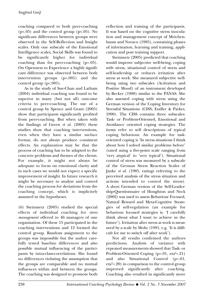coaching compared to both peer-coaching  $(p<.05)$  and the control group  $(p<.05)$ . No significant differences between groups were observed in the Self-Reflection and Insight scales. Only one subscale of the Emotional Intelligence scales, Social Skills was found to be significantly higher for individual coaching than for peer-coaching (p=.05). On Openness to Experience a highly significant difference was observed between both intervention groups (p<.001) and the control group (p<.001).

As in the study of Sue-Chan and Latham (2004) individual coaching was found to be superior in many (but not all) outcome criteria to peer-coaching. The use of a control group by Spence and Grant (2005) show that participants significantly profited from peer-coaching. But when taken with the findings of Green *et al.* (2005) these studies show that coaching interventions, even when they have a similar surface format, do not always produce consistent effects. An explanation may be that the process of coaching has to be adapted to the concrete problems and themes of the clients. For example, it might not always be adequate to focus on emotional clarity and in such cases we would not expect a specific improvement of insight. In future research it might be necessary to analyse and control the coaching process for deviations from the coaching concept, which is implicitely assumed in the hypotheses.

(6) Steinmetz (2005) studied the special effects of individual coaching for *stress management* offered to 46 managers of one organisation. Of these 15 participated in the coaching interventions and 12 formed the control group. Random assignment to the groups was impossible but the author carefully tested baseline differences and also possible mutual influencing of the participants by intra-class-correlations. She found no differences violating the assumption that the groups are comparable and no mutual influences within and between the groups. The coaching was designed to promote both reflection and training of the participants. It was based on the cognitive stress inoculation and management concept of Meichenbaum and Novaco (1985), containing phases of information, learning and training, application and post training support.

Steinmetz (2005) predicted that coaching would improve subjective well-being, coping with stress, situational control of stress and self-leadership or reduces irritation after stress at work. She measured subjective wellbeing using two subscales (Activation and Positive Mood) of an instrument developed by Becker (1988) similar to the PANAS. She also assessed coping with stress using the German version of the Coping Inventory for Stressful Situations (CISS; Endler & Parker, 1990). The CISS contains three subscales: Task- or Problem-Oriented, Emotional and Avoidance oriented coping strategies. The items refer to self descriptions of typical coping behaviour. An example for taskoriented coping is 'In stress situations I think about how I solved similar problems before' (rated using a five-point scale ranging from 'very atypical' to 'very typical'). Situational control of stress was measured by a subscale of the German Stress Reaction Scales of Janke *et al.* (1985, ratings referring to the perceived analysis of the stress situation and actions intended to control the stress). A short German version of the Self-Leadership-Questionnaire of Houghton and Neck (2002) was used to assess Behaviour Focused, Natural Reward and Meta-Cognitive Strategies of self-regulation (an example for behaviour focused strategies is: 'I carefully think about what I want to achieve in the future'). Irritation after stress at work is measured by a scale by Mohr (1991, e.g. 'It is difficult for me to switch off after work').

Not all results confirmed the authors predictions. Analysis of variance with repeated measurements showed that Task- or Problem-Oriented Coping  $(p=0.01, eta^2=0.21)$ and also Situational Control (p=.01,  $eta^2$ =.20) in comparison to the control group improved significantly after coaching. Coaching also resulted in significantly more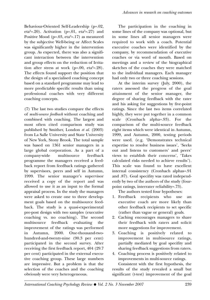Behaviour-Oriented Self-Leadership (p=.02, eta<sup>2</sup>=.20). Activation (p=.01, eta<sup>2</sup>=.27) and Positive Mood (p=.03, eta $2$ =.17) as measured by the subjective Well-being or Affect Scales was significantly higher in the intervention group. As expected, there was also a significant interaction between the intervention and group effects on the reduction of Irritation after stress at work ( $p=.00$ ,  $eta^2=.28$ ). The effects found support the position that the design of a specialised coaching concept based on a standard programme may lead to more predictable specific results than using professional coaches with very different coaching concepts.

(7) The last two studies compare the effects of *multi-source feedback* without coaching and combined with coaching. The largest and most often cited comparison study was published by Smither, London *et al.* (2003) from La Salle University and State University of New York, Stony Brook. The total sample was based on 1361 senior managers in a large global corporation. As a part of a company-wide multisource feedback programme the managers received a feedback report from feedback ratings gathered by supervisors, peers and self in Autumn, 1999. The senior manager's supervisor received a copy of the report and was allowed to use it as an input to the formal appraisal process. In the study the managers were asked to create one to three development goals based on the multisource feedback. The study is a quasi-experimental pre-post design with two samples (executive coaching vs. no coaching). The second multisource feedback evaluating the improvement of the ratings was performed in Autumn, 2000. One-thousand-twohundred-and-twenty-nine (90.3 per cent) participated in the second survey. After receiving the first feedback report, 404 (29.7 per cent) participated in the external executive coaching group. These large numbers are impressive. But a problem is that the selection of the coaches and the coaching obviously were very heterogeneous.

The participation in the coaching in some lines of the company was optional, but in some lines all senior managers were required to work with a coach. Potential executive coaches were identified by the company, by recommendation of executive coaches or via word of mouth. Based on meetings and a review of the biographical sketches of the coaches they were matched to the individual managers. Each manager had only two or three coaching sessions.

At the interim survey (July, 2000), the raters assessed the progress of the goal attainment of the senior manager, the degree of sharing feedback with the rater and his asking for suggestions by five-point ratings. Since the last two items correlated highly, they were put together in a common scale (Cronbach alpha=.93). For the comparison of the multi-source feedback eight items which were identical in Autumn, 1999, and Autumn, 2000, testing periods were used. (e.g. 'Demonstrates technical expertise to resolve business issues', 'Seeks out and listens to customers' and peers' views to establish their concerns', 'Takes calculated risks needed to achieve results'). This scale was found to have excellent internal consistency (Cronbach alphas=.91 and .87). Goal specifity was rated independently by two of the authors of the study (fourpoint ratings, interrater reliability=.73).

The authors tested four hypotheses:

- 1. Feedback recipients who use an executive coach are more likely than other feedback recipients to set specific (rather than vague or general) goals.
- 2. Caching encourages managers to share their feedback with raters and solicit more suggestions for improvement.
- 3. Coaching is positively related to improvement in multisource ratings, partially mediated by goal specifity and sharing feedback suggestions from raters.
- 4. Coaching process is positively related to improvements in multi-source ratings.

Consistent with the first hypothesis, the results of the study revealed a small but significant (t-test) improvement of the goal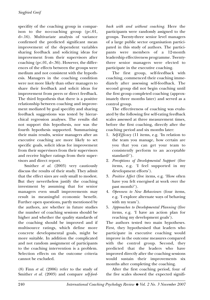specifity of the coaching group in comparison to the no-coaching group (p<.01, d=.16). Multivariate analysis of variance confirmed the predicted significant mean improvement of the dependent variables sharing feedback and soliciting ideas for improvement from their supervisors after coaching  $(p<.01, d=.36)$ . However, the differences of the effects between the groups were medium and not consistent with the hypothesis. Managers in the coaching condition were not more likely than other managers to share their feedback and solicit ideas for improvement from peers or direct feedback. The third hypothesis that there is a positive relationship between coaching and improvement mediated by goal specifity and sharing feedback suggestions was tested by hierarchical regression analyses. The results did not support this hypothesis, nor was the fourth hypothesis supported. Summarising their main results, senior managers after an executive coaching are more likely to set specific goals, solicit ideas for improvement from their supervisors from their supervisors and receive higher ratings from their supervisors and direct report.

Smither *et al.* (2003) very cautiously discuss the results of their study. They admit that the effect sizes are only small to modest. But they nevertheless justify the coaching investment by assuming that for senior managers even small improvements may result in meaningful economic benefit. Further open questions, partly mentioned by the authors, are whether in future studies the number of coaching sessions should be higher and whether the quality standards of the coaching should be improved and if multisource ratings, which define more concrete developmental goals, might be more suitable. In addition the complicated and not random assignment of participants to the coaching intervention is a problem. Selection effects on the outcome criteria cannot be excluded.

(8) Finn *et al.* (2006) refer to the study of Smither *et al.* (2003) and compare *self-feed-* *back with and without coaching*. Here the participants were randomly assigned to the groups. Twenty-three senior level managers of a large public sector organisation participated in this study of authors. The participants were members of a 12-month leadership effectiveness programme. Twentythree senior managers were elected to participate in the executive coaching.

The first group, self-feedback with coaching, commenced their coaching immediately after assessing self-feedback. The second group did not begin coaching until the first group completed coaching (approximately three months later) and served as a control group.

The effectiveness of coaching was evaluated by the following five self-rating feedback scales assessed at three measurement times, before the first coaching, directly after the coaching period and six months later:

- 1. *Self-Efficacy* (11 items, e.g. 'In relation to the team you manage, how certain are you that you can get your team to consistently perform to an acceptable standard?').
- 2. *Perceptions of Developmental Support* (five items, e.g. 'I feel supported in my development efforts').
- 3. *Positive Affect* (five items, e.g. 'How often have you felt energised at work over the past month?').
- 4. *Openness to New Behaviours* (four items, e.g. 'I explore alternate ways of behaving with my team').
- 5. *Approaches to Developmental Planning* (five items, e.g. 'I have an action plan for reaching my development goals').

The authors tested two main hypotheses. First, they hypothesised that leaders who participate in executive coaching would improve in the outcome measures compared with the control group. Second, they predicted that the leaders who have improved directly after the coaching sessions would sustain their improvements six months after completing the coaching.

After the first coaching period, four of the five scales showed the expected signifi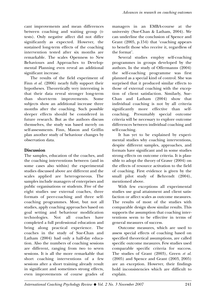cant improvements and mean differences between coaching and waiting group (ttests). Only negative affect did not differ significantly as expected. However, the sustained long-term effects of the coaching intervention tested after six months are remarkable. The scales Openness to New Behaviours and Approaches to Developmental Planning even reveal an additional significant increase.

The results of the field experiment of Finn *et al.* (2006) nearly fully support their hypotheses. Theoretically very interesting is that their data reveal stronger long-term than short-term improvements. Some subjects show an additional increase three months after the coaching. Such possible sleeper effects should be considered in future research. But as the authors discuss themselves, the study was based merely on self-assessments. Finn, Mason and Griffin plan another study of behaviour changes by observation data.

#### **Discussion**

The samples, education of the coaches, and the coaching interventions between (and in some cases also within) the experimental studies discussed above are different and the scales applied are heterogeneous. The samples include managers of enterprises and public organisations or students. Five of the eight studies use external coaches, three formats of peer-coaching and three selfcoaching programmes. Most, but not all studies, apply coaching approaches based on goal setting and behaviour modification technologies. Not all coaches have completed a full professional education and bring along practical experience. The coaches in the study of Sue-Chan and Latham (2004) had only a half-day education. Also the numbers of coaching sessions are different, ranging from two to seven sessions. It is all the more remarkable that short coaching interventions of a few sessions after a short training already result in significant and sometimes strong effects, even improvements of course grades of managers in an EMBA-course at the university (Sue-Chan & Latham, 2004). We can underline the conclusion of Spence and Grant (2005, p.154) that 'coaching appears to benefit those who receive it, regardless of the format'.

Several studies employ self-coaching programmes in groups developed by the authors. In the study of Offermanns (2004) the self-coaching programme was first planned as a special kind of control. She was surprised that it produced similar effects to those of external coaching with the exception of client satisfaction. Similarly, Sue-Chan and Latham (2004) show that individual coaching is not by all criteria significantly more effective than selfcoaching. Presumably special outcome criteria will be necessary to explore outcome differences between individual coaching and self-coaching.

It has yet to be explained by experimental studies why coaching interventions, despite different samples, approaches, and formats have significant and in some studies strong effects on outcome criteria. It is plausible to adopt the theory of Grawe (2004) on the effects of resource activation to the field of coaching. First evidence is given by the small pilot study of Behrendt (2004), mentioned above.

With few exceptions all experimental studies use goal attainment and client satisfaction or affect scales as outcome measures. The results of most of the studies with comparable design show similar results. This supports the assumption that coaching interventions seem to be effective in terms of general measures of success.

Outcome measures, which are used to assess special effects of coaching based on specified theoretical assumptions, are called specific outcome measures. Few studies used comparable specific criteria for success. The studies of Grant (2003), Green *et al.* (2005) and Spence and Grant (2003, 2005) are an exception. However, their findings hold inconsistencies which are difficult to explain.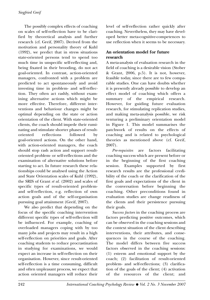The possibly complex effects of coaching on scales of self-reflection have to be clarified by theoretical analysis and further research (cf. Greif, 2007). Derived from the motivation and personality theory of Kuhl (1992), we predict that in stress situations state-oriented persons tend to spend too much time in unspecific self-reflecting and, being fixated in their brooding, do not act goal-oriented. In contrast, action-oriented managers, confronted with a problem are predicted to act spontaneously and avoid investing time in problem- and self-reflection. They often act rashly, without examining alternative actions which might be more effective. Therefore, different interventions and behaviour changes might be optimal depending on the state or action orientation of the client. With state-oriented clients, the coach should impede their ruminating and stimulate shorter phases of resultoriented reflections followed by goal-oriented actions. On the other hand, with action-oriented managers, the coach should stop rash action and support resultoriented problem- or self-reflections and the examination of alternative solutions before starting to act. In future research these relationships could be analysed using the Action and State Orientation scales of Kuhl (1992), the SRIS of Grant *et al.* (2002) and scales of specific types of result-oriented problemand self-reflection, e.g. reflection of own action goals and of the self-organisation pursuing goal attainment (Greif, 2007).

We also predict that depending on the focus of the specific coaching intervention different specific types of self-reflection will be influenced. For example, coaching of overloaded managers coping with by too many jobs and projects may result in a high self-reflection on priorities and goals. After coaching students to reduce procrastination in studying for examinations, we would expect an increase in self-reflection on their organisation. However, since result-oriented self-reflection is a time consuming, difficult and often unpleasant process, we expect that action oriented managers will reduce their level of self-reflection rather quickly after coaching. Nevertheless, they may have developed better meta-cognitive-competences to use reflection when it seems to be necessary.

#### **An orientation model for future research**

A meta-analysis of evaluation research in the field of coaching is a desirable vision (Stober & Grant, 2006, p.5). It is not, however, feasible today, since there are to few comparable studies. One can have doubts whether it is presently already possible to develop an effect model of coaching which offers a summary of the empirical research. However, for guiding future evaluation research, for stimulating replication studies, and making meta-analysis possible, we risk venturing a preliminary orientation model in Figure 1. This model summarises the patchwork of results on the effects of coaching and is related to psychological theories as mentioned above (cf. Greif, 2007).

*Pre-requisites* are factors facilitating coaching success which are present before or in the beginning of the first coaching session. Examples supported by first research results are the professional credibility of the coach or the clarification of the first goals and expectations of the client in the conversation before beginning the coaching. Other preconditions found in evaluation studies are change readiness of the clients and their persistence pursuing their goals.

*Success factors* in the coaching process are factors predicting positive outcomes, which can be observed in the coaching sessions and the context situation of the client describing interventions, their attributes, and consequences in the course of the coaching. The model differs between five success factors observed in the coaching sessions: (1) esteem and emotional support by the coach; (2) facilitation of result-oriented problem- and self-reflections; (3) clarification of the goals of the client; (4) activation of the resources of the client; and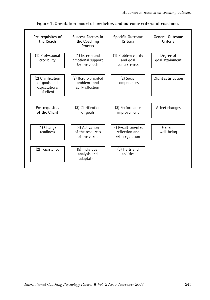

**Figure 1: Orientation model of predictors and outcome criteria of coaching.**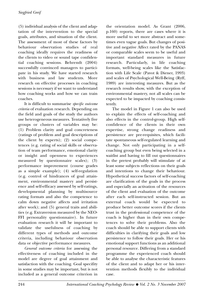(5) individual analysis of the client and adaptation of the intervention to the special goals, attributes, and situation of the client. The assessment of most of these factors by behaviour observation studies of real coaching ideally requires the readiness of the clients to video or sound tape confidential coaching sessions. Behrendt (2004) successfully convinced managers to participate in his study. We have started research with business and law students. More research on effective processes in coaching sessions is necessary if we want to understand how coaching works and how we can train coaches.

It is difficult to summarise *specific outcome criteria* of evaluation research. Depending on the field and goals of the study the authors use heterogeneous measures. Tentatively five groups or clusters of variables may be: (1) Problem clarity and goal concreteness (ratings of problem and goal descriptions of the client by experts); (2) social competences (e.g. rating of social skills or observation of team performance, emotional clarity or insight and openness to experiences measured by questionnaire scales); (3) performance improvement (course grades as a simple example); (4) self-regulation (e.g. control of hindrances of goal attainment, environmental mastery and persistence and self-efficacy assessed by self-ratings, developmental planning by multisource rating formats and also the competence to calm down negative affects and irritation after work); and (5) general traits and abilities (e.g. Extraversion measured by the NEO-FFI personality questionnaire). In future evaluation research it will be important to validate the usefulness of coaching by different types of methods and outcome criteria, including behaviour observation data or objective performance measures.

*General outcome criteria* for assessing the effectiveness of coaching included in the model are degree of goal attainment and satisfaction with the coaching. Goal specifity in some studies may be important, but is not included as a general outcome criterion in the orientation model. As Grant (2006, p.160) reports, there are cases where it is more useful to set more abstract and sometimes even vague goals. But changes of positive and negative Affect rated by the PANAS or comparable scales seem to be useful and important standard measures in future research. Particularly, in life coaching formats, well-being scales like the Satisfaction with Life Scale (Pavot & Diener, 1993) and scales of Psychological Well-Being (Ryff, 1989) are interesting measures. But as the research results show, with the exception of environmental mastery, not all scales can be expected to be impacted by coaching consistently.

The model in Figure 1 can also be used to explain the effects of self-coaching and also effects in the control-group. High selfconfidence of the clients in their own expertise, strong change readiness and persistence are pre-requisites, which facilitate spontaneous self-regulated learning and change. Not only participating in a selfcoaching group but even being selected in a waitlist and having to fill out questionnaires in the pretest probably will stimulate of at least some subjects reflections on their goals and intentions to change their behaviour. Hypothetical success factors of self-coaching are clarification of the goals in the process and especially an activation of the resources of the client and evaluation of the outcome after each self-instructed session. But an external coach would be expected to produce better outcome scores if the clients trust in the professional competence of the coach is higher than in their own competences to solve their problems. Also the coach should be able to support clients with difficulties in clarifying their goals and low persistence to follow their goals. Her or his emotional support functions as an additional personal resource. Differing from a standard programme the experienced coach should be able to analyse the characteristic features of the client and to adapt her or his intervention methods flexibly to the individual case.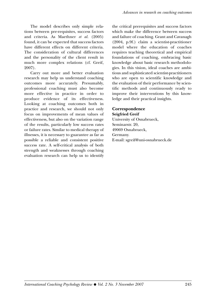The model describes only simple relations between pre-requisites, success factors and criteria. As Maethner *et al.* (2005) found, it can be expected that success factors have different effects on different criteria. The consideration of cultural differences and the personality of the client result in much more complex relations (cf. Greif, 2007).

Carry out more and better evaluation research may help us understand coaching outcomes more accurately. Presumably, professional coaching must also become more effective in practice in order to produce evidence of its effectiveness. Looking at coaching outcomes both in practice and research, we should not only focus on improvements of mean values of effectiveness, but also on the variation range of the results, particularly low success rates or failure rates. Similar to medical therapy of illnesses, it is necessary to guarantee as far as possible a reliable and consistent positive success rate. A self-critical analysis of both strength and weaknesses through coaching evaluation research can help us to identify the critical prerequisites and success factors which make the difference between success and failure of coaching. Grant and Cavanagh (2004, p.9f.) claim a scientist-practitioner model where the education of coaches requires teaching theoretical and empirical foundations of coaching, embracing basic knowledge about basic research methodologies. In this vision, ideal coaches are ambitious and sophisticated scientist-practitioners who are open to scientific knowledge and the evaluation of their performance by scientific methods and continuously ready to improve their interventions by this knowledge and their practical insights.

#### **Correspondence Seigfried Greif**

University of Osnabrueck, Seminarstr. 20, 49069 Osnabrueck, Germany. E-mail: sgreif@uni-osnabrueck.de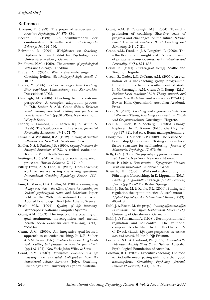#### **References**

- Aronson, E. (1999). The power of self-persuasion. *American Psychologist, 54*, 875–884.
- Becker, P. (1988). Ein Strukturmodell der emotionalen Befindlichkeit. *Psychologische Beitraege, 30*, 514–536.
- Behrendt, P. (2004). *Wirkfaktoren im Coaching.*  Diplomarbeit am Institut für Psychologie der Universitaet Freiburg, Germany.
- Bradburn, N.M. (1969). *The structure of psychological well-being.* Chicago, IL: Aldine.
- Brauer, Y. (2005). Wie Zielvereinbarungen im Coaching helfen. *Wirtschaftspsychologie aktuell, 1*, 40–43.
- Brauer, Y. (2006). *Zielvereinbarungen beim Coaching. Eine empirische Untersuchung aus Kundensicht.* Duesseldorf: VDM.
- Cavanagh, M. (2006). Coaching from a systemic perspective: A complex adaptation process. In D.R. Stober & A.M. Grant (Eds.), *Evidence based coaching handbook: Putting best practices to work for your clients* (pp.313-354). New York: John Wiley & Sons.
- Diener, E., Emmons, R.E., Larsen, R.J. & Griffin, S. (1985). The Satifaction with Life Scale. *Journal of Personality Assessment, 49*(1), 71–75.
- Duval, S. & Wicklund, R.A. (1972). *A theory of objective self-awareness.* New York: Academic Press.
- Endler, N.S. & Parker, J.D. (1990). *Coping Inventory for Stressful Situations (CISS).* A critical evaluation. Toronto: Multi Heath Systems.
- Festinger, L. (1954). A theory of social comparison processes. *Human Relations, 7*, 117–140.
- Fillery-Travis, A. & Lane, D. (2006). Does coaching work or are we asking the wrong question? *International Coaching Psychology Review, 1*(1), 23–36.
- Finn, F., Mason, C. & Griffin, M. (2006). *Investigating change over time – the effects of executive coaching on leaders' psychological states and behaviour.* Paper held at the 26th International Congress of Applied Psychology, 16–21 July, Athens, Greece.
- Frisch, M.B. (1994). *Quality of life inventory.* Minneapolis: National Computer Systems.
- Grant, A.M. (2003). The impact of life coaching on goal attainment, metacognition and mental health. *Social Behaviour and Personality, 31*(3), 253–264.
- Grant, A.M. (2006). An integrative goal-focused approach to executive coaching. In D.R. Stober & A.M. Grant (Eds.), *Evidence based coaching handbook: Putting best practices to work for your clients* (pp.153–192). New York: John Wiley & Sons.
- Grant, A.M. (2007). *Workplace, executive and life coaching: An annotated bibliography from the behavioural science literature* (July). Coaching Psychology Unit, University of Sydney, Australia.
- Grant, A.M. & Cavanagh, M.J. (2004). Toward a profession of coaching: Sixty-five years of progress and challenges for the future. *International Journal of Evidence Based Coaching and Mentoring, 2*(1), 7–21.
- Grant, A.M., Franklin, J. & Langford, P. (2002). The self-reflection and insight scale: A new measure of private self-consciousness. *Social Behaviour and Personality, 30*(8), 821–836.
- Grawe, K. (2004). *Psychological therapy.* Seattle and Toronto: Hogrefe.
- Green, S., Oades, L.G. & Grant, A.M. (2005). An evaluation of a life-coaching group programme: Initial findings from a waitlist control study. In M. Cavanagh, A.M. Grant & T. Kemp (Eds.), *Evidence-based coaching Vol.1: Theory, research and practice from the behavioural sciences* (pp.127–141). Bowen Hills, Queensland: Australian Academic Press.
- Greif, S. (2007). *Coaching und ergebnisorientierte Selbstreflexion – Theorie, Forschung und Praxis des Einzelund Gruppencoachings.* Goettingen: Hogrefe.
- Greif, S., Runde, B. & Seeberg, I, (2005). Change Explorer. In C. Rauen (Ed.), *Coaching tools* (pp.317–321, 3rd ed.). Bonn: managerSeminare.
- Houghton, J.D. & Neck, C.P. (2002). The revised Self-Leadership Questionnaire: Testing a hierarchical factor structure for self-leadership. *Journal of Managerial Psychology, 17*, 672–691.
- Kelly, G.A. (1955). *The psychology of personal constructs, vol. 1 and 2.* New York, New York: Norton.
- Kruse, P. (2004). *Next practice Erfolgreiches Management von Instabilität.* Offenbach: Gabal.
- Kuenzli, H. (2006). Wirksamkeitsforschung im Führungskräftecoaching. In E. Lippmann (Ed..), *Coaching. Angewandte Psychologie für die Beratungspraxis* (pp.280–293). Berlin: Springer.
- Kuhl, J., Kazén, M. & Koole, S.L. (2006). Putting selfregulation theory into practice: A user's manual. *Applied Psychology: An International Review, 55*(3), 408–418.
- Kuhl, J. & Kazén, M. (in prep.). *Putting affect into affect instruments: The Affect Temperament Scales (ATS).* University of Osnabrueck, Germany.
- Kuhl, J. & Fuhrmann, A. (1998). Decomposition selfregulation and self-control: The volitional components checklist. In I.J. Heckhausen & C. Dweck (Eds.), *Life span perspectives on motivation and control.* Mahwah, NJ: Erbaum.
- Lovibond, S.H. & Lovibond, P.F. (1995). *Manual of the Depression Anxiety Stress Scales.* Sydney Australia: Psychological Foundation of Australia.
- Lowman, R. L. (2005). Executive coaching: The road to Dodoville needs paving with more than good asssumptions. *Consulting Psychology Journal: Practice & Research, 57*(1), 90–96.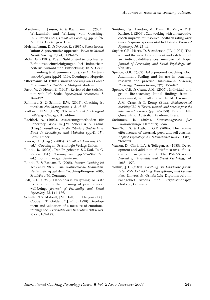- Maethner, E., Jansen, A. & Bachmann, T. (2005). Wirksamkeit und Wirkung von Coaching. In C. Rauen (Ed.), *Handbuch Coaching* (pp.55–76, 3rd Ed.). Goettingen: Hogrefe.
- Meichenbaum, D. & Novaco, R. (1985). Stress inoculation: A preventative approach. *Issues in Mental Health Nursing, 7*(1–4), 419–435.
- Mohr, G. (1991). Fuenf Subkonstrukte psychischer Befindensbeeinträchtigungen bei Industriearbeitern: Auswahl und Entwicklung. In S. Greif, E. Bamberg & N. Semmer (Eds.), *Psychischer Stress am Arbeitsplatz* (pp.91–119). Goettingen: Hogrefe.
- Offermanns. M. (2004). *Braucht Coaching einen Coach? Eine evaluative Pilotstudie.* Stuttgart: ibidem.
- Pavot, W. & Diener, E. (1993). Review of the Satisfaction with Life Scale. *Psychological Assessment, 5*, 164–172.
- Rohmert, E. & Schmid, E.W. (2003). Coaching ist messbar. *New Management, 1–2*, 46–53.
- Radburn, N.M. (1969). *The structure of psychological well-being.* Chicago, IL: Aldine.
- Raeithel, A. (1993). Auswertungsmethoden für Repertory Grids. In J.W. Scheer & A. Catina (Hrsg.), *Einführung in die Repertory Grid-Technik. Band 1: Grundlagen und Methoden* (pp.41–67). Bern: Huber.
- Rauen, C. (Hrsg.) (2005). *Handbuch Coaching* (3rd ed.). Goettingen: Psychologie Verlags Union.
- Runde, B. (2005). Der Fragebogen S-C-Eval. In C. Rauen (Ed.), *Coaching tools* (pp.337–342, 3rd ed.). Bonn: manager Seminare.
- Runde, B. & Bastians, F. (2005). *Internes Coaching bei der Polizei NRW – eine multimethodale Evaluationstudie.* Beitrag auf dem Coaching-Kongress 2005, Frankfurt/M, Germany.
- Ryff, C.D. (1989), Happiness is everything, or is it? Exploration in the meaning of psychological well-being. *Journal of Personality and Social Psychology, 52*, 141–166.
- Schutte, N.S., Malouff, J.M., Hall, L.E., Haggarty, D.J., Cooper, J.T., Golden, C.J. *et al.* (1998). Development and validation of a measure of emotional intelligence. *Personality and Individual Differences, 25*(2), 167–177.
- Smither, J.W., London, M., Flautt, R., Vargas, Y. & Kucine, I. (2003). Can working with an executive coach improve multisource feedback rating over time? A quasi-experimental field study. *Personnel Psychology, 56*, 23–44.
- Snyder, C.R., Harris, D. & Anderson, J.R. (1991). The will and the ways: Development and validation of an individual-differences measure of hope. *Journal of Personality and Social Psychology, 60*, 570–585.
- Spence, G.B. (2007). GAS powered coaching: Goal Attainment Scaling and its use in coaching research and practice. *International Coaching Psychology Research Review, 2*(2), 155–167.
- Spence, G.B. & Grant, A.M. (2005). Individual and group life-coaching: Initial findings from a randomised, controlled trial. In M. Cavanagh, A.M. Grant & T. Kemp (Eds.), *Evidence-based coaching Vol. 1: Theory, research and practice from the behavioural sciences* (pp.143–158). Bowen Hills Queensland: Australian Academic Press.
- Steinmetz, B. (2005). *Stressmanagement fuer Fuehrungskraefte.* Hamburg: Kova?.
- Sue-Chan, S. & Latham, G.P. (2004). The relative effectiveness of external, peer, and self-coaches. *Applied Psychology: An International Review, 53*(2), 260–278.
- Watson, D., Clark, L.A. & Tellegen, A. (1988). Development and validation of brief measures of positive and negative affect: The PANAS scales. *Journal of Personality and Social Psychology, 54*, 1063–1070.
- Willms, J.-F. (2004). *Coaching zur Umsetzung persönlicher Ziele. Entwicklung, Durchführung und Evaluation.* Universität Osnabrück: Diplomarbeit im Fachgebiet Arbeits- und Organisationspsychologie, Germany.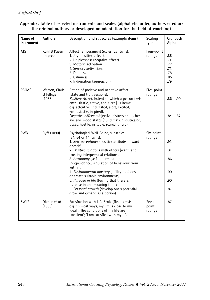**Appendix: Table of selected instruments and scales (alphabetic order, authors cited are the original authors or developed an adaptation for the field of coaching).**

| Name of<br>instrument | <b>Authors</b>                        | Description and subscales (example items)                                                                                                                                                                                                                                                                                                                                                                                                                                                                                                                           | Scaling<br>type            | Cronbach<br>Alpha                             |
|-----------------------|---------------------------------------|---------------------------------------------------------------------------------------------------------------------------------------------------------------------------------------------------------------------------------------------------------------------------------------------------------------------------------------------------------------------------------------------------------------------------------------------------------------------------------------------------------------------------------------------------------------------|----------------------------|-----------------------------------------------|
| <b>ATS</b>            | Kuhl & Kazén<br>(in prep.)            | Affect Temperament Scales (23 items):<br>1. Joy (positive affect).<br>2. Helplessness (negative affect).<br>3. Motoric activation.<br>4. Sensory activation.<br>5. Dullness.<br>6. Calmness.<br>7. Indignation (aggression).                                                                                                                                                                                                                                                                                                                                        | Four-point<br>ratings      | .85<br>.71<br>.72<br>.73<br>.78<br>.85<br>.79 |
| <b>PANAS</b>          | Watson, Clark<br>& Tellegen<br>(1988) | Rating of positive and negative affect<br>(state and trait versions).<br>Positive Affect: Extent to which a person feels<br>enthusiastic, active, and alert (10 items:<br>e.g. attentive, interested, alert, excited,<br>enthusiastic, inspired).<br>Negative Affect: subjective distress and other<br>aversive mood states (10 items: e.g. distressed,<br>upset, hostile, irritable, scared, afraid).                                                                                                                                                              | Five-point<br>ratings      | $.86 - .90$<br>$.84 - .87$                    |
| <b>PWB</b>            | Ryff (1090)                           | Psychological Well-Being, subscales<br>(84, 54 or 14 items):<br>1. Self-acceptance (positive attitudes toward<br>oneself).<br>2. Positive relations with others (warm and<br>trusting interpersonal relations).<br>3. Autonomy (self-determination,<br>independence, regulation of behaviour from<br>within).<br>4. Environmental mastery (ability to choose<br>or create suitable environments).<br>5. Purpose in life (feeling that there is<br>purpose in and meaning to life).<br>6. Personal growth (develop one's potential,<br>grow and expand as a person). | Six-point<br>ratings       | .93<br>.91<br>.86<br>.90<br>.90<br>.87        |
| <b>SWLS</b>           | Diener et al.<br>(1985)               | Satisfaction with Life Scale (five items):<br>e.g. 'In most ways, my life is close to my<br>ideal'; 'The conditions of my life are<br>excellent'; 'I am satisfied with my life'.                                                                                                                                                                                                                                                                                                                                                                                    | Seven-<br>point<br>ratings | .87                                           |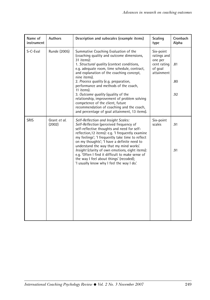| Name of<br>instrument | <b>Authors</b>         | Description and subscales (example items)                                                                                                                                                                                                                                                                                                                                           | Scaling<br>type                                                             | Cronbach<br>Alpha |
|-----------------------|------------------------|-------------------------------------------------------------------------------------------------------------------------------------------------------------------------------------------------------------------------------------------------------------------------------------------------------------------------------------------------------------------------------------|-----------------------------------------------------------------------------|-------------------|
| S-C-Eval              | Runde (2005)           | Summative Coaching Evaluation of the<br>(coaching quality and outcome dimensions,<br>31 items):<br>1. Structural quality (context conditions,<br>e.g. adequate room, time schedule, contract,<br>and explanation of the coaching concept,<br>nine items).                                                                                                                           | Six-point<br>ratings and<br>one per<br>cent rating<br>of goal<br>attainment | .81               |
|                       |                        | 2. Process quality (e.g. preparation,<br>performance and methods of the coach,<br>11 items).                                                                                                                                                                                                                                                                                        |                                                                             | .80               |
|                       |                        | 3. Outcome quality (quality of the<br>relationship, improvement of problem solving<br>competence of the client, future<br>recommendation of coaching and the coach,<br>and percentage of goal attainment, 13 items).                                                                                                                                                                |                                                                             | .92               |
| <b>SRIS</b>           | Grant et al.<br>(2002) | Self-Reflection and Insight Scales:<br>Self-Reflection (perceived frequency of<br>self-reflective thoughts and need for self-<br>reflection, 12 items): e.g. 'I frequently examine<br>my feelings'; 'I frequently take time to reflect<br>on my thoughts'; 'I have a definite need to<br>understand the way that my mind works'.<br>Insight (clarity of own emotions, eight items): | Six-point<br>scales                                                         | .91<br>.91        |
|                       |                        | e.g. 'Often I find it difficult to make sense of<br>the way I feel about things' (recoded);<br>'I usually know why I feel the way I do.'                                                                                                                                                                                                                                            |                                                                             |                   |
|                       |                        |                                                                                                                                                                                                                                                                                                                                                                                     |                                                                             |                   |
|                       |                        |                                                                                                                                                                                                                                                                                                                                                                                     |                                                                             |                   |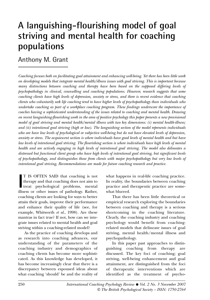## **A languishing-flourishing model of goal striving and mental health for coaching populations**

## Anthony M. Grant

*Coaching focuses both on facilitating goal attainment and enhancing well-being. Yet there has been little work on developing models that integrate mental health/illness issues with goal striving. This is important because many distinctions between coaching and therapy have been based on the supposed differing levels of psychopathology in clinical, counselling and coaching populations. However, research suggests that some coaching clients have high levels of depression, anxiety or stress, and there is recent evidence that coaching clients who voluntarily seek life coaching tend to have higher levels of psychopathology than individuals who undertake coaching as part of a workplace coaching program. These findings underscore the importance of coaches having a sophisticated understanding of the issues related to coaching and mental health. Drawing on recent languishing-flourishing work in the area of positive psychology this paper presents a new provisional model of goal striving and mental health/mental illness with two key dimensions: (i) mental health-illness; and (ii) intentional goal striving (high or low). The languishing section of the model represents individuals who are have low levels of psychological or subjective well-being but do not have elevated levels of depression, anxiety or stress. The acquiescent section is where individuals have good levels of mental health and but have low levels of intentional goal striving. The flourishing section is where individuals have high levels of mental health and are actively engaging in high levels of intentional goal striving. The model also delineates a distressed but functional client group who have high levels of intentional goal striving, but significant levels of psychopathology, and distinguishes those from clients with major psychopathology but very low levels of intentional goal striving, Recommendations are made for future coaching research and practice.*

**I** IS OFTEN SAID that coaching is not therapy and that coaching does not aim to treat psychological problems, mental illness or other issues of pathology. Rather, T IS OFTEN SAID that coaching is not therapy and that coaching does not aim to treat psychological problems, mental coaching clients are looking for ways to better attain their goals, improve their performance and enhance their quality of life (see, for example, Whitworth *et al.*, 1998). Are these mantras in fact true? If not, how can we integrate issues related to mental health and goal striving within a coaching-related model?

As the practice of coaching develops and as research into coaching advances, our understanding of the parameters of the coaching industry and demographics of coaching clients has become more sophisticated. As this knowledge has developed, it has become increasingly clear that there is a discrepancy between espoused ideas about what coaching 'should' be and the reality of what happens in real-life coaching practice. In reality, the boundaries between coaching practice and therapeutic practice are somewhat blurred.

That there has been little theoretical or empirical research exploring the boundaries between coaching and therapy is a serious shortcoming in the coaching literature. Clearly, the coaching industry and coaching psychology would benefit from coachingrelated models that delineate issues of goal striving, mental health/mental illness and psychopathology.

In this paper past approaches to distinguishing coaching from therapy are discussed. The key foci of coaching; goal striving, well-being enhancement and goal attainment, are distinguished from the foci of therapeutic interventions which are identified as the treatment of psycho-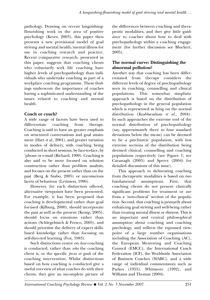pathology. Drawing on recent languishingflourishing work in the area of positive psychology (Keyes, 2003), this paper then presents a new provisional model of goal striving and mental health/mental illness for use in coaching research and practice. Recent comparative research, presented in this paper, suggests that coaching clients who voluntarily seek life coaching have higher levels of psychopathology than individuals who undertake coaching as part of a workplace coaching programme. These findings underscore the importance of coaches having a sophisticated understanding of the issues related to coaching and mental health.

#### **Coach or couch?**

A wide range of factors have been used to differentiate coaching from therapy. Coaching is said to have an greater emphasis on structured conversations and goal attainment (Hart *et al.*, 2001), and greater variation in modes of delivery, with coaching being conducted in short sessions, by face-to-face, by 'phone or e-mail (Richard, 1999). Coaching is also said to be more focused on solution construction rather than problem analysis, and focuses on the present rather than on the past (Berg & Szabo, 2005) or unconscious facets of behaviour (Levinson, 1996).

However, for each distinction offered, alternative viewpoints have been presented. For example, it has been proposed that coaching is developmental rather than goal focused (Kilburg, 2000), should incorporate the past as well as the present (Kemp, 2005), should focus on emotions rather than actions (Schlegelmich & Fresco, 2005), and should prioritise the delivery of expert skillsbased knowledge rather than focusing on self-directed learning (Fox, 1983).

Such distinctions centre on *how* coaching is conducted, rather than *who* the coaching client is, or the specific *focus or goals* of the coaching intervention. Whilst distinctions based on how coaching is conducted give a useful overview of what coaches do with their clients, they give an incomplete picture of the differences between coaching and therapeutic modalities, and they give little guidance to coaches about how to deal with psychopathology within a coaching engagement (for further discussion see Bluckert, 2005).

#### **The normal curve: Distinguishing the abnormal pollution?**

Another way that coaching has been differentiated from therapy considers the different levels of degree of psychopathology seen in coaching, counselling and clinical populations. This somewhat simplistic approach is based on the distribution of psychopathology in the general population which is represented as lying on the normal distribution (Krabbendam *et al.*, 2004). In such approaches the extreme end of the normal distribution of psychopathology (say, approximately three to four standard deviations below the mean) can be deemed to be a psychiatric population, with less extreme sections of the distribution being deemed clinical, counselling and coaching populations respectively (see Figure 1; see Cavanagh (2005) and Sperry (2004) for detailed discussions of this issue).

This approach to delineating coaching from therapeutic modalities is based on two fundamental assumptions. First, that coaching clients do not present clinically significant problems for treatment or are from a 'non-clinical' section of the population. Second, that coaching is primarily about enhancing goal striving and well-being rather than treating mental illness or distress. This is an important and central philosophical assumption about coaching and coaching psychology, and reflects the espoused viewpoint of a large number organisations including the Association of Coaching (AC), the European Mentoring and Coaching Council (EMCC), the International Coach Federation (ICF), the Worldwide Association of Business Coaches (WABC), and a wide range of individual commentators such as Parkes (1955), Whitmore (1992), and Williams and Thomas (2004).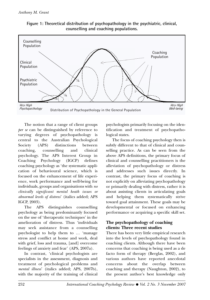

**Figure 1: Theoretical distribution of psychopathology in the psychiatric, clinical, counselling and coaching populations.**

The notion that a range of client groups *per se* can be distinguished by reference to varying degrees of psychopathology is central to the Australian Psychological Society (APS) distinctions between coaching, counselling and clinical psychology. The APS Interest Group in Coaching Psychology (IGCP) defines coaching psychology as 'the systematic application of behavioural science, which is focused on the enhancement of life experience, work performance and well-being for individuals, groups and organisations with *no clinically significant mental heath issues or abnormal levels of distress*' (italics added; APS IGCP, 2003).

The APS distinguishes counselling psychology as being predominantly focused on the use of 'therapeutic techniques' in the amelioration of distress. Thus 'individuals may seek assistance from a counselling psychologist to help them to … 'manage stress and conflict at home and work, deal with grief, loss and trauma, [and] overcome feelings of anxiety and fear' (APS, 2007a).

In contrast, 'clinical psychologists are specialists in the assessment, diagnosis and treatment of psychological problems and *mental illness*' (italics added; APS, 2007b), with the majority of the training of clinical psychologists primarily focusing on the identification and treatment of psychopathological states.

The focus of coaching psychology then is subtly different to that of clinical and counselling practice. As can be seen from the above APS definitions, the primary focus of clinical and counselling practitioners is the alleviation of psychopathology or distress and addresses such issues directly. In contrast, the primary focus of coaching is not explicitly on alleviating psychopathology or primarily dealing with distress, rather it is about assisting clients in articulating goals and helping them systematically strive toward goal attainment. These goals may be developmental or focused on enhancing performance or acquiring a specific skill set.

#### **The psychopathology of coaching clients: Three recent studies**

There has been very little empirical research into the levels of psychopathology found in coaching clients. Although there have been concerns that coaching is being used as a de facto form of therapy (Berglas, 2002), and various authors have reported anecdotal concerns about the overlap between coaching and therapy (Naughton, 2002), to the present author's best knowledge only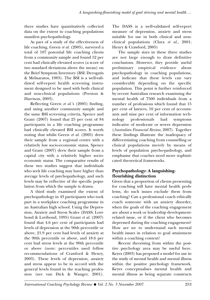three studies have quantitatively collected data on the extent to coaching populations manifest psychopathology.

As part of a study of the effectiveness of life coaching, Green *et al.* (2005), surveyed a total of 107 potential life coaching clients from a community sample and found 52 per cent had clinically elevated scores (a score of two standard deviations above the mean) on the Brief Symptom Inventory (BSI: Derogatis & Melisaratos, 1983). The BSI is a well-validated self-report health screening instrument designed to be used with both clinical and non-clinical populations (Preston & Harrison, 2003).

Reflecting Green *et al.*'s (2005) finding, and using another community sample and the same BSI screening criteria, Spence and Grant (2007) found that 25 per cent of 84 participants in a life coaching programme had clinically elevated BSI scores. It worth noting that whilst Green *et al.* (2005) drew their sample from a regional centre with a relatively low socio-economic status, Spence and Grant (2007) drew their sample from a capital city with a relatively higher socioeconomic status. The comparative results of these two studies suggest that individuals who seek life coaching may have higher than average levels of psychopathology, and such levels may be reflective of the specific population from which the sample is drawn.

A third study examined the extent of psychopathology in 43 participants who took part in a workplace coaching programme in an Australian high school. Using the Depression, Anxiety and Stress Scales (DASS; Lovibond & Lovibond, 1995) Grant *et al.* (2007) found that 4.6 per cent of participants had levels of depression at the 90th percentile or above, 21.9 per cent had levels of anxiety at the 90th percentile or above, and 18.6 per cent had stress levels at the 90th percentile or above (note: percentiles used follow recommendations of Crawford & Henry, 2003). These levels of depression, anxiety and stress appear to be in accord with the general levels found in the teaching profession (see van Dick & Wanger, 2001).

The DASS is a well-validated self-report measure of depression, anxiety and stress suitable for use in both clinical and nonclinical populations (Clara *et al.*, 2001; Henry & Crawford, 2005)

The sample sizes in these three studies are not large enough to draw definitive conclusions. However, they provide useful preliminary empirical evidence about psychopathology in coaching populations, and indicate that these levels can vary considerably depending on the specific population. This point is further reinforced by recent Australian research examining the mental health of 7500 individuals from a number of professions which found that 15 per cent of lawyers, 10 per cent of accountants and nine per cent of information technology professionals had symptoms indicative of moderate or severe depression (*Australian Financial Review*, 2007). Together these findings illustrate the inadequacy of differentiating coaching from counselling or clinical populations merely by means of levels of population psycho-pathology, and emphasise that coaches need more sophisticated theoretical frameworks.

## **Psychopathology: A languishingflourishing distinction**

Given that a proportion of clients presenting for coaching will have mental health problems, do such issues exclude them from coaching? Can a professional coach ethically coach someone with an anxiety disorder, when the goals of the coaching engagement are about a work or leadership developmentrelated issue, or if the client who becomes depressed during the coaching engagement? How are we to understand such mental health issues in relation to goal attainment within a coaching context?

Recent theorising from within the positive psychology area may be useful here. Keyes (2003) has proposed a model for use in the study of mental health and mental illness within the positive psychology framework. Keyes conceptualises mental health and mental illness as being separate constructs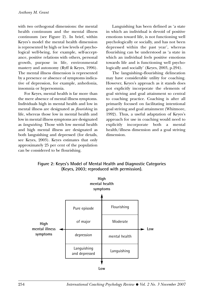with two orthogonal dimensions: the mental health continuum and the mental illness continuum (see Figure 2). In brief, within Keyes's model the mental health dimension is represented by high or low levels of psychological well-being, for example, self-acceptance, positive relations with others, personal growth, purpose in life, environmental mastery and autonomy (Ryff & Keyes, 1996). The mental illness dimension is represented by a presence or absence of symptoms indicative of depression, for example, anhedonia, insomnia or hypersomnia.

For Keyes, mental health is far more than the mere absence of mental illness symptoms. Individuals high in mental health and low in mental illness are designated as *flourishing* in life, whereas those low in mental health and low in mental illness symptoms are designated as *languishing*. Those with low mental health and high mental illness are designated as both languishing and depressed (for details, see Keyes, 2003). Keyes estimates that only approximately 25 per cent of the population can be considered to be flourishing.

Languishing has been defined as 'a state in which an individual is devoid of positive emotions toward life, is not functioning well psychologically or socially, and has not been depressed within the past year', whereas flourishing can be understood as 'a state in which an individual feels positive emotions towards life and is functioning well psychologically and socially' (Keyes, 2003, p.294).

The languishing–flourishing delineation may have considerable utility for coaching. However, Keyes's approach as it stands does not explicitly incorporate the elements of goal striving and goal attainment so central to coaching practice. Coaching is after all primarily focused on facilitating intentional goal striving and goal attainment (Whitmore, 1992). Thus, a useful adaptation of Keyes's approach for use in coaching would need to explicitly incorporate both a mental health/illness dimension and a goal striving dimension.

**Figure 2: Keyes's Model of Mental Health and Diagnostic Categories (Keyes, 2003; reproduced with permission).**

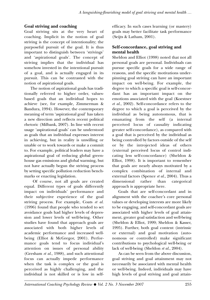## **Goal striving and coaching**

Goal striving sits at the very heart of coaching. Implicit in the notion of goal striving is the concept of intentionality; the purposeful pursuit of the goal. It is thus important to distinguish between 'strivings' and 'aspirational goals'. The concept of striving implies that the individual has somehow invested in the intentional pursuit of a goal, and is actually engaged in its pursuit. This can be contrasted with the notion of aspirational goals.

The notion of aspirational goals has traditionally referred to higher order, valuesbased goals that an individual hopes to achieve (see, for example, Zimmerman & Bandura, 1994). However, the contemporary meaning of term 'aspirational goal' has taken a new direction and reflects recent political rhetoric (Milbank, 2007). In line with recent usage 'aspirational goals' can be understood as goals that an individual expresses interest in achieving, but in reality is unwilling or unable or to work towards or make a commit to. For example, political leaders may have a aspirational goal of reducing global greenhouse gas emissions and global warming, but not have actually begun the striving process by setting specific pollution reduction benchmarks or enacting legislation.

Of course, not all goals are created equal. Different types of goals differently impact on individuals' performance and their subjective experience of the goal striving process. For example, Coats *et al.* (1996) found that people who tended to set avoidance goals had higher levels of depression and lower levels of well-being. Other studies have found that approach goals are associated with both higher levels of academic performance and increased wellbeing (Elliot & McGregor, 2001). Performance goals tend to focus individual's attention on issues of personal ability (Gresham *et al.*, 1988), and such attentional focus can actually impede performance when the task is complex or the goal is perceived as highly challenging, and the individual is not skilled or is low in selfefficacy. In such cases learning (or mastery) goals may better facilitate task performance (Seijts & Latham, 2001).

## **Self-concordance, goal striving and mental health**

Sheldon and Elliot (1998) noted that not all personal goals are personal. Individuals can pursue specific goals for a wide range of reasons, and the specific motivations underpinning goal striving can have an important impact on well-being. For example, the degree to which a specific goal is self-concordant has an important impact on the emotions associated with the goal (Koestner *et al.*, 2002). Self-concordance refers to the degree to which a goal is perceived by the individual as being autonomous, that is emanating from the self (a internal perceived locus of causality indicating greater self-concordance), as compared with a goal that is perceived by the individual as being controlled by factors outside of the self or by the introjected ideas of others (external perceived locus of control indicating less self-concordance) (Sheldon & Elliot, 1998). It is important to remember that goals are nearly always motivated by a complex combination of internal and external factors (Spence *et al.*, 2004). Thus a dimensional rather than categorical approach is appropriate here.

Goals that are self-concordant and in alignment with the coachee's core personal values or developing interests are more likely to be engaging, and self-concordant goals are associated with higher levels of goal attainment, greater goal satisfaction and well-being (Sheldon & Elliot, 1999; Sheldon & Kasser, 1995). Further, both goal content (intrinsic or external) and goal motivation (autonomous or controlled) make significant contributions to psychological well-being or lack of well-being (Sheldon *et al.*, 2004).

As can be seen from the above discussion, goal striving and goal attainment may not necessarily be associated with mental health or well-being. Indeed, individuals may have high levels of goal striving and goal attain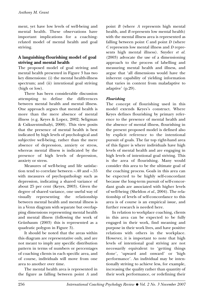ment, yet have low levels of well-being and mental health. These observations have important implications for a coachingrelated model of mental health and goal striving.

## **A languishing-flourishing model of goal striving and mental health**

The proposed model of goal striving and mental health presented in Figure 3 has two key dimensions: (i) the mental health-illness spectrum; and (ii) intentional goal striving (high or low).

There has been considerable discussion attempting to define the differences between mental health and mental illness. One approach argues that mental health is more than the mere absence of mental illness (e.g. Keyes & Lopez, 2002; Seligman & Csikszentmihalyi, 2000). This view posits that the presence of mental health is best indicated by high levels of psychological and subjective well-being, rather than the mere absence of depression, anxiety or stress, whereas mental illness is indicated by the presence of high levels of depression, anxiety or stress.

Measures of well-being and life satisfaction tend to correlate between –.40 and –.55 with measures of psychopathology such as depression, indicating a shared variance of about 25 per cent (Keyes, 2003). Given the degree of shared variance, one useful way of visually representing the relationship between mental health and mental illness is in a Venn diagram with separate but overlapping dimensions representing mental health and mental illness (following the work of Grünbaum (2003) this is represented as a quadratic polygon in Figure 3).

It should be noted that the areas within this diagram are representative only, and are not meant to imply any specific distribution pattern in terms of numbers or percentages of coaching clients in each specific area, and of course, individuals will move from one area to another over time.

The mental health area is represented in the figure as falling between point *A* and point *B* (where *A* represents high mental health, and *B* represents low mental health) with the mental illness area is represented as falling between point *C* and point *D* (where *C* represents low mental illness and *D* represents high mental illness). Snyder *et al.* (2003) advocate the use of a dimensioning approach to the process of labelling and measuring mental health and illness, and argue that 'all dimensions would have the inherent capability of yielding information that varies in content from maladaptive to adaptive' (p.29).

## **Flourishing**

The concept of flourishing used in this model extends Keyes's construct. Where Keyes defines flourishing by primary reference to the presence of mental health and the absence of mental illness, flourishing in the present proposed model is defined also by explicit reference to the intentional pursuit of goals. The far top right-hand area of this figure is where individuals have high levels of mental health and are engaging in high levels of intentional goal striving. This is the area of flourishing. Many would consider this area to be the ultimate goal of the coaching process. Goals in this area can be expected to be highly self-concordant because the long-term pursuit of self-concordant goals are associated with higher levels of well-being (Sheldon *et al.*, 2004). The relationship of levels of self-concordance to this area is of course is an empirical issue, and further research is needed here.

In relation to workplace coaching, clients in this area can be expected to be fully engaged in their work, find meaning and purpose in their work lives, and have positive relations with others in the workplace. However, it is important to note that high levels of intentional goal striving are not necessarily equivalent to 'getting things done', 'upward and onward' or 'high performance'. An individual may be intentionally striving to achieve less, for example, increasing the quality rather than quantity of their work performance, or redefining their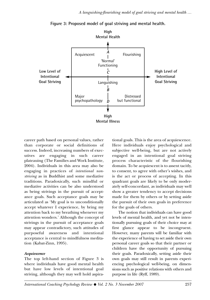

**Figure 3: Proposed model of goal striving and mental health.**

career path based on personal values, rather than corporate or social definitions of success. Indeed, increasing numbers of executives are engaging in such career plateauing (The Families and Work Institute, 2004). Individuals in this area may also be engaging in practices of *intentional nonstriving* as in Buddhist and some mediative traditions. Paradoxically, such mindful or mediative activities can be also understood as being strivings in the pursuit of acceptance goals. Such acceptance goals may be articulated as 'My goal is to unconditionally accept whatever I experience, by bring my attention back to my breathing whenever my attention wonders.' Although the concept of strivings in the pursuit of acceptance goals may appear contradictory, such attitudes of purposeful awareness and intentional acceptance is central to mindfulness meditation (Kabat-Zinn, 1995).

#### **Acquiescence**

The top left-hand section of Figure 3 is where individuals have good mental health but have low levels of intentional goal striving, although they may well hold aspirational goals. This is the area of acquiescence. Here individuals enjoy psychological and subjective well-being, but are not actively engaged in an intentional goal striving process characteristic of the flourishing domain. To be acquiescent is to assent tacitly, to consent, to agree with other's wishes, and is the act or process of accepting. In this quadrant goals are likely to be only moderately self-concordant, as individuals may well show a greater tendency to accept decisions made for them by others or by setting aside the pursuit of their own goals in preference for the goals of others.

The notion that individuals can have good levels of mental health, and yet not be intentionally pursuing goals of their choice may at first glance appear to be incongruent. However, many parents will be familiar with the experience of having to set aside their own personal career goals so that their partner or children have the opportunity of pursuing their goals. Paradoxically, setting aside their own goals may still result in parents experiencing psychological well-being, on dimensions such as positive relations with others and purpose in life (Ryff, 1989).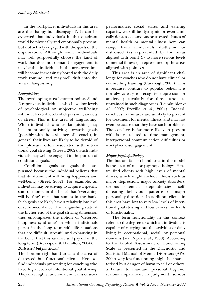In the workplace, individuals in this area are the 'happy but disengaged'. It can be expected that individuals in this quadrant would be physically and emotionally present, but not actively engaged with the goals of the organisation. Although some individuals may well purposefully choose the kind of work that does not demand engagement, it may be that individuals in this area over time will become increasingly bored with the daily work routine, and may well drift into the area of languishing.

## **Languishing**

The overlapping area between points *B* and *C* represents individuals who have low levels of psychological or subjective well-being without elevated levels of depression, anxiety or stress. This is the area of languishing. Whilst individuals who are languishing may be intentionally striving towards goals (possibly with the assistance of a coach), in general their lives are likely to be devoid of the pleasure often associated with intentional goal striving (Street, 2002). Such individuals may well be engaged in the pursuit of conditional goals.

Conditional goals are goals that are pursued because the individual believes that that its attainment will bring happiness and well-being (Street, 2002). For example, an individual may be striving to acquire a specific sum of money in the belief that 'everything will be fine' once that sum is in the bank. Such goals are likely have a relatively low level of self-concordance. The languishing state at the higher end of the goal striving dimension thus encompasses the notion of 'deferred happiness syndrome' in which individuals persist in the long term with life situations that are difficult, stressful and exhausting in the belief that this sacrifice will pay off in the long term (Breakspear & Hamilton, 2004).

### **Distressed but functional**

The bottom right-hand area is the area of distressed but functional clients. Here we find individuals presenting for coaching who have high levels of intentional goal striving. They may highly functional, in terms of work performance, social status and earning capacity, yet still be dysthymic or even clinically depressed, anxious or stressed. Issues of mental health or mental illness here can range from moderately dysthymic or distressed (as represented by the areas aligned with point *C*) to more serious levels of mental illness (as represented by the areas aligned with point *D*).

This area is an area of significant challenge for coaches who do not have clinical or counselling training (Cavanagh, 2005). This is because, contrary to popular belief, it is not always easy to recognise depression or anxiety, particularly for those who are untrained in such diagnostics (Leimkuhler *et al.*, 2007; Preville *et al.*, 2004). Indeed, coachees in this area are unlikely to present for treatment for mental illness, and may not even be aware that they have such problems. The coachee is far more likely to present with issues related to time management, interpersonal communication difficulties or workplace disengagement.

## **Major psychopathology**

The bottom far left-hand area in the model is the area of major psychopathology. Here we find clients with high levels of mental illness, which might include illness such as major depression, major anxiety disorders, serious chemical dependencies, selfdefeating behaviour patterns or major personality disorders. In addition, clients in this area have low to very low levels of intentional goal striving and low to very low levels of functionality.

The term functionality in this context refers to the degree to which an individual is capable of carrying out the activities of daily living in occupational, social, or personal domains (see Roper *et al.*, 1980). According to the Global Assessment of Functioning Scale as presented in the Diagnostic and Statistical Manual of Mental Disorders (APA, 2000) very low functioning might be characterised by a danger of harm to self or others, a failure to maintain personal hygiene, serious impairment in judgment, serious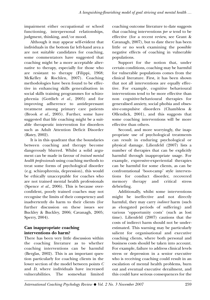impairment either occupational or school functioning, interpersonal relationships, judgment, thinking, and/or mood.

Although it may appear self-evident that individuals in the bottom far left-hand area a are not suitable candidates for coaching, some commentators have suggested that coaching might be a more acceptable alternative to therapy, especially for those who are resistant to therapy (Filippi, 1968; McKelley & Rochlen, 2007). Coaching methodologies have been found to be effective in enhancing skills generalisation in social skills training programmes for schizophrenia (Gottlieb *et al.*, 2005) and for improving adherence to antidepressant treatment among primary care patients (Brook *et al.*, 2005). Further, some have suggested that life coaching might be a suitable therapeutic intervention for disorders such as Adult Attention Deficit Disorder (Ratey, 2002).

It is in this quadrant that the boundaries between coaching and therapy become dangerously blurred. Whilst a solid argument can be made in favour of *trained mental health professionals* using coaching methods to treat some forms of psychological disorder (e.g. schizophrenia, depression), this would be ethically unacceptable for coaches who are not trained mental health professionals (Spence *et al.*, 2006). This is because overconfident, poorly trained coaches may not recognise the limits of their competency and inadvertently do harm to their clients (for further discussion on these issues see Buckley & Buckley, 2006; Cavanagh, 2005; Sperry, 2004).

## **Can inappropriate coaching interventions do harm?**

There has been very little discussion within the coaching literature as to whether coaching interventions can be harmful (Berglas, 2002). This is an important question particularly for coaching clients in the lower section of the model between points *C* and *D*, where individuals have increased vulnerabilities. The somewhat limited coaching outcome literature to date suggests that coaching interventions *per se* tend to be effective (for a recent review, see Grant & Cavanagh, 2007), but to date there has been little or no work examining the possible negative effects of coaching in vulnerable populations.

Support for the notion that, under certain conditions, coaching may be harmful for vulnerable populations comes from the clinical literature. First, it has been shown that not all interventions are equally effective. For example, cognitive behavioural interventions tend to be more effective than non cognitive-behavioural therapies for generalised anxiety, social phobia and obsessive-compulsive disorders (Chambless & Ollendick, 2001), and this suggests that some coaching interventions will be more effective than others.

Second, and more worryingly, the inappropriate use of psychological treatments can result in enduring psychological or physical damage. Lilienfeld (2007) lists a number of therapies that can be explicitly harmful through inappropriate usage. For example, expressive-experiential therapies can be harmful for some clients, as can be confrontational 'boot-camp' style interventions for conduct disorder, recovered memory therapy and critical stress debriefing.

Additionally, whilst some interventions might be ineffective and not directly harmful, they may carry *indirect* harm (such as elongated periods of suffering) and various 'opportunity costs' (such as lost time). Lilienfeld (2007) cautions that the costs of indirect harm should not be underestimated. This warning may be particularly salient for organisational and executive coaching clients, where both personal and business costs should be taken into account. For example, failure to address clinical levels stress or depression in a senior executive who is receiving coaching could result in an escalation of mental health problems, burn out and eventual executive derailment, and this could have serious consequences for the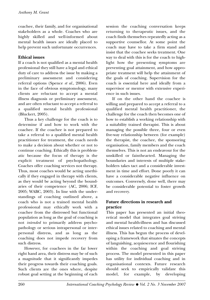coachee, their family, and for organisational stakeholders as a whole. Coaches who are highly skilled and well-informed about mental health issues are ideally placed to help prevent such unfortunate occurrences.

## **Ethical issues**

If a coach is not qualified as a mental health professional they still have a legal and ethical duty of care to address the issue by making a preliminary assessment and considering referral options (Spence *et al.*, 2006). Even in the face of obvious symptomology, many clients are reluctant to accept a mental illness diagnosis or preliminary assessment, and are often reluctant to accept a referral to a qualified mental health professional (Bluckert, 2005).

Thus a key challenge for the coach is to determine if and how to work with the coachee. If the coachee is not prepared to take a referral to a qualified mental health practitioner for treatment, the coach needs to make a decision about whether or not to continue coaching. Ethically this is problematic because the focus of therapy is the explicit treatment of psychopathology. Coaches offer coaching services not therapy. Thus, most coaches would be acting unethically if they engaged in therapy with clients, as they would be acting beyond the boundaries of their competence (AC, 2006; ICF, 2005; WABC, 2003). In line with the understandings of coaching outlined above, a coach who is not a trained mental health professional may ethically work with a coachee from the distressed but functional population as long as the goal of coaching is not *intended* to primarily address psychopathology or serious intrapersonal or interpersonal distress, and as long as the coaching does not impede recovery from such distress.

However, for coachees in the far lower right hand area, their distress may be of such a magnitude that it significantly impedes their progress towards their coaching goals. Such clients are the ones where, despite robust goal setting at the beginning of each session the coaching conversation keeps returning to therapeutic issues, and the coach finds themselves repeatedly acting as a supportive counsellor. At some point the coach may have to take a firm stand and insist that the coachee seeks treatment. One way to deal with this is for the coach to highlight how the presenting symptoms are preventing goal attainment, and how appropriate treatment will help the attainment of the goals of coaching. Supervision for the coach is essential here and ideally from a supervisor or mentor with extensive experience in such issues.

If on the other hand the coachee is willing and prepared to accept a referral to a qualified mental health practitioner, the challenge for the coach then becomes one of how to establish a working relationship with a suitability trained therapist. This is about managing the possible three, four or even five-way relationship between (for example) the therapist, the coachee, the sponsoring organisation, family members and the coach themselves. This is not an endeavour for the unskilled or fainthearted. Managing the boundaries and interests of multiple stakeholders takes tact and a considerable investment in time and effort. Done poorly it can have a considerable negative influence on outcomes. Conversely, done well, there may be considerable potential to foster growth and recovery.

## **Future directions in research and practice**

This paper has presented an initial theoretical model that integrates goal striving and mental health-illness and has discussed ethical issues related to coaching and mental illness. This has begun the process of developing a framework that situates the concepts of languishing, acquiescence and flourishing within the coaching and goal striving process. The model presented in this paper has utility for individual coaching and in organisational contexts. Future research should seek to empirically validate this model, for example, by developing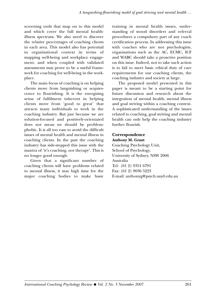screening tools that map on to this model and which cover the full mental healthillness spectrum. We also need to discover the relative percentages of coaching clients in each area. This model also has potential in organisational context in terms of mapping well-being and workplace engagement, and when coupled with validated assessments may prove to be a useful framework for coaching for well-being in the workplace.

The main focus of coaching is on helping clients move from languishing or acquiescence to flourishing. It is the energising sense of fulfilment inherent in helping clients move from 'good to great' that attracts many individuals to work in the coaching industry. But just because we are solution-focused and positively-orientated does not mean we should be problemphobic. It is all too easy to avoid the difficult issues of mental health and mental illness in coaching clients. In the past the coaching industry has side-stepped this issue with the mantra of 'it's coaching, not therapy'. This is no longer good enough.

Given that a significant number of coaching clients will have problems related to mental illness, it may high time for the major coaching bodies to make basic training in mental health issues, understanding of mood disorders and referral procedures a compulsory part of any coach certification process. In addressing this issue with coaches who are not psychologists, organisations such as the AC, ECMC, ICF and WABC should take a proactive position on this issue. Indeed, not to take such action is to fail to meet basic ethical duty of care requirements for our coaching clients, the coaching industry and society at large.

The proposed model presented in this paper is meant to be a starting point for future discussion and research about the integration of mental health, mental illness and goal striving within a coaching context. A sophisticated understanding of the issues related to coaching, goal striving and mental health can only help the coaching industry further flourish.

## **Correspondence Anthony M. Grant**

Coaching Psychology Unit, School of Psychology, University of Sydney, NSW 2006 Australia Tel: (61 2) 9351 6791 Fax: (61 2) 9036 5223 E-mail: anthonyg@psych.usyd.edu.au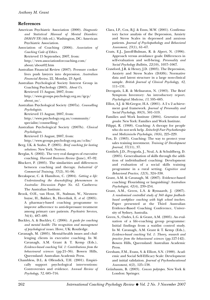#### **References**

- American Psychiatric Association (2000). *Diagnostic and Statistical Manual of Mental Disorders: DSM-IV-TR* (4th ed.). Washington, DC: American Psychiatric Association.
- Association of Coaching (2006). *Association of Coaching Code of Ethics.* Retrieved 15 September, 2007, from:
	- http://www.associationforcoaching.com/ about/about02.htm
- Australian Financial Review (2007). Pressure cooker lives push lawyers into depression. *Australian Financial Review*, 22, Monday, 23 April.
- Australian Psychological Society Interest Group in Coaching Psychology (2003). *About Us.* Retrieved 15 August, 2007, from:
	- http://www.groups.psychology.org.au/igcp/ about\_us/.
- Australian Psychological Society (2007a). *Counselling Psychologists.*
	- Retrieved 15 August, 2007, from:

http://www.psychology.org.au/community/ specialist/counselling/

Australian Psychological Society (2007b). *Clinical Psychologists.*

Retrieved 15 August, 2007, from:

http://www.groups.psychology.org.au/cclin/

- Berg, I.K. & Szabo, P. (2005). *Brief coaching for lasting solutions.* New York: Norton.
- Berglas, S. (2002). The very real dangers of executive coaching. *Harvard Business Review* (June), 87–92.
- Bluckert, P. (2005). The similarities and differences between coaching and therapy. *Industrial & Commercial Training, 37*(2), 91–96.
- Breakspear, C. & Hamilton, C. (2004). *Getting a life: Understanding the downshifting phenomenon in Australia: Discussion Paper No. 62.* Canberra: The Australian Institute.
- Brook, O.H., van Hout, H., Stalman, W., Nieuwenhuyse, H., Bakker, B., Heerdink, E. *et al.* (2005). A pharmacy-based coaching programme to improve adherence to anti-depressant treatment among primary care patients. *Psychiatric Services, 56*(4), 487–489.
- Buckley, A. & Buckley, C. (2006). *A guide for coaching and mental health: The recognition and management of psychological issues.* Hove, UK: Routledge.
- Cavanagh, M. (2005). Mental-health issues and challenging clients in executive coaching. In M. Cavanagh, A.M. Grant & T. Kemp (Eds.), *Evidence-based coaching Vol. 1: Contributions from the behavioural sciences* (pp.21–36). Bowen Hills, Queensland: Australian Academic Press.
- Chambless, D.L. & Ollendick, T.H. (2001). Empirically support psychological interventions: Controversies and evidence. *Annual Review of Psychology, 52*, 685–716.
- Clara, I.P., Cox, B.J. & Enns, M.W. (2001). Confirmatory factor analysis of the Depression, Anxiety and Stress Scales in depressed and anxious patients. *Journal of Psychopathology and Behavioral Assessment, 23*(1), 61–67.
- Coats, E.J., Janoff-Bulman, R. & Alpert, N. (1996). Approach versus avoidance goals: Differences in self-evaluation and well-being. *Personality and Social Psychology Bulletin, 22*(10), 1057–1067.
- Crawford, J.R. & Henry, J.D. (2003). The Depression, Anxiety and Stress Scales (DASS); Normative data and latent structure in a large non-clinical sample. *British Journal of Clinical Psychology, 42*, 111–131.
- Derogatis, L.R. & Melisaratos, N. (1983). The Brief Symptom Inventory: An introductory report. *Psychological Medicine, 13*, 595–605.
- Elliot, A.J. & McGregor, H.A. (2001). A 2 x 2 achievement goal framework. *Journal of Personality and Social Psychology, 80*(3), 501–519.
- Families and Work Institute (2004). *Generation and gender.* New York: Families and Work Institute.
- Filippi, R. (1968). Coaching: A therapy for people who do not seek help. *Zeitschrift Fuer Psychotherapie und Medizinische Psychologie, 18*(6), 225–229.
- Fox, D. (1983). Coaching: The way to protect your sales training investment. *Training & Development Journal, 37*(11), 37.
- Gottlieb, J.D., Pryzgoda, J., Neal, A. & Schuldberg, D. (2005). Generalisation of skills through the addition of individualised coaching: Development and evaluation of a social skills training programme in a rural setting. *Cognitive and Behavioral Practice, 12*(3), 324–338.
- Grant, A.M. & Cavanagh, M. (2007). Evidence-based coaching: Flourishing or languishing? *Australian Psychologist, 42*(4), 239–254.
- Grant, A.M., Green, L.S. & Rynsaardt, J. (2007). *A randomised controlled study of 360 degree feedbackbased workplace coaching with high school teachers.* Paper presented at the Third Australian Evidence-Based Coaching Conference, University of Sydney, Australia.
- Green, S., Oades, L.G. & Grant, A.M. (2005). An evaluation of a life-coaching group programme: Initial findings from a waitlist control study. In M. Cavanagh, A.M. Grant & T. Kemp (Eds.), *Evidence-based coaching Vol. 1: Theory, research and practice from the behavioural sciences* (pp.127-142). Bowen Hills, Queensland: Australian Academic Press.
- Gresham, F.M., Evans, S. & Elliott, S.N. (1988). Academic and Social Self-Efficacy Scale: Development and initial validation. *Journal of Psychoeducational Assessment, 6*(2), 125–138.
- Grünbaum, B. (2003). *Convex polytopes.* New York & London: Springer.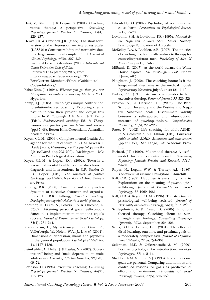- Hart, V., Blattner, J. & Leipsic, S. (2001). Coaching versus therapy: A perspective. *Consulting Psychology Journal: Practice & Research, 53*(4), 229–237.
- Henry, J.D. & Crawford, J.R. (2005). The short-form version of the Depression Anxiety Stress Scales (DASS-21): Construct validity and normative data in a large non-clinical sample. *British Journal of Clinical Psychology, 44*(2), 227–239.
- International Coach Federation. (2005). *International Coach Federation Code of Ethics.* Retrieved 15 September, 2007, from: http://www.coachfederation.org/ICF/ For+Current+Members/Ethical+Guidelines/ Code+of+Ethics/
- Kabat-Zinn, J. (1995). *Wherever you go, there you are: Mindfulness meditation in everyday life.* New York: Hyperion.
- Kemp, T.J. (2005). Psychology's unique contribution to solution-focused coaching: Exploring client's past to inform their present and design this future. In M. Cavanagh, A.M. Grant & T. Kemp (Eds.), *Evidence-based coaching Vol. 1: Theory, research and practice from the behavioural sciences* (pp.37–48). Bowen Hills, Queensland: Australian Academic Press.
- Keyes, C.L.M. (2003). Complete mental health: An agenda for the 21st century. In C.L.M. Keyes & J. Haidt (Eds.), *Flourishing: Positive psychology and the life well-lived* (pp.293–290). Washington, DC: American Psychological Association.
- Keyes, C.L.M. & Lopez, F.G. (2002). Towards a science of mental health: Positive directions in diagnosis and interventions. In C.R. Snyder & F.G. Lopez (Eds.), *The handbook of positive psychology* (pp.45–62). New York: Oxford University Press.
- Kilburg, R.R. (2000). Coaching and the psychodynamics of executive character and organisations. In R.R. Kilburg, *Executive coaching: Developing managerial wisdom in a world of chaos.*
- Koestner, R., Lekes, N., Powers, T.A. & Chicoine, E. (2002). Attaining personal goals: Self-concordance plus implementation intentions equals success. *Journal of Personality & Social Psychology, 83*(1), 231–244.
- Krabbendam, L., Myin-Germeys, I., de Graaf, R., Vollerbergh, W., Nolen, W.A., J., I. *et al.* (2004). Dimensions of depression, mania and psychosis in the general population. *Psychological Medicine, 34*, 1177–1186.
- Leimkuhler, A., Heller, J. & Paulus, N. (2007). Subjective well-being and 'male depression' in male adolescents. *Journal of Affective Disorders, 98*(1–2), 65–72.
- Levinson, H. (1996). Executive coaching. *Consulting Psychology Journal: Practice & Research, 48*(2), 115–123.
- Lilienfeld, S.O. (2007). Psychological treatments that cause harm. *Perspectives on Psychological Science, 2*(1), 53–70.
- Lovibond, S.H. & Lovibond, P.F. (1995). *Manual for the Depression Anxiety Stress Scales.* Sydney: Psychology Foundation of Australia.
- McKelley, R.A. & Rochlen, A.B. (2007). The practice of coaching: Exploring alternatives to therapy for counseling-resistant men. *Psychology of Men & Masculinity, 8*(1), 53–65.
- Milbank, D. (2007). As the world warms, the White House aspires. *The Washington Post,* Friday, 1 June, A02.
- Naughton, J. (2002). The coaching boom: Is it the long-awaited alternative to the medical model? *Psychotherapy Networker*, July/August(42), 1–10.
- Parkes, R.C. (1955). We use seven guides to help executives develop. *Personnel Journal, 33*, 326–328.
- Preston, N.J. & Harrison, T.J. (2003). The Brief Symptom Inventory and the Positive and Negative Syndrome Scale: Discriminate validity between a self-reported and observational measure of psychopathology. *Comprehensive Psychiatry, 44*(3), 220–226.
- Ratey, N. (2002). Life coaching for adult ADHD. In S. Goldstein & A.T. Ellison (Eds.), *Clinicians' guide to adult ADHD: Assessment and intervention* (pp.261–277). San Diego, CA: Academic Press, Inc.
- Richard, J.T. (1999). Multimodal therapy: A useful model for the executive coach. *Consulting Psychology Journal: Practice and Research, 51*(1), 24–30.
- Roper, N., Logan, W.W. & Tierney, A.J. (1980). *The elements of nursing.* Livingstone: Churchill.
- Ryff, C.D. (1989). Happiness is everything, or is it? Explorations on the meaning of psychological well-being. *Journal of Personality and Social Psychology, 57*, 1069–1081.
- Ryff, C.D. & Keyes, C.L.M. (1996). The structure of psychological well-being revisited. *Journal of Personality and Social Psychology, 96*(4), 719–727.
- Schlegelmich, A. & Fresco, D. (2005). Emotionfocused therapy: Coaching clients to work through their feelings. *Counselling Psychology Quarterly, 18*(3), September, 225–226.
- Seijts, G.H. & Latham, G.P. (2001). The effect of distal learning, outcome, and proximal goals on a moderately complex task. *Journal of Organizational Behavior, 22*(3), 291–307.
- Seligman, M.E. & Csikszentmihalyi, M. (2000). Positive psychology: An introduction. *American Psychologist, 55*(1), 5–14.
- Sheldon, K.M. & Elliot, A.J. (1998). Not all personal goals are personal: Comparing autonomous and controlled reasons for goals as predictors of effort and attainment. *Personality & Social Psychology Bulletin, 24*(5), 546–557.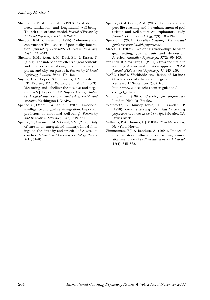- Sheldon, K.M. & Elliot, A.J. (1999). Goal striving, need satisfaction, and longitudinal well-being: The self-concordance model. *Journal of Personality & Social Psychology, 76*(3), 482–497.
- Sheldon, K.M. & Kasser, T. (1995). Coherence and congruence: Two aspects of personality integration. *Journal of Personality & Social Psychology, 68*(3), 531–543.
- Sheldon, K.M., Ryan, R.M., Deci, E.L. & Kasser, T. (2004). The independent effects of goal contents and motives on well-being: It's both what you pursue and why you pursue it. *Personality & Social Psychology Bulletin, 30*(4), 475–486.
- Snyder, C.R., Lopez, S.J., Edwards, L.M., Pedrotti, J.T., Prosser, E.C., Walton, S.L. *et al.* (2003). Measuring and labelling the positive and negative. In S.J. Lopez & C.R. Snyder (Eds.), *Positive psychological assessment: A handbook of models and measures.* Washington DC: APA.
- Spence, G., Oades, L. & Caputi, P. (2004). Emotional intelligence and goal self-integration: Important predictors of emotional well-being? *Personality and Individual Differences, 37*(3), 449–461.
- Spence, G., Cavanagh, M. & Grant, A.M. (2006). Duty of care in an unregulated industry: Initial findings on the diversity and practice of Australian coaches. *International Coaching Psychology Review, 1*(1), 71–85.
- Spence, G. & Grant, A.M. (2007). Professional and peer life coaching and the enhancement of goal striving and well-being: An exploratory study. *Journal of Positive Psychology, 2*(3), 185–194.
- Sperry, L. (2004). *Executive Coaching: The essential guide for mental health professionals.*
- Street, H. (2002). Exploring relationships between goal setting, goal pursuit and depression: A review. *Australian Psychologist, 37*(2), 95–103.
- van Dick, R. & Wanger, U. (2001). Stress and strain in teaching: A structural equation approach. *British Journal of Educational Psychology, 71*, 243–259.
- WABC (2003). Worldwide Association of Business Coaches code of ethics and integrity. Retrieved 15 September, 2007, from: http://www.wabccoaches.com/regulation/ code\_of\_ethics.htm
- Whitmore, J. (1992). *Coaching for performance.* London: Nicholas Brealey.
- Whitworth, L., Kimsey-House, H. & Sandahl, P. (1998). *Co-active coaching: New skills for coaching people towards success in work and life.* Palo Alto, CA: Davies-Black.
- Williams, P. & Thomas, L.J. (2004). *Total life coaching.* New York: Norton.
- Zimmerman, B.J. & Bandura, A. (1994). Impact of self-regulatory influences on writing course attainment. *American Educational Research Journal, 31*(4), 845–862.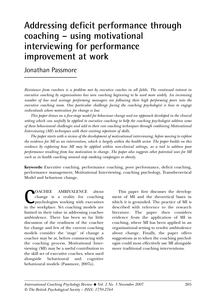# **Addressing deficit performance through coaching – using motivational interviewing for performance improvement at work**

Jonathan Passmore

*Resistance from coachees is a problem met by executive coaches in all fields. The continued interest in executive coaching by organisations has seen coaching beginning to be used more widely. An increasing number of low and average performing managers are following their high performing peers into the executive coaching room. One particular challenge facing the coaching psychologist is how to engage individuals where motivation for change is low.* 

*This paper draws on a five-stage model for behaviour change and an approach developed in the clinical setting which can usefully be applied to executive coaching to help the coaching psychologist address some of these behavioural challenges and add to their core coaching techniques through combining Motivational Interviewing (MI) techniques with their existing repertoire of skills.* 

*The paper starts with a review of the development of motivational interviewing, before moving to explore the evidence for MI as an intervention, which is largely within the health sector. The paper builds on this evidence by exploring how MI may be applied within non-clinical settings, as a tool to address poor performance resulting from low motivation to change. The paper also suggests other potential uses for MI such as in health coaching around stop smoking campaigns or obesity.* 

**Keywords:** Executive coaching, performance coaching, poor performance, deficit coaching, performance management, Motivational Interviewing, coaching psychology, Transtheoretical Model and behaviour change.

**COACHEE AMBIVALENCE** about<br>
change is a reality for coaching<br>
psychologists working with executives<br>
in the workplace Yet coaching models are change is a reality for coaching in the workplace. Yet coaching models are limited in their value in addressing coachee ambivalence. There has been so far little discussion of the readiness of the coachee for change and few of the current coaching models consider the 'stage' of change a coachee may be at, before commencing with the coaching process. Motivational Interviewing (MI) may be a useful contribution to the skill set of executive coaches, when used alongside behavioural and cognitive behavioural models (Passmore, 2007a).

This paper first discusses the development of MI and the theoretical bases in which it is grounded. The practice of MI is described with reference to the research literature. The paper then considers evidence from the application of MI in coaching, where MI has been applied in an organisational setting to resolve ambivalence about change. Finally, the paper offers suggestions as to when the coaching psychologist could most effectively use MI alongside more traditional coaching interventions.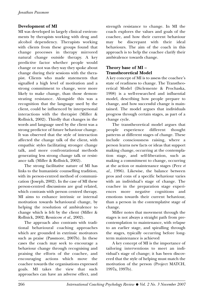## **Development of MI**

MI was developed in largely clinical environments by therapists working with drug and alcohol dependency. Therapists working with clients from these groups found that change processes in therapy mirrored natural change outside therapy. A key predictive factor whether people would change or not was they way they spoke about change during their sessions with the therapist. Clients who made statements that signalled a high level of motivation and a strong commitment to change, were more likely to make change, than those demonstrating resistance. Alongside this was a recognition that the language used by the client, could be influenced by interpersonal interactions with the therapist (Miller & Rollnick, 2002). Thirdly that changes in the words and language used by the client was a strong predictor of future behaviour change. It was observed that the style of interaction affected the change talk of the client, with empathic styles facilitating stronger change talk, and more confrontational methods generating less strong change talk or resistance talk (Miller & Rollnick, 2002).

The strong facilitative nature of MI has links to the humanistic counselling tradition, with its person-centred method of communication (Joseph, 2002). In the case of MI these person-centred discussions are goal related, which contrasts with person centred therapy. MI aims to enhance intrinsic or internal motivation towards behavioural change, by helping the resolution of ambivalence to change which is felt by the client (Miller & Rollnick, 2002; Resnicow *et al.*, 2002).

The approach also contrasts with traditional behavioural coaching approaches which are grounded in extrinsic motivators such as praise (Passmore, 2007b). In these cases the coach may seek to encourage a behaviour change through recognising and praising the efforts of the coachee, and encouraging actions which move the coachee towards the organisations expressed goals. MI takes the view that such approaches can have an adverse effect, and strength resistance to change. In MI the coach explores the values and goals of the coachee, and how their current behaviour may be discrepant with their ideal behaviours. The aim of the coach in this approach is to help the coachee clarify their ambivalence towards change.

## **Theory base of MI – Transtheoretical Model**

A key concept of MI is to assess the coachee's state of readiness to change. The Transtheoretical Model (Diclemente & Prochaska, 1998) is a well-researched and influential model, describing how people prepare to change, and how successful change is maintained. The model argues that individuals progress through certain stages, as part of a change cycle.

The transtheoretical model argues that people experience different thought patterns at different stages of change. These include consciousness raising, where a person learns new facts or ideas that support making change, occurring at the contemplation stage, and self-liberation, such as making a commitment to change, occurring at the action or maintenance stages (Perz *et al.*, 1996). Likewise, the balance between pros and cons of a specific behaviour varies with an individual's stage of change. The coachee in the preparation stage experiences more negative cognitions and emotions towards their current behaviour, than a person in the contemplative stage of change.

Miller notes that movement through the stages is not always a straight path from precontemplation to maintenance, with relapse to an earlier stage, and spiralling through the stages, typically occurring before longterm maintenance is achieved

A key concept of MI is the importance of tailoring interventions to meet an individual's stage of change; it has been discovered that the style of helping must match the motivation of the person (Project MATCH, 1997a, 1997b).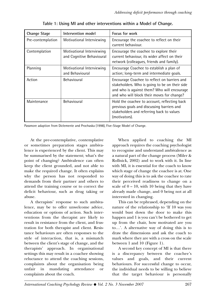| <b>Change Stage</b> | Intervention model                                     | Focus for work                                                                                                                                                                              |
|---------------------|--------------------------------------------------------|---------------------------------------------------------------------------------------------------------------------------------------------------------------------------------------------|
| Pre-contemplation   | Motivational Interviewing                              | Encourage the coachee to reflect on their<br>current behaviour.                                                                                                                             |
| Contemplation       | Motivational Interviewing<br>and Cognitive Behavioural | Encourage the coachee to explore their<br>current behaviour, its wider affect on their<br>network (colleagues, friends and family).                                                         |
| Planning            | Motivational Interviewing<br>and Behavioural           | Encourage Coachee to establish a plan of<br>action; long-term and intermediate goals.                                                                                                       |
| Action              | Behavioural                                            | Encourage Coachee to reflect on barriers and<br>stakeholders. Who is going to be on their side<br>and who is against them? Who will encourage<br>and who will block their moves for change? |
| Maintenance         | <b>Behavioural</b>                                     | Hold the coachee to account, reflecting back<br>previous goals and discussing barriers and<br>stakeholders and referring back to values<br>(motivators).                                    |

**Table 1: Using MI and other interventions within a Model of Change.**

Passmore adaption from Diclemente and Prochaska (1998), Five-Stage Model of Change.

At the pre-contemplative, contemplative or sometimes preparation stages ambivalence is experienced by the client. This may be summarised by the statement; what's the point of changing? Ambivalence can often keep the client grounded, and not able to make the required change. It often explains why the person has not responded to demands from their partner and others to attend the training course or to correct the deficit behaviour, such as drug taking or abuse.

A therapists' response to such ambivalence, may be to offer unwelcome advice, education or options of action. Such interventions from the therapist are likely to result in resistance from the client, and frustration for both therapist and client. Resistance behaviours are often responses to the style of interaction, that is, a mismatch between the client's stage of change, and the therapists' approach. In organisational settings this may result in a coachee showing reluctance to attend the coaching sessions, complaints about the organisation being unfair in mandating attendance or complaints about the coach.

When applied to coaching the MI approach requires the coaching psychologist to recognise and understand ambivalence as a natural part of the change process (Miler & Rollnick, 2002) and to work with it. In line with MI, it is essential for the coach to know which stage of change the coachee is at. One way of doing this is to ask the coachee to rate their perceived readiness to change on a scale of  $0 - 10$ , with 10 being that they have already made change, and 0 being not at all interested in changing.

This can be rephrased, depending on the nature of the relationship to 'If 10 was you would bust down the door to make this happen and 1 is you can't be bothered to get up from the chair, how motivated are you to…'. A alternative way of doing this is to draw the dimensions and ask the coach to mark where they are with a cross on the scale between 1 and 10 (Figure 1).

A second key concept of MI is that there is a discrepancy between the coachee's values and goals, and their current behaviours. For successful change to occur, the individual needs to be willing to believe that the target behaviour is personally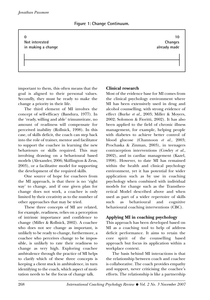## **Figure 1: Change Continuum.**

**Not interested Changes in making a change all already made** already made

**0 10**

important to them, this often means that the goal is aligned to their personal values. Secondly, they must be ready to make the change a priority in their life.

The third element of MI involves the concept of self-efficacy (Bandura, 1977). In the 'ready, willing and able' trimumvirate, no amount of readiness will compensate for perceived inability (Rollnick, 1998). In this case, of skills deficit, the coach can step back into the role of trainer, mentor and facilitator to support the coachee in learning the new behaviours or skills required. This may involving drawing on a behavioural based models (Alexander, 2006; Skiffington & Zeus, 2003), or a facilitative model for supporting the development of the required skills.

One source of hope for coachees from the MI approach, is that there is no 'right way' to change, and if one given plan for change does not work, a coachee is only limited by their creativity as to the number of other approaches that may be tried.

These three concepts of MI are related, for example, readiness, relies on a perception of intrinsic importance and confidence to change (Miller & Rollnick, 2002). A coachee who does not see change as important, is unlikely to be ready to change, furthermore, a coachee who perceives change to be impossible, is unlikely to rate their readiness to change as very high. Exploring coachee ambivalence through the practice of MI helps to clarify which of these three concepts is keeping a client stuck in ambivalence, in turn identifying to the coach, which aspect of motivation needs to be the focus of change talk.

## **Clinical research**

Most of the evidence base for MI comes from the clinical psychology environment where MI has been extensively used in drug and alcohol counselling, with strong evidence of effect (Burke *et al.*, 2003; Miller & Moyers, 2002; Solomon & Fioritti, 2002). It has also been applied to the field of chronic illness management, for example, helping people with diabetes to achieve better control of blood glucose (Channoon *et al.*, 2003; Prochaska & Zinman, 2003), in teenagers contraception interventions (Cowley *et al.*, 2002), and in cardiac management (Kazel, 1998). However, to date MI has remained within the health and clinical psychology environment, yet it has potential for wider application such as by use in coaching psychology when combined with individual models for change such as the Transtheoretical Model described above and when used as part of a wider repertoire of skills such as behavioural and cognitive behavioural coaching interventions (CBC).

## **Applying MI in coaching psychology**

This approach has been developed based on MI as a coaching tool to help of address deficit performance. It aims to retain the core spirit of the counselling based approach but focus its application within a workplace context.

The basis behind MI interactions is that the relationship between coach and coachee is collaborative. The coach provides empathy and support, never criticising the coachee's efforts. The relationship is like a partnership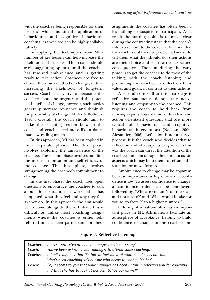with the coachee being responsible for their progress, which fits with the application of behavioural and cognitive behavioural coaching, as these too can be highly collaboratively.

In applying the techniques from MI a number of key lessons can help increase the likelihood of success. The coach should avoid suggesting options, until the coachee has resolved ambivalence and is getting ready to take action. Coachees are free to choose their own method of change, in turn increasing the likelihood of long-term success. Coaches may try to persuade the coachee about the urgency, and the potential benefits of change, however, such tactics generally increase resistance and diminish the probability of change (Miller & Rollnick, 1991). Overall, the coach should aim to make the coaching session between the coach and coachee feel more like a dance than a wrestling match.

In this approach, MI has been applied in three separate phases. The first phase involves exploring the ambivalence of the coachee. The second phase involves building the intrinsic motivation and self efficacy of the coachee. The third phase, involves strengthening the coachee's commitment to change.

In the first phase, the coach uses open questions to encourage the coachee to talk about their situation at work, what has happened, what they feel and why they feel as they do. In this approach the aim would be to come alongside them. Initially this is difficult as unlike most coaching assignments where the coachee is either selfreferred or is a keen participant, for these

assignments the coachee has often been a less willing or suspicious participant. As a result the starting point is to make clear during the contracting stage that the coach's role is a servant to the coachee. Further, that the coach is not there to provide advice or to tell them what they should do; their actions are their choice and each carries associated consequences. The aim during the early phase is to get the coachee to do most of the talking, with the coach listening and promoting the coachee to reflect on their values and goals, in contrast to their actions.

A second core skill at this first stage is reflective statements demonstrate active listening and empathy to the coachee. This requires the coach to hold back from moving rapidly towards more directive and action orientated questions that are more typical of behavioural and cognitive behavioural interventions (Neenan, 2006; Alexander, 2006). Reflection is not a passive process. It is the coach who decides what to reflect on and what aspects to ignore. In this way the coach can direct the attention of the coachee and encourage them to focus on aspects which may help them to reframe the situation or move forward.

Ambivalence to change may be apparent because importance is high, however, confidence is low. To assess confidence to change, a confidence ruler can be employed, followed by: 'Why are you an X on the scale and not a zero?' and 'What would it take for you to go from X to a higher number?'

Offering affirmations also has an important place in MI. Affirmations facilitate an atmosphere of acceptance, helping to build confidence to change in the coachee and

|        | Coachee: 'I have been referred by my manager for this meeting.'                          |
|--------|------------------------------------------------------------------------------------------|
| Coach: | 'You've been asked by your manager to attend some coaching.'                             |
|        | Coachee: 'I don't really feel that it's fair. In fact most of what she does is not fair. |
|        | I don't need coaching. It's not me who needs to change it's her.'                        |
| Coach: | 'So, it seems to you that your manager has been unfair in referring you for coaching     |
|        | and that she has to look at her own behaviour as well.                                   |

**Figure 2: Reflective listening.**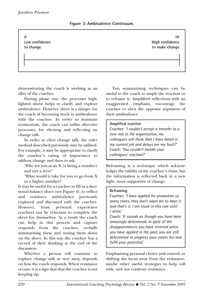## **Figure 3: Ambivalence Continuum.**

**0 10 Low confidence High confidence High confidence to change** to change to make change to make change

demonstrating the coach is working as an alley of the coachee.

During phase one, the processes highlighted above helps to clarify and explore ambivalence. However, there is a danger for the coach of becoming stuck in ambivalence with the coachee. In order to maintain momentum, the coach can utilise directive processes, for eliciting and reflecting on change talk.

In order to elicit change talk, the ruler method described previously may be utilised. For example, it may be appropriate to clarify the coachee's rating of importance to address change and then to ask:

'Why are you at an X (x being a number) and not a zero?'

'What would it take for you to go from X to a higher number?'

It may be useful for a coachee to fill in a decisional balance sheet (see Figure 4), to reflect and reinforce ambivalence previously explored and discussed with the coachee. However, from personal experience coachees can be reluctant to complete the sheet for themselves. As a result the coach can help in this process and capture responds from the coachee, verbally summarising these and noting them down on the sheet. In this way the coachee has a record of their thinking at the end of the discussion.

Whether a person will continue to explore change talk or veer away, depends on how the coach responds. When resistance occurs, it is a sign that that the coachee is not keeping up.

Two summarising techniques can be useful to the coach to amply the reaction or to reframe it. Amplified reflections with an exaggerated emphasis, encourage the coachee to elicit the opposite argument of their ambivalence

#### **Amplified reaction**

Coachee: *'I couldn't accept a transfer to a new role in the organisation, my colleagues will think that I have failed in my current job and delays are my fault?'* Coach: *'You couldn't handle your colleagues' reaction?'*

Reframing is a technique which acknowledges the validity of the coachee's claim, but the information is reflected back in a new light, more supportive of change.

#### **Reframing**

Coachee: *'I have applied for promotion so many times, they don't want me to have it and that's it. I am stuck in this role until I retire.'*

Coach: *'It sounds as though you have been amazingly determined. In spite of the disappointments you have received when you have applied in the past, you are still determined to progress your career her and fulfil your potential.'*

Emphasising personal choice and control, or shifting the focus away from the resistance, maybe other useful strategies to help roll with, and not confront resistance.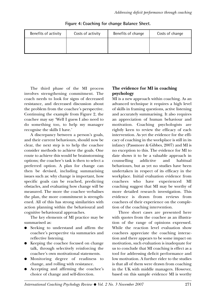| Benefits of activity | Costs of activity | Benefits of change | Costs of change |
|----------------------|-------------------|--------------------|-----------------|
|                      |                   |                    |                 |
|                      |                   |                    |                 |

## **Figure 4: Coaching for change Balance Sheet.**

The third phase of the MI process involves strengthening commitment. The coach needs to look for signs of decreased resistance, and decreased discussion about the problem from the coachee's perspective. Continuing the example from Figure 2, the coachee may say 'Well I guess I also need to do something too, to help my manager recognise the skills I have.'

A discrepancy between a person's goals, and their current behaviours, should now be clear, the next step is to help the coachee consider methods to achieve the goals. One route to achieve this would be brainstorming options; the coachee's task is then to select a preferred option. A plan for change can then be devised, including summarising issues such as: why change is important, how specific goals can be reached, predicting obstacles, and evaluating how change will be measured. The more the coachee verbalises the plan, the more commitment is strengthened. All of this has strong similarities with action planning within the behavioural and cognitive behavioural approaches.

The key elements of MI practice may be summarised as:

- Seeking to understand and affirm the coachee's perspective via summaries and reflective listening.
- Keeping the coachee focused on change talk, through selectively reinforcing the coachee's own motivational statements.
- Monitoring degree of readiness to change, and rolling with resistance.
- Accepting and affirming the coachee's choice of change and self-direction.

## **The evidence for MI in coaching psychology**

MI is a new approach within coaching. As an advanced technique it requires a high level of skills in framing questions, active listening and accurately summarising. It also requires an appreciation of human behaviour and motivation. Coaching psychologists are rightly keen to review the efficacy of each intervention. As yet the evidence for the efficacy of coaching in the workplace is still in its infancy (Passmore & Gibbes, 2007) and MI is no exception to this. The evidence for MI to date shows it to be a valuable approach in counselling addictive and habitual behaviours, but as yet no studies have been undertaken in respect of its efficacy in the workplace. Initial evaluation evidence from coachees who have experienced MI coaching suggest that MI may be worthy of more detailed research investigation. This evidence is drawn from reviews from coachees of their experience on the completion of the coaching intervention.

Three short cases are presented here with quotes from the coachee as an illustration of the range of opinions expressed. While the reaction level evaluation show coachees appreciate the coaching interaction and there appears to be some impact on motivation, such evaluation is inadequate for us to conclude that MI coaching is effect as a tool for addressing deficit performance and low motivation. A further rider to the studies is that all of them were drawn from coaching in the UK with middle managers. However, based on this sample evidence MI is worthy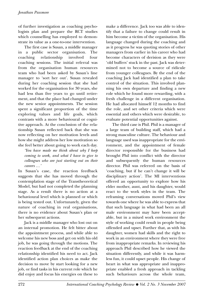of further investigation as coaching psychologists plan and prepare the RCT studies which counselling has employed to demonstrate its value as a one-to-one intervention.

The first case is Susan, a middle manager in a public sector organisation. The coaching relationship involved four coaching sessions. The initial referral was from the organisation human resources team who had been asked by Susan's line manager to 'sort her out'. Susan revealed during her coaching session that she had worked for the organisation for 30 years, she had less than five years to go until retirement, and that the place had changed under the new senior appointments. The session spent a significant proportion of the time exploring values and life goals, which contrasts with a more behavioural or cognitive approach. At the conclusion of the relationship Susan reflected back that she was now reflecting on her motivation levels and how she might address her low motivation so she feel better about going to work each day.

*'You have made me think about why I keep coming to work, and what I have to give to colleagues who are just starting out on their careers …'*

In Susan's case, the reaction feedback suggests that she has moved through the contemplation stage of the Transtheoretical Model, but had not completed the planning stage. As a result there is no action at a behavioural level which is planned or which is being tested out. Unfortunately, given the nature of coaching in real organisations, there is no evidence about Susan's plan or her subsequent actions.

Jack is a middle manager who lost out on an internal promotion. He felt bitter about the appointment process, and while able to welcome his new boss and get on with his old job, he was going through the motions. The reaction feedback at the end of the coaching relationship identified his need to act. Jack identified action plan choices as make the decision to move by start looking for a new job, or find tasks in his current role which he did enjoy and focus his energies on these to make a difference. Jack too was able to identify that a failure to change could result in him become a victim of the organisation. His language changed during the coaching and as it progress he was quoting stories of other managers from earlier in his career who had become characters of derision as they were 'old buffers' stuck in the past. Jack was determined not to become a source of ridicule from younger colleagues. By the end of the coaching Jack had identified a plan to take control of the situation. This involved planning his own departure and finding a new role which he found more rewarding, with a fresh challenge in a different organisation. He had allocated himself 12 months to find the role, and set other criteria which were essential and others which were desirable, to evaluate potential opportunities against.

The third case is Phil. Phil is a manager of a large team of building staff, which had a strong masculine culture. The behaviour and language used was inappropriate for the environment, and the appointment of female director responsible for the business had brought Phil into conflict with the director and subsequently the human resources director. Phil was referred on the basis of 'coaching, but if he can't change it will be disciplinary action'. The MI interventions offered an opportunity to explore how his elder mother, aunt, and his daughter, would react to the work styles in the team. The reframing conversations moved Phil's view towards one where he was able to express that that such language in what had been an all male environment may have been acceptable, but in a mixed work environment the style of working could result in people being offended and upset. Further that, as with his daughter, women had skills and the right to work in an environment where they were free from inappropriate remarks. In reviewing his approach Phil described how he viewed the situation differently, and while it was harmless fun, it could upset people. His change of heart in what was appropriate and inappropriate enabled a fresh approach in tackling such behaviours across the whole team,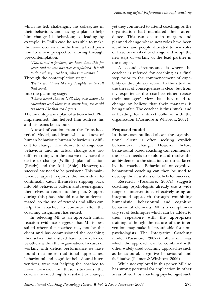which he led, challenging his colleagues in their behaviour, and having a plan to help him change his behaviour, so leading by example. In Phil's case he was able to make the move over six months from a fixed position to a new perspective, moving through pre-contemplation:

*'This is not a problem, we have done this for years and no one has ever complained. It's all to do with my new boss, who is a woman.'*

Through the contemplation stage:

*'Well I would not like my daughter to be call that word.'*

Into the planning stage:

*'I have heard that at XYZ they took down the calendars and there is a swear box, we could try ideas like that too I guess.'*

The final step was a plan of action which Phil implemented, this helped him address his and his teams behaviours.

A word of caution from the Transtheoretical Model, and from what we know of human behaviour; human behaviour is difficult to change. The desire to change our behaviour and an actual change are two different things. In the first we may have the desire to change (Willing) plan of action (Ready) and the skills (Able). However, to succeed, we need to be persistent. This maintenance aspect requires the individual to continually catch themselves slipping back into old behaviour pattern and re-energising themselves to return to the plan. Support during this phase should not be underestimated, so the use of rewards and allies can help the coachee to continue after the coaching assignment has ended.

In selecting MI as an approach initial reaction evidence suggests that MI is best suited where the coachee may not be the client and has commissioned the coaching themselves. But instead have been referred by others within the organisation. In cases of working with deficit performance we have found that more traditional approaches, behavioural and cognitive behavioural interventions, were not helping the coachee to move forward. In these situations the coachee seemed highly resistant to change, yet they continued to attend coaching, as the organisation had mandated their attendance. This can occur in mergers and planned change where new roles have been identified and people allocated to new roles or have been asked to change and adopt the new ways of working of the lead partner in the merger.

A second circumstance is where the coachee is referred for coaching as a final step prior to the commencement of capability or disciplinary action. In this situation the threat of consequences is clear, but from my experience the coachee either rejects their manager's view that they need to change or believe that their manager is being unfair. The coachee is thus 'stuck' and is heading for a direct collision with the organisation (Passmore & Whybrow, 2007).

### **Proposed model**

In these cases outlined above, the organisational client is often seeking explicit behavioural change. However, before behavioural based coaching can commence, the coach needs to explore and resolve the ambivalence to the situation, or threat faced by the coachee. Behavioural or cognitive behavioural coaching can then be used to develop the new skills or beliefs for success.

Research (Passmore, 2007c) suggests coaching psychologists already use a wide range of interventions, effectively using an integrated approach through combining humanistic, behavioural and cognitive behavioural elements. MI is a complimentary set of techniques which can be added to their repertoire with the appropriate training, although the nature of the intervention may make it less suitable for nonpsychologists. The Integrative Coaching model (Passmore, 2007a), offers one way which the approach can be combined with other widely used coaching approaches such as behavioural, cognitive behavioural and facilitative (Palmer & Whybrow, 2006).

While not explored in this paper, MI also has strong potential for application in other areas of work by coaching psychologist such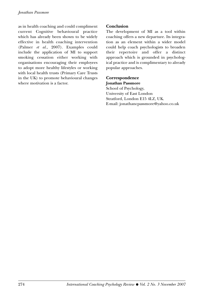as in health coaching and could compliment current Cognitive behavioural practice which has already been shown to be widely effective in health coaching intervention (Palmer *et al.*, 2007). Examples could include the application of MI to support smoking cessation either working with organisations encouraging their employees to adopt more healthy lifestyles or working with local health trusts (Primary Care Trusts in the UK) to promote behavioural changes where motivation is a factor.

## **Conclusion**

The development of MI as a tool within coaching offers a new departure. Its integration as an element within a wider model could help coach psychologists to broaden their repertoire and offer a distinct approach which is grounded in psychological practice and is complimentary to already popular approaches.

## **Correspondence**

**Jonathan Passmore**

School of Psychology, University of East London Stratford, London E15 4LZ, UK. E-mail: jonathancpassmore@yahoo.co.uk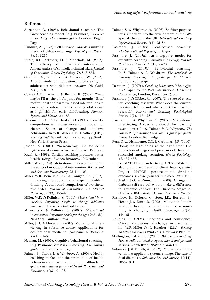#### **References**

- Alexander, G. (2006). Behavioural coaching: The Grow coaching model. In J. Passmore, *Excellence in coaching: The industry guide.* London: Kogan Page.
- Bandura, A. (1977). Self-efficacy: Towards a unifying theory of behaviour change. *Psychological Review, 84*, 191-215.
- Burke, B.L., Arkowitz, I.I. & Menchola, M. (2003). The efficacy of motivational interviewing: A meta-analysis of controlled clinical trials. *Journal of Consulting Clinical Psychology, 71*, 843–861.
- Channon, S., Smith, V.J. & Gregory, J.W. (2003). A pilot study of motivational interviewing in adolescents with diabetes. *Archives Dis Child, 88*(8), 680–683.
- Cowley, C.B., Farley, T. & Beamis, K. (2002). 'Well, maybe I'll try the pill for just a few months.' Brief motivational and narrative-based interventions to encourage contraceptive use among adolescents at high risk for early childbearing. *Families, Systems and Health, 20*, 183.
- Diclemente, C.C. & Prochaska, J.O. (1998). Toward a comprehensive, transtheoretical model of change: Stages of change and addictive behaviours. In W.R. Miller & N. Heather (Eds.), *Treating addictive behaviours* (2nd ed., pp.3–24). New York: Plenum Press.
- Joseph, S. (2001). *Psychopathology and therapeutic approaches: An introduction.* Basingstoke: Palgrave.
- Kazel, R. (1998). Cardiac coaching produces better health savings. *Business Insurance*, 19 October.
- Miller, W.R. (1994). Motivational interviewing: III. On the ethics of motivational intervention. *Behavioural and Cognitive Psychotherapy, 22*, 111–123.
- Miller, W.R., Benefield, R.G. & Tonigan, J.S. (1993). Enhancing motivation for change in problem drinking: A controlled comparison of two therapist styles. *Journal of Consulting and Clinical Psychology, 61*(3), 455–461.
- Miller, W.R. & Rollnick, S. (1991). *Motivational interviewing: Preparing people to change addictive behaviour.* New York: Guilford Press.
- Miller, W.R. & Rollnick, S. (2002). *Motivational interviewing: Preparing people for change* (2nd ed.). New York: Guilford Press.
- Miller, J.H. & Moyers, T. (2002). Motivational interviewing in substance abuse: Applications for occupational medicine. *Occupational Medicine, 17*(1), 51–65.
- Neenan, M. (2006). Cognitive behavioural coaching. In J. Passmore, *Excellence in coaching: The industry guide.* London: Kogan Page.
- Palmer, S., Tubbs, I. & Whybrow, A. (2003). Health coaching to facilitate the promotion of health behaviours and achievement of health-related goals. *International Journal of Health Promotion and Education, 41*(3), 91–93.
- Palmer, S. & Whybrow, A. (2006). Shifting perspectives: One year into the development of the BPS Special Group in the UK. *International Coaching Psychological Review, 1*(2), 75–85.
- Passmore, J. (2003) Goal-focused coaching. *The Occupational Psychologist*, August.
- Passmore, J. (2007a). An integrative model for executive coaching. *Consulting Psychology Journal: Practice & Research, 59*(1), 68–78.
- Passmore, J. (2007b). Behavioural coaching. In S. Palmer & A. Whybrow, *The handbook of coaching psychology: A guide for practitioners.* London: Routledge.
- Passmore, J. (2007c). *Coaching behaviours: What's effective?* Paper to the 2nd International Coaching Conference, London, December, 2006.
- Passmore, J. & Gibbes, C. (2007). The state of executive coaching research: What does the current literature tell us and what's next for coaching research? *International Coaching Psychological Review, 2*(2), 116–128.
- Passmore, J. & Whybrow, A. (2007). Motivational interviewing: A specific approach for coaching psychologists. In S. Palmer & A. Whybrow, *The handbook of coaching psychology: A guide for practitioners.* London: Routledge.
- Perz, C.A., Diclemente, C.C. & Carbonari, J.P. (1996). Doing the right thing at the right time? The interaction of stages and processes of change in successful smoking cessation. *Health Psychology, 15*, 462–468.
- Project MATCH Research Group (1997). Matching alcoholism treatments to client heterogeneity: Project MATCH post-treatment drinking outcomes. *Journal of Studies on Alcohol, 58*, 7–29.
- Prochaska, J.O. & Zinman, B. (2003). Changes in diabetes self-care behaviours make a difference in glycemic control: The Diabetes Stages of Change (DISC) study. *Diabetes Care, 26*, 732–737.
- Resnicow, K., DiIorio, C., Soet, J.E., Borrelli, B., Hecht, J. & Ernst, D. (2002). Motivational interviewing in health promotion: It sounds like something is changing. *Health Psychology, 21*(5), 444–451.
- Rollnick, S. (1998). Readiness and confidence: Critical conditions of change in treatment. In W.R Miller & N. Heather (Eds.), *Treating addictive behaviours* (2nd ed.). New York: Plenum.
- Skiffington, S. & Zeus, P. (2003). *Behavioural coaching: How to build sustainable organisational and personal strength.* North Ryde, NSW: McGraw-Hill.
- Solomon, J. & Fioritti, A. (2002). Motivational intervention as applied to systems change: The case of dual diagnosis. *Substance Use and Misuse, 37*(14), 1833–1851.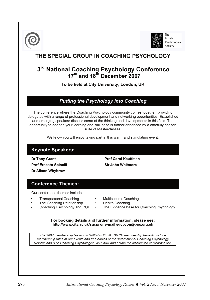



## **THE SPECIAL GROUP IN COACHING PSYCHOLOGY**

## **3rd National Coaching Psychology Conference 17th and 18th December 2007**

**To be held at City University, London, UK** 

*Putting the Psychology into Coaching* 

The conference where the Coaching Psychology community comes together, providing delegates with a range of professional development and networking opportunities. Established and emerging speakers discuss some of the thinking and developments in this field. The opportunity to deepen your learning and skill base is further enhanced by a carefully chosen suite of Masterclasses.

We know you will enjoy taking part in this warm and stimulating event.

## **Keynote Speakers:**

**Prof Ernesto Spinelli** Sir John Whitmore **Dr Alison Whybrow** 

**Dr Tony Grant Carol Kauffman** 

## **Conference Themes:**

Our conference themes include:

- Transpersonal Coaching Multicultural Coaching
	- The Coaching Relationship
- 
- 
- 
- Coaching Psychology and ROI The Evidence base for Coaching Psychology

**For booking details and further information, please see: http://www.city.ac.uk/sgcp/ or e-mail sgcpcon@bps.org.uk**

*The 2007 membership fee to join SGCP is £3.50. SGCP membership benefits include membership rates at our events and free copies of the 'International Coaching Psychology Review' and 'The Coaching Psychologist'. Join now and obtain the discounted conference fee.*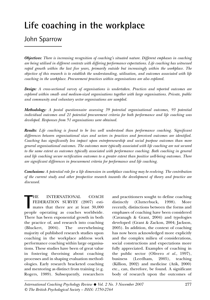# **Life coaching in the workplace**

# John Sparrow

**Objectives:** *There is increasing recognition of coaching's situated nature. Different emphases in coaching are being utilised in different contexts with differing performance expectations. Life coaching has witnessed rapid growth within the last five years, primarily outside but increasingly within the workplace. The objective of this research is to establish the understanding, utilisation, and outcomes associated with life coaching in the workplace. Procurement practices within organisations are also explored.* 

**Design:** *A cross-sectional survey of organisations is undertaken. Practices and reported outcomes are explored within small- and medium-sized organisations together with large organisations. Private, public and community and voluntary sector organisations are sampled.*

**Methodology:** *A postal questionnaire assessing 39 potential organisational outcomes, 93 potential individual outcomes and 21 potential procurement criteria for both performance and life coaching was developed. Responses from 51 organisations were obtained.*

**Results:** *Life coaching is found to be less well understood than performance coaching. Significant differences between organisational sizes and sectors in practices and perceived outcomes are identified. Coaching has significantly less impact upon entrepreneurship and social purpose outcomes than more general organisational outcomes. The outcomes more typically associated with life coaching are not secured to the same extent as outcomes typically associated with performance coaching. Both coaching in general and life coaching secure rectification outcomes to a greater extent than positive well-being outcomes. There are significant differences in procurement criteria for performance and life coaching.*

**Conclusions:** *A potential role for a life dimension in workplace coaching may be evolving. The contribution of the current study and other prospective research towards the development of theory and practice are discussed.*

THE INTERNATIONAL COACH<br>
FEDERATION SURVEY (2007) esti-<br>
mates that there are at least 30,000<br>
people operating as coaches worldwide. HE INTERNATIONAL COACH FEDERATION SURVEY (2007) estimates that there are at least 30,000 There has been exponential growth in both the practice of, and research into coaching (Bluckert, 2004). The overwhelming majority of published research studies upon coaching in the workplace address work performance coaching within large organisations. These studies have been of great value in fostering theorising about coaching processes and in shaping evaluation methodologies. Early research bracketed coaching and mentoring as distinct from training (e.g. Rogers, 1989). Subsequently, researchers

and practitioners sought to define coaching distinctly (Clutterbuck, 1998). More recently, distinctions between the forms and emphases of coaching have been considered (Cavanagh & Grant, 2004) and typologies developed (Grant & Zackon, 2004; Jackson, 2005). In addition, the context of coaching has now been acknowledged more explicitly and the complex milieu of considerations, social constructions and expectations more fully appreciated. Examples of coaching in the public sector (Olivero *et al.*, 1997), business (Leedham, 2005), teaching (Killion, 2002) and medicine (Atik, 2000) etc., can, therefore, be found. A significant body of research upon the outcomes of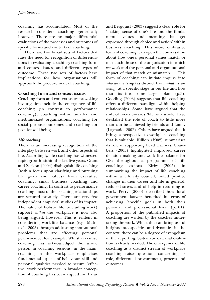coaching has accumulated. Most of the research considers coaching generically however. There are no major differential evaluations of the processes and outcomes of specific forms and contexts of coaching.

There are two broad sets of factors that raise the need for recognition of differentiations in evaluating coaching: coaching form and context issues, and different types of outcome. These two sets of factors have implications for how organisations will approach the procurement of coaching.

## **Coaching form and context issues**

Coaching form and context issues provoking investigation include the emergence of life coaching (in contrast to performance coaching), coaching within smaller and medium-sized organisations, coaching for social purpose outcomes and coaching for positive well-being.

## **Life coaching**

There is an increasing recognition of the interplay between work and other aspects of life. Accordingly, life coaching has witnessed rapid growth within the last five years. Grant and Zackon (2004) distinguish life coaching (with a focus upon clarifying and pursuing life goals and values) from executive coaching, small business coaching and career coaching. In contrast to performance coaching, most of the coaching relationships are secured privately. There are very few independent empirical studies of its impact. The value of holistic life (including work) support *within* the workplace is now also being argued, however. This is evident in considering work-life balance (e.g. McIntosh, 2003) through addressing motivational problems that are affecting personal performance, for example. Whilst executive coaching has acknowledged the whole person in coaching sessions, in the main, coaching in the workplace emphasises fundamental aspects of behaviour, skill and personal qualities needed to secure 'effective' work performance. A broader conception of coaching has been argued for. Lazar

and Bergquist (2003) suggest a clear role for 'making sense of one's life and the fundamental values and meaning that get expressed through choice and action' within business coaching. This more embrasive form of coaching 'can open the conversation about how one's personal values match or mismatch those of the organisation in which we work and the personal and organisational impact of that match or mismatch … This form of coaching can initiate inquiry into *who we are being* (as distinct from *what we are doing*) at a specific stage in our life and how that fits into some larger plan' (p.3). Gooding (2003) suggests that life coaching offers a different paradigm within helping relationships. Some have argued that the shift of focus towards 'life as a whole' have de-skilled the role of coach to little more than can be achieved by friends and family (Lagnado, 2002). Others have argued that it brings a perspective to workplace coaching that is valuable. Killion (2002) summarises its role in supporting head teachers. Chambers (2005) highlighted improved career decision making and work life balance for GPs throughout a programme of life coaching sessions. Kirby (2005), summarising the impact of life coaching within a UK city council, noted positive changes in their career and life in general, reduced stress, and of help in returning to work. Perry (2006) described how local government lawyers benefited in terms of achieving 'specific goals in both their personal and professional lives' (p.101). A proportion of the published impacts of coaching are written by the coaches undertaking the work. Whilst this can bring useful insights into specifics and dynamics in the context, there can be a degree of evangelism in the reporting. Systematic external evaluation is clearly needed. The emergence of life coaching as a distinct stream of workplace coaching raises questions concerning its role, differential procurement, process and outcomes.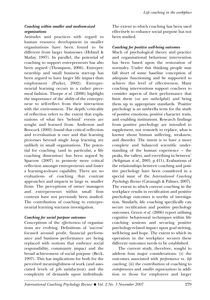## **Coaching within smaller and medium-sized organisations**

Attitudes and practices with regard to human resource development in smaller organisations have been found to be different from larger businesses (Hyland & Matlay, 1997). In parallel, the potential of coaching to support entrepreneurs has also been argued (Thompson, 2006). Entrepreneurship and small business start-up has been argued to have larger life impact than employment (Parker, 2002). Entrepreneurial learning occurs in a rather piecemeal fashion. Thorpe *et al.* (2006) highlight the importance of the *ability* of the entrepreneur to self-reflect from their interaction with the environment. The depth/criticality of reflection refers to the extent that explanations of what lies 'behind' events are sought and learned from. Anderson and Boocock (2002) found that critical reflection and re-evaluation is rare and that learning processes beyond single loop learning are unlikely in small organisations. The potential for coaching (and in particular, a life coaching dimension) has been argued by Sparrow (2007) to promote more critical reflection amongst entrepreneurs and foster a learning-to-learn capability. There are no evaluations of coaching that contrast approaches and impacts in large vs. smaller firms. The perceptions of owner managers and entrepreneurs within small firm contexts have not previously been studied. The contribution of coaching to entrepreneurial learning warrants investigation.

## **Coaching for social purpose outcomes**

Conceptions of the *effectiveness* of organisations are evolving. Definitions of 'success' focused around profit, financial performance and business performance are being replaced with notions that embrace social responsibility, community impact and the broad achievement of social purpose (Beck, 1997). This has implications for both for the perceived meaningfulness of work (and associated levels of job satisfaction) and the complexity of demands upon individuals.

The extent to which coaching has been used effectively to enhance social purpose has not been studied.

## **Coaching for positive well-being outcomes**

Much of psychological theory and practice and organisational behaviour intervention has been based upon the restoration of normalcy. Under this thinking people may fall short of some baseline conception of adequate functioning and be supported to achieve this level of effectiveness. Many coaching interventions support coachees to consider aspects of their performance that limit them (or are unhelpful) and bring them up to appropriate standards. 'Positive psychology is an umbrella term for the study of positive emotions, positive character traits, and enabling institutions. Research findings from positive psychology are intended to supplement, not remotely to replace, what is known about human suffering, weakness, and disorder. The intent is to have a more complete and balanced scientific understanding of the human experience – the peaks, the valleys, and everything in between' (Seligman *et al.*, 2005, p.411). Evaluations of the relationships between coaching and positive psychology have been considered in a special issue of the *International Coaching Psychology Review* (Cavanagh & Palmer, 2007). The extent to which current coaching in the workplace results in rectification and positive psychology outcomes is worthy of investigation. Similarly, life coaching specifically can secure rectification and positive psychology outcomes. Green *et al.* (2006) report utilising cognitive behavioural techniques within life coaching sessions and securing positive psychology-related impact upon goal striving, well-being and hope. The extent to which its operation in the workplace secures these different outcomes needs to be established.

The current study, therefore, sought to address four major considerations: (i) the outcomes associated with *performance* vs. *life coaching*; (ii) the contribution of coaching to *entrepreneurs* and *smaller organisations* in addition to those for employees and larger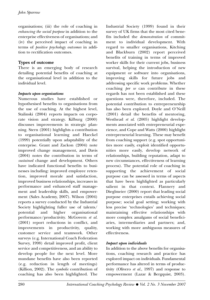organisations; (iii) the role of coaching in *enhancing the social purpose* in addition to the enterprise effectiveness of organisations; and (iv) the perceived impact of coaching in terms of *positive psychology outcomes* in addition to rectification outcomes.

## **Types of outcome**

There is an emerging body of research detailing potential benefits of coaching at the organisational level in addition to the individual level.

## **Impacts upon organisations**

Numerous studies have established or hypothesised benefits to organisations from the use of coaching. At the highest level, Stalinski (2004) reports impacts on corporate vision and strategy. Kilburg (2000) discusses improvements in strategic planning. Stern (2001) highlights a contribution to organisational learning and Haeckel (1999) potentially upon adaptability of the enterprise. Grant and Zackon (2004) note improved change management, and Davis (2004) notes the contribution in terms of *sustained* change and development. Others have indicated functional benefits to businesses including: improved employee retention, improved morale and satisfaction, improved business relationships, increases in performance and enhanced staff management and leadership skills, and empowerment (Sales Academy, 2007). Wilson (2004) reports a survey conducted by the Industrial Society highlighting fuller use of talents/ potential and higher organisational performance/productivity. McGovern *et al.* (2001) report reductions in conflict, and improvements in productivity, quality, customer service and teamwork. Other surveys (e.g. International Coach Federation Survey, 1998) detail improved profit, client service and competitiveness, and an ability to develop people for the next level. More mundane benefits have also been reported (e.g. reduction in length of meetings) (Killion, 2002). The *symbolic* contribution of coaching has also been highlighted. The

Industrial Society (1999) found in their survey of UK firms that the most cited benefits included the *demonstration* of commitment to individual development. With regard to smaller organisations, Kitching and Blackburn (2002) report perceived benefits of training in terms of improved worker skills for their current jobs, business survival, helping the introduction of new equipment or software into organisations, improving skills for future jobs and addressing specific work problems. Whether coaching *per se* can contribute in these regards has not been established and these questions were, therefore, included. The potential contribution to entrepreneurship has also been explored. Doyle and O'Neill (2001) detail the benefits of mentoring, Westhead *et al*. (2005) highlight developments associated with entrepreneurial experience, and Cope and Watts (2000) highlight entrepreneurial learning. These may benefit from coaching support (e.g. spot opportunities more easily, exploit identified opportunities more easily, develop network of relationships, building reputation, adapt to new circumstances, effectiveness of learning process). The potential role of coaching in supporting the achievement of social purpose can be assessed in terms of aspects that have been highlighted as particularly salient in that context. Flannery and Dieglmeier (2000) report that leading social purpose enterprises entails achieving social purpose; social goal setting; working with less precise 'technologies' and techniques; maintaining effective relationships with more complex amalgams of social beneficiaries, intermediaries and partners; and, working with more ambiguous measures of effectiveness.

## **Impact upon individuals**

In addition to the above benefits for organisations, coaching research and practice has explored impact on individuals. Fundamental performance has altered in terms of productivity (Olivero *et al.*, 1997) and response to empowerment (Lazar & Bergquist, 2003).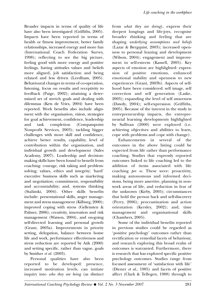Broader impacts in terms of quality of life have also been investigated (Griffiths, 2005). Impacts have been reported in terms of health or fitness improvement, better family relationships, increased energy and more fun (International Coach Federation Survey, 1998); reflecting to see the big picture, feeling good with more energy and positive feelings, having attitudes values and beliefs more aligned, job satisfaction and being relaxed and less driven (Leedham, 2005). Behavioural changes in terms of co-operation, listening, focus on results and receptivity to feedback (Paige, 2002); attaining a determined set of stretch goals and dealing with dilemmas (Kets de Vries, 2004) have been reported. Work benefits also include alignment with the organisation, vision, strategies for goal achievement, confidence, leadership and task completion (Compasspoint Nonprofit Services, 2003); tackling bigger challenges with more skill and confidence, achieve better results, capability, level of contribution within the organisation, and individual growth and development (Sales Academy, 2007). Leadership and decisionmaking skills have been found to benefit from coaching: courage, risk taking and problemsolving; values, ethics and integrity; 'hard' executive business skills such as marketing and negotiation; commitment, responsibility and accountability; and, systems thinking (Stalinski, 2004). Other skills benefits include: presentational skills, anger management and stress management (Kilburg, 2000); improved coping with stress (Gyllensten & Palmer, 2006); creativity, innovation and risk management (Watson, 2004), and on-going self-directed learning and personal growth (Grant, 2003a). Improvements in priority setting, delegation, balance between home life and work, performance effectiveness and stress reduction are reported by Atik (2000) and setting specific, rather than vague, goals by Smither *et al.* (2003).

Personal qualities have also been reported to be developed: presence, increased motivation levels, can initiate inquiry into *who they are being* (as distinct from *what they are doing*), express their deepest longings and life-joys, recognise broader thinking and feeling that are shaping *underlying assumptions and beliefs* (Lazar & Bergquist, 2003); increased openness to personal leaning and development (Wilson, 2004); engagement and improvement in self-esteem (Kassell, 2005). Key aspects of emotion are highlighted: expression of positive emotions, enhanced emotional stability and openness to new experiences (Grant, 2003b). Aspects of selfhood have been considered: self image, self correction and self generation (Laske, 2003); expanding the level of self awareness (Dawdy, 2004); self-expression (Griffiths, 2005). Because of the interest in the study in entrepreneurship impacts, the entrepreneurial learning developments highlighted by Sullivan (2000) were explored (i.e. achieving objectives and abilities to learn, cope with problems and cope with change).

Enhancements in several of the outcomes in the above listing could be expected from life rather than performance coaching. Studies that expressly reported outcomes linked to life coaching led to the addition of items associated with life coaching *per se*. These were: proactivity, making autonomous and informed decisions, being more assertive, planning in nonwork areas of life, and reduction in fear of the unknown (Kirby, 2005); circumstances that hold the person back and self-discovery (Perry, 2006); procrastination and action orientation (Kersley, 2002); and, time management and organisational skills (Chambers, 2005).

Some of the individual benefits reported in previous studies could be regarded as 'positive psychology' outcomes rather than rectification or remedial facets of behaviour, and research exploring this broad realm of outcomes is warranted. Furthermore, there is research that has explored specific positive psychology outcomes. Studies range from focused assessment of 'satisfaction with life' (Diener *et al.*, 1985) and facets of positive affect (Clark & Tellegen, 1988) through to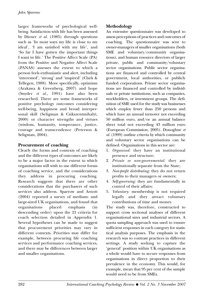larger frameworks of psychological wellbeing. Satisfaction with life has been assessed by Diener *et al.* (1985) through questions such as 'In most ways my life is close to my ideal', 'I am satisfied with my life', and 'So far I have gotten the important things I want in life.' The Positive Affect Scale (PA) from the Positive and Negative Affect Scale (PANAS) assesses the extent to which a person feels enthusiastic and alert, including 'interested', 'strong' and 'inspired' (Clark & Tellegen, 1988). More specifically, optimism (Arakawa & Greenberg, 2007) and hope (Snyder *et al.*, 1991) have also been researched. There are some frameworks of positive psychology outcomes considering well-being, happiness and broad interpersonal skill (Seligman & Csikszentmihalyi, 2000) or character strengths and virtues (wisdom, humanity, temperance, justice, courage and transcendence (Peterson & Seligman, 2004).

## **Procurement of coaching**

Clearly the forms and contexts of coaching and the different types of outcomes are likely to be a major factor in the extent to which organisations will wish to use different forms of coaching service, and the considerations they address in procuring coaching. Research suggests that there are other considerations that the purchasers of such services also address. Sparrow and Arnott (2004) reported a survey of medium- and large-sized UK organisations, and found that organisations placed emphasis (in descending order) upon the 21 criteria for coach selection detailed in Appendix 1. Several hypotheses can be made to suggest that procurement priorities may vary in different contexts. Priorities may differ for example, between procuring life coaching services and performance coaching services, and there may be differences between larger and smaller organisations.

## **Methodology**

An extensive questionnaire was developed to assess perceptions of practices and outcomes of coaching. The questionnaire was sent to owner-managers of smaller organisations (both SME and voluntary/community organisations), and human resource directors of larger private, public and community/voluntary sector organisations. Public sector organisations are financed and controlled by central government, local authorities, or publicly funded corporations. Private sector organisations are financed and controlled by individuals or private institutions, such as companies, stockholders, or investment groups. The definition of SME used for the study was businesses which employ fewer than 250 persons and which have an annual turnover not exceeding 50 million euro, and/or an annual balance sheet total not exceeding 43 million euro (European Commission, 2005). Donoghue *et al.* (1999) outline criteria by which community and voluntary sector organisations can be defined. Organisations in this sector are:

- 1. *Organised:* they have an institutional presence and structure;
- 2. *Private or non-governmental:* they are institutionally separate from the State;
- 3. *Non-profit distributing:* they do not return profits to their managers or owners;
- 4. *Self-governing:* they are fundamentally in control of their affairs;
- 5. *Voluntary:* membership is not required legally and they attract voluntary contributions of time and money.

The study was, therefore, constructed to support cross sectional analyses of different organisational sizes and industrial sectors. A quota sampling approach was used to ensure sufficient responses in each category for statistical analysis purposes. The emphasis in the research was to contrast practices in different settings. A study seeking to capture the 'general' position within UK organisations as a whole would have to secure responses from organisations in direct proportion to their prevalence in the economy. This would, for example, mean that 95 per cent of the sample would need to be from SMEs.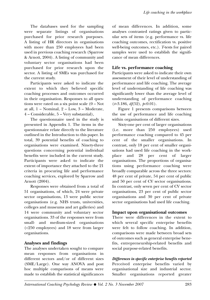The databases used for the sampling were separate listings of organisations purchased for prior research purposes. A listing of HR directors in organisations with more than 250 employees had been used in previous coaching research (Sparrow & Arnott, 2004). A listing of community and voluntary sector organisations had been purchased for prior research upon the sector. A listing of SMEs was purchased for the current study.

Participants were asked to indicate the extent to which they believed specific coaching processes and outcomes occurred in their organisation. Responses to all questions were rated on a six point scale (0 – Not at all,  $1 - \text{Nominal}, 2 - \text{Low}, 3 - \text{Modern}}$ 4 – Considerable, 5 – Very substantial),

The questionnaire used in the study is presented in Appendix 1. The items in the questionnaire relate directly to the literature outlined in the Introduction to this paper. In total, 39 potential benefits of coaching to organisations were examined. Ninety-three questions concerning potential individual benefits were included in the current study. Participants were asked to indicate the extent of importance they attached to the 21 criteria in procuring life and performance coaching services, explored by Sparrow and Arnott (2004).

Responses were obtained from a total of 51 organisations, of which, 24 were private sector organisations, 13 were public sector organisations (e.g. NHS trusts, universities, colleges and museums and art galleries) and 14 were community and voluntary sector organisations. 33 of the responses were from small- and medium-sized organisations (<250 employees) and 18 were from larger organisations.

## **Analyses and findings**

The analyses undertaken sought to compare mean responses from organisations in different sectors and/or of different sizes (SME/Large). One way ANOVA and post hoc multiple comparisons of means were made to establish the statistical significances of mean differences. In addition, some analyses contrasted ratings given to particular sets of items (e.g. performance vs. life coaching outcomes, rectification vs. positive well-being outcomes, etc.). *T*-tests for paired samples were used to establish the significance of mean differences.

## **Life vs. performance coaching**

Participants were asked to indicate their own assessment of their level of understanding of performance and life coaching. The average level of understanding of life coaching was significantly lower than the average level of understanding of performance coaching (*t*=3.186, *df*(52), *p*<0.01).

Figure 1 presents comparisons between the use of performance and life coaching within organisations of different sizes.

Sixty-one per cent of larger organisations (i.e. more than 250 employees) used performance coaching compared to 45 per cent of the smaller organisations. In contrast, only 18 per cent of smaller organisations had used life coaching in the workplace and 28 per cent of larger organisations. The proportions of organisations using performance coaching were broadly comparable across the three sectors: 48 per cent of private, 54 per cent of public and 50 per cent of CV sector organisations. In contrast, only seven per cent of CV sector organisations, 23 per cent of public sector organisations and 30 per cent of private sector organisations had used life coaching.

## **Impact upon organisational outcomes**

There were differences in the extent to which several specific enterprise benefits were felt to follow coaching. In addition, comparisons were made between broad sets of outcomes such as general enterprise benefits, entrepreneurship-related benefits and social purpose-related benefits.

## **Differences in specific enterprise benefits reported** Perceived enterprise benefits varied by organisational size and industrial sector. Smaller organisations reported greater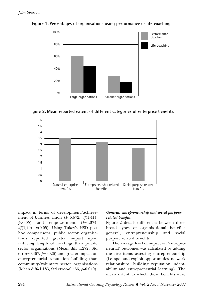

**Figure 1: Percentages of organisations using performance or life coaching.**

**Figure 2: Mean reported extent of different categories of enterprise benefits.**



impact in terms of development/achievement of business vision (*F*=6.672, *df*(1,41), *p*<0.05) and empowerment (*F*=4.374, *df*(1,40), *p*<0.05). Using Tukey's HSD post hoc comparisons, public sector organisations reported greater impact upon reducing length of meetings than private sector organisations (Mean diff=1.272, Std error=0.467,  $p=0.026$ ) and greater impact on entrepreneurial reputation building than community/voluntary sector organisations (Mean diff=1.183, Std error=0.466, *p*=0.040).

## **General, entrepreneurship and social purposerelated benefits**

Figure 2 details differences between three broad types of organisational benefits: general, entrepreneurship and social purpose related benefits.

The average level of impact on 'entrepreneurial' outcomes was calculated by adding the five items assessing entrepreneurship (i.e. spot and exploit opportunities, network relationships, building reputation, adaptability and entrepreneurial learning). The mean extent to which these benefits were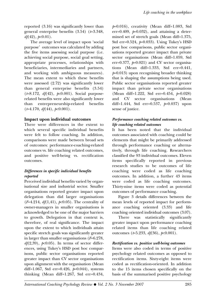reported (3.16) was significantly lower than general enterprise benefits (3.54) (*t*=3.348, *df*(42), *p*<0.01).

The average level of impact upon 'social purpose' outcomes was calculated by adding the five items assessing social purpose (i.e. achieving social purpose, social goal setting, appropriate processes, relationships with beneficiaries, intermediaries and partners, and working with ambiguous measures). The mean extent to which these benefits were assessed (2.72) was significantly lower than general enterprise benefits (3.54) (*t*=8.172, *df*(42), *p*<0.001). Social purposerelated benefits were also significantly lower than entrepreneurship-related benefits (*t*=4.170, *df*(44), *p*<0.001).

## **Impact upon individual outcomes**

There were differences in the extent to which several specific individual benefits were felt to follow coaching. In addition, comparisons were made between broad sets of outcomes: performance-coaching-related outcomes vs. life coaching related outcomes, and positive well-being vs. rectification outcomes.

## **Differences in specific individual benefits reported**

Perceived individual benefits varied by organisational size and industrial sector. Smaller organisations reported greater impact upon delegation than did larger organisations (*F*=4.214, *df*(1,41), *p*<0.05). The centrality of owner-managers in smaller organisations is acknowledged to be one of the major barriers to growth. Delegation in that context is, therefore, of real significance. The impact upon the extent to which individuals attain specific stretch goals was significantly greater in larger than smaller organisations (*F*=6.278,  $df(2,39)$ ,  $p<0.05$ ). In terms of sector differences, using Tukey's HSD post hoc comparisons, public sector organisations reported greater impact than CV sector organisations upon alignment with the organisation (Mean diff=1.067, Std err=0.426, *p*=0.044), systems thinking (Mean diff=1.267, Std err=0.434, *p*=0.016), creativity (Mean diff=1.083, Std err=0.409,  $p=0.032$ ), and attaining a determined set of stretch goals (Mean diff=1.375, Std err=0.524, *p*=0.033). Using Tukey's HSD post hoc comparisons, public sector organisations reported greater impact than private sector organisations (Mean diff=1.059, Std err= $0.377$ ,  $p=0.021$ ) and CV sector organisations (Mean diff=1.333, Std err=0.441, *p*=0.013) upon recognising broader thinking that is shaping the assumptions being used. Public sector organisations reported greater impact than private sector organisations (Mean diff=1.222, Std err=0.454, *p*=0.028) and CV sector organisations (Mean diff=1.444, Std err=0.537, *p*=0.037) upon sense of justice.

## **Performance coaching related outcomes vs. life coaching related outcomes**

It has been noted that the individual outcomes associated with coaching could be elements that might be primarily addressed through performance coaching or alternatively, through life coaching. Researchers classified the 93 individual outcomes. Eleven items specifically reported in previous research studies to be outcomes of life coaching were coded as life coaching outcomes. In addition, a further 43 items were coded as life coaching outcomes. Thirty-nine items were coded as potential outcomes of performance coaching.

Figure 3 details differences between the mean levels of reported impact for performance coaching oriented (3.33) and life coaching oriented individual outcomes (3.07).

There was statistically significantly greater impact upon performance coaching related items than life coaching related outcomes (*t*=5.233, *df*(36), *p*<0.001).

### **Rectification vs. positive well-being outcomes**

Items were also coded in terms of positive psychology related outcomes as opposed to rectification items. Sixty-eight items were coded as rectification-oriented. In addition to the 15 items chosen specifically on the basis of the summarised positive psychology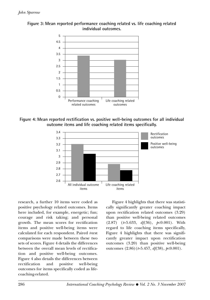

**Figure 3: Mean reported performance coaching related vs. life coaching related individual outcomes.**





research, a further 10 items were coded as positive psychology related outcomes. Items here included, for example, energetic; fun; courage and risk taking; and personal growth. The mean scores for rectification items and positive well-being items were calculated for each respondent. Paired *t*-test comparisons were made between these two sets of scores. Figure 4 details the differences between the overall mean levels of rectification and positive well-being outcomes. Figure 4 also details the differences between rectification and positive well-being outcomes for items specifically coded as lifecoaching-related.

Figure 4 highlights that there was statistically significantly greater coaching impact upon rectification related outcomes (3.29) than positive well-being related outcomes (2.87) (*t*=5.633, *df*(36), *p*<0.001). With regard to life coaching items specifically, Figure 4 highlights that there was significantly greater impact upon rectification outcomes (3.20) than positive well-being outcomes (2.86)(*t*=5.457, *df*(38), *p*<0.001).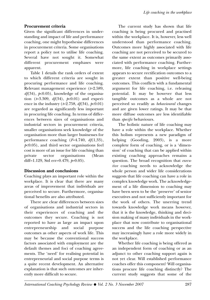## **Procurement criteria**

Given the significant differences in understanding and impact of life and performance coaching, one might hypothesise differences in procurement criteria. Some organisations report a policy not to utilise life coaching. Several have not sought it. Somewhat different procurement emphases were apparent.

Table 1 details the rank orders of extent to which different criteria are sought in procuring performance and life coaching. Relevant management experience (*t*=2.589,  $df(34)$ ,  $p<0.05$ ), knowledge of the organisation (*t*=3.309, *df*(34), *p*<0.01) and experience in the industry ( $t=2.758$ ,  $df(34)$ ,  $p<0.01$ ) are regarded as significantly less important in procuring life coaching. In terms of differences between sizes of organisations and industrial sectors in procurement criteria, smaller organisations seek knowledge of the organisation more than larger businesses for performance coaching (*F*=4.740, *df*(1,33),  $p<0.05$ ), and third sector organisations feel cost is more of an issue for life coaching than private sector organisations (Mean diff=1.129, Std err=0.479, *p*=0.05).

## **Discussion and conclusions**

Coaching plays an important role within the workplace. It is clear that there are many areas of improvement that individuals are perceived to secure. Furthermore, organisational benefits are also attributed.

There are clear differences between sizes of organisations and industrial sectors in their experiences of coaching and the outcomes they secure. Coaching is not reported to have as large an impact upon entrepreneurship and social purpose outcomes as other aspects of work life. This may be because the conventional success factors associated with employment are the default themes and foci of coaching agreements. The 'need' for realising potential in entrepreneurial and social purpose terms is a quite recent development. An alternative explanation is that such outcomes are inherently more difficult to secure.

The current study has shown that life coaching is being procured and practised within the workplace. It is, however, less well understood than performance coaching. Outcomes more highly associated with life coaching are not perceived to be secured to the same extent as outcomes primarily associated with performance coaching. Furthermore, life coaching in workplace settings appears to secure rectification outcomes to a greater extent than positive well-being outcomes. This conflicts with a fundamental argument for life coaching, i.e. releasing potential. It may be however that less tangible outcomes as a whole are not perceived so readily as *behavioural* changes and are given lower ratings. It may be that more diffuse outcomes are less identifiable than *specific* behaviours.

The holistic nature of life coaching may have a role within the workplace. Whether this holism represents a new paradigm of helping (Gooding, 2003), is a more complete form of coaching, or is a 'dimension' of coaching that can be applied within existing coaching approaches remains a question. The broad recognition that *executive* coaching needs to acknowledge the whole person and wider life considerations suggests that life coaching can have a role in complex knowledge work. The acknowledgement of a life dimension to coaching may have been seen to be the 'preserve' of senior executives and not sufficiently important for the work of others. The unerring trend towards knowledge work means however, that it is the knowledge, thinking and decision making of many individuals in the workplace that now contribute to organisational success and the life coaching perspective may increasingly have a role more widely in the workplace.

Whether life coaching is being offered as an independent form of coaching or as an adjunct to other coaching support again is not yet clear. Will established performance coaches offer this component? Will organisations procure life coaching distinctly? The current study suggests that some of the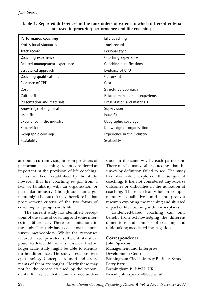| Table 1: Reported differences in the rank orders of extent to which different criteria |  |  |  |
|----------------------------------------------------------------------------------------|--|--|--|
| are used in procuring performance and life coaching.                                   |  |  |  |

| Performance coaching          | Life coaching                 |  |
|-------------------------------|-------------------------------|--|
| Professional standards        | Track record                  |  |
| Track record                  | Personal style                |  |
| Coaching experience           | Coaching experience           |  |
| Related management experience | Coaching qualifications       |  |
| Structured approach           | Evidence of CPD               |  |
| Coaching qualifications       | Culture fit                   |  |
| Evidence of CPD               | Cost                          |  |
| Cost                          | Structured approach           |  |
| Culture fit                   | Related management experience |  |
| Presentation and materials    | Presentation and materials    |  |
| Knowledge of organisation     | Supervision                   |  |
| Issue fit                     | Issue fit                     |  |
| Experience in the industry    | Geographic coverage           |  |
| Supervision                   | Knowledge of organisation     |  |
| Geographic coverage           | Experience in the industry    |  |
| Scalability                   | Scalability                   |  |

attributes currently sought from providers of performance coaching are not considered as important in the provision of life coaching. It has not been established by the study, however, that life coaching *benefits* from a lack of familiarity with an organisation or particular industry (though such an argument might be put). It may therefore be that procurement criteria of the two forms of coaching will progressively blur.

The current study has identified perceptions of the value of coaching and some interesting differences. There are limitations in the study. The study has used a cross sectional survey methodology. Whilst the responses secured have provided sufficient statistical power to detect differences, it is clear that an larger scale study might be able to identify further differences. The study uses a positivist epistemology. Concepts are used and assessments of them are sought. Clearly these may not be the constructs used by the respondents. It may be that items are not understood in the same way by each participant. There may be many other outcomes that the survey by definition failed to see. The study has also solely explored the *benefits* of coaching. It has not considered any adverse outcomes or difficulties in the utilisation of coaching. There is clear value in complementary qualitative and interpretivist research exploring the meaning and situated impact of life coaching within workplaces.

Evidenced-based coaching can only benefit from acknowledging the different dimensions and contexts of coaching and undertaking associated investigations.

## **Correspondence John Sparrow**

Management and Enterprise Development Centre, Birmingham City University Business School, Perry Barr, Birmingham B42 2SU, UK. E-mail: john.sparrow@bcu.ac.uk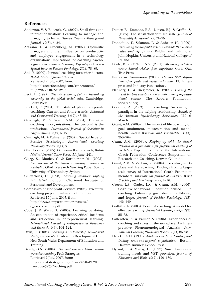#### **References**

- Anderson, V. & Boocock, G. (2002). Small firms and internationalisation: Learning to manage and managing to learn. *Human Resource Management Journal, 12*(3), 5–24.
- Arakawa, D. & Greenberg, M. (2007). Optimistic managers and their influence on productivity and employee engagement in a technology organisation: Implications for coaching psychologists. *International Coaching Psychology Review – Special Issue on Positive Psychology, 2*(1), 78–89.
- Atik, Y. (2000). Personal coaching for senior doctors, *British Medical Journal Careers.* Retrieved 2 July, 2007, from: http://careerfocus.bmj.com/cgi/content/ full/320/7240/S2-7240
- Beck, U. (1997). *The reinvention of politics: Rethinking modernity in the global social order.* Cambridge: Polity Press.
- Bluckert, P. (2004). The state of play in corporate coaching: Current and future trends. *Industrial and Commercial Training, 36*(2), 53–56.
- Cavanagh, M. & Grant, A.M. (2004). Executive coaching in organisations: The personal is the professional. *International Journal of Coaching in Organisations, 2*(2), 6–15.
- Cavanagh, M. & Palmer, S. (2007). Special Issue on Positive Psychology. *International Coaching Psychology Review, 2*(1), 3.
- Chambers, R. (2005). Get yourself a life coach, *British Medical Journal Career Focus, 11*, June, 241.
- Clegg, S., Rhodes, C. & Kornberger, M. (2003). *An overview of the business coaching industry in Australia.* OVAL Research Working Paper 03–11, University of Technology, Sydney.
- Clutterbuck, D. (1998). *Learning alliances: Tapping into talent.* London: Chartered Institute of Personnel and Development.
- CompassPoint Nonprofit Services (2003). Executive coaching project: Evaluation of findings. Retrieved 15 June, 2007, from: http://www.compasspoint.org/assets/ 6\_execcoaching.pdf
- Cope, J. & Watts, G. (2000). Learning by doing: An exploration of experience, critical incidents and reflection in entrepreneurial learning. *International Journal of Entrepreneurial Behaviour and Research, 6*(3), 104–124.
- Davis, R. (2004). *Coaching as a leadership development strategy in schools.* Leadership Development Unit, New South Wales Department of Education and Training.
- Dawdy, G.N. (2004). *The most common phases within executive coaching.* Peak Strategies. Retrieved 2 July, 2007, from:
	- http://peakstrategies.net/Phases%20of%20 Executive%20Coaching.pdf
- Diener, E., Emmons, R.A., Larsen, R.J. & Griffin, S. (1985). The satisfaction with life scale. *Journal of Personality Assessment, 49*, 71–75.
- Donoghue, F., Salamon, L. & Anheier, H. (1999). *Uncovering the nonprofit sector in Ireland: Its economic value and significance.* Dublin and Baltimore: John Hopkins University and National College of Ireland.
- Doyle, B. & O'Neill, N.V. (2001). *Mentoring entrepreneurs: Shared wisdom from experience.* Cork: Oak Tree Press.
- European Commission (2005). *The new SME definition: User guide and model declaration.* EU Enterprise and Industry Publications.
- Flannery, D. & Dieglmeier, K. (2000). *Leading the social purpose enterprise: An examination of organisational culture.* The Roberts Foundation: www.redf.org
- Gooding, A. (2003). Life coaching: An emerging paradigm in the helping relationship. *Annals of the American Psychotherapy Association, Vol. 6*, March.
- Grant, A.M. (2003a). The impact of life coaching on goal attainment, metacognition and mental health. *Social Behavior and Personality, 31*(3), 253–264.
- Grant, A.M. (2003b). *Keeping up with the cheese! Research as a foundation for professional coaching of the future.* Paper presented at the International Coach Federation Conference Symposium on Research and Coaching, Denver, Colorado.
- Grant, A.M. & Zackon, R. (2004). Executive, workplace and life coaching: Findings from a largescale survey of International Coach Federation members. *International Journal of Evidence Based Coaching and Mentoring, 2*(2), 1–16.
- Green, L.S., Oades, L.G. & Grant, A.M. (2006). Cognitive-behavioral, solution-focused life coaching: Enhancing goal striving, well-being, and hope. *Journal of Positive Psychology, 1*(3), 142–149.
- Griffiths, K. (2005). Personal coaching: A model for effective learning. *Journal of Learning Design 1*(2), 55–65.
- Gyllensten, K. & Palmer, S. (2006). Experiences of coaching and stress in the workplace: An Interpretative Phenomenological Analysis. *International Coaching Psychology Review, 1*(1), 86–98.
- Haeckel, S.H. (1999). *Adaptive enterprise: Creating and leading sense-and-respond organizations.* Boston: Harvard Business School Press.
- Hyland, T. & Matlay, H. (1997). Small businesses, training needs and VET provision. *Journal of Education and Work, 10*(2), 129–139.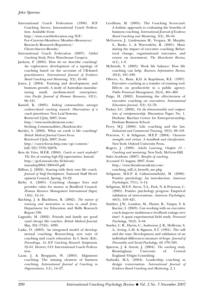- International Coach Federation (1998). ICF Coaching Survey, International Coach Federation. Available from: http://www.coachfederation.org/ICF/ For+Current+Members/Member+Resources/
	- Research/Research+Repository/

Client+Survey+Results/

- International Coach Federation (2007). *Global Coaching Study.* Price Waterhouse Coopers.
- Jackson, P. (2005). How do we describe coaching? An exploratory development of a typology of coaching based on the accounts of UK-based practitioners. *International Journal of Evidence Based Coaching and Mentoring, 3*(2), 45–60.
- Jones, J. (2004). Training and development, and business growth: A study of Australian manufac-<br>turing small, medium-sized enterprises. turing small, medium-sized *Asia Pacific Journal of Human Resources, 42*(1), 96–121.
- Kassell, K. (2005). *Seeking commonalities amongst evidence-based coaching research: Observations of a coach–practitioner.* New Leaf Systems. Retrieved 2 July, 2007, from: http://www.newleafsystems.com/ Seeking\_Commonalities\_Handout.doc

Kersley, S. (2002). What on earth is life coaching? *British Medical Journal Career Focus.* Retrieved 2 July, 2007, from: http://careerfocus.bmj.com/cgi/content/ full/325/7378/S207b

- Kets de Vries, M.F.R. (2004). *Coach or coach anybody? The Zen of creating high EQ organisations.* Insead. http://ged.insead.edu/fichiersti/ inseadwp2004/2004-03.pdf
- Killion, J. (2002). Soaring with their own life coach. *Journal of Staff Development.* National Staff Development Council, Spring, 19–22.
- Kirby, A. (2005). Coaching changes lives and provides value for money at Bradford Council. *Human Resource Management International Digest, 13*(6), 12–14.
- Kitching, J. & Blackburn, R. (2002). *The nature of training and motivation to train in small firms.* Department for Education and Skills Research Report 330.
- Lagnado, M. (2002). Friends and family are good (and cheap) life coaches. *British Medical Journal*, May, 324 (7345), 1099.
- Laske, O. (2003). An integrated model of developmental coaching: Researching new ways of coaching and coach education. In I. Stein (Ed), *Proceedings, 1st ICF Coaching Research Symposium*, 52–61. Denver, CO: International Coach Federation.
- Lazar, J. & Bergquist, W. (2003). Alignment coaching: The missing element of business coaching. *International Journal of Coaching in Organizations, 1*(1), 14–27.
- Leedham, M. (2005). The Coaching Scorecard: A holistic approach to evaluating the benefits of business coaching. *International Journal of Evidence Based Coaching and Mentoring, 3*(2), 30–44.
- McGovern, J.. Lindemann M., Vergara, M. Murphy, S., Barke, L. & Warrenfeltz, R. (2001). Maximizing the impact of executive coaching: Behavioral change, organisational outcomes, and return on investment. *The Manchester Review, 6*(1), 1–9.
- McIntosh, S. (2003). Work life balance: How life coaching can help. *Business Information Review, 20*(4), 181–189.
- Olivero, G., Bane, K.D. & Kopelman, R.E. (1997). Executive coaching as a transfer of training tool: Effects on productivity in a public agency. *Public Personnel Management, 26*(4), 461–469.
- Paige, H. (2002). Examining the effectiveness of executive coaching on executives. *International Education Journal, 3*(2), 61–70.
- Parker, S.C. (2002). *On the dimensionality and composition of entrepreneurship.* Discussion Paper No. 1. Durham: Barclays Centre for Entrepreneurship, Durham Business School.
- Perry, M.J. (2006). Life coaching and the law. *Industrial and Commercial Training, 38*(2), 98–101.
- Peterson, C. & Seligman, M.E.P. (2004). *Character strengths and virtues: A handbook and classification.* New York: Oxford University Press.
- Rogers, J. (1989). *Adults Learning, Chapter 10 – Coaching and mentoring.* New York: McGraw-Hill.

Sales Academy (2007). *Benefits of coaching.*

Accessed 15 August, 2007, from: http://www.thesalesacademy.com/ coaching\_will\_it\_benefit\_me.php

- Seligman, M.E.P. & Csikszentmihalyi, M. (2000). Positive psychology: An introduction. *American Psychologist, 55*(1), 5–14.
- Seligman, M.E.P., Steen, T.A., Park, N. & Peterson, C. (2005). Positive psychology progress: Empirical validation of interventions. *American Psychologist, 60*(5), 410–421.
- Smither, J.W., London, M., Flaunt, R., Vargus, Y. & Kucine, I. (2003). Can working with an executive coach improve multisource feedback ratings over time? A quasi experimental field study. *Personnel Psychology, 56*(2), 3–44.
- Snyder, C. R., Harris, C., Anderson, J. R., Holleran, S. A., Irving, L.M. & Sigmon, S.T. (1991). The will and the ways: Development and validation of an individual differences measure of hope. *Journal of Personality and Social Psychology, 60*, 570–585.
- Sparrow, J. & Arnott, J. (2004). *The coaching study.* Birmingham: University of Central England/Origin Consulting.
- Stalinski, M.A. (2004). Leadership coaching as design conversation. *International Journal of Evidence Based Coaching and Mentoring, 2*, 1.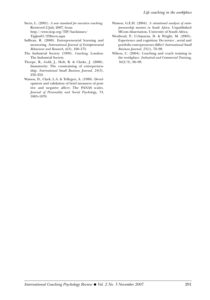- Stern, L. (2001). *A new standard for executive coaching.* Retrieved 2 July, 2007, from: http://www.siop.org/TIP/backissues/ TipJan01/23Stern.aspx
- Sullivan, R. (2000). Entrepreneurial learning and mentoring. *International Journal of Entrepreneurial Behaviour and Research, 6*(3), 160–175.
- The Industrial Society (1999). *Coaching.* London: The Industrial Society.
- Thorpe, R., Gold, J., Holt, R. & Clarke, J. (2006). Immaturity: The constraining of entrepreneuship. *International Small Business Journal, 24*(3), 232–252.
- Watson, D., Clark, L.A. & Tellegen, A. (1988). Development and validation of brief measures of positive and negative affect: The PANAS scales. *Journal of Personality and Social Psychology, 54*, 1063–1070.
- Watson, G.E.H. (2004). *A situational analysis of entrepreneurship mentors in South Africa.* Unpublished MCom dissertation, University of South Africa.
- Westhead, P., Ucbasaran, D. & Wright, M. (2005). Experience and cognition: Do novice , serial and portfolio entrepreneurs differ? *International Small Business Journal, 23*(1), 72–98.
- Wilson, C. (2004). Coaching and coach training in the workplace. *Industrial and Commercial Training, 36*(2/3), 96–98.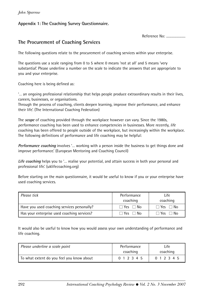# **Appendix 1: The Coaching Survey Questionnaire.**

Reference No: .......................

# **The Procurement of Coaching Services**

The following questions relate to the procurement of coaching services within your enterprise.

The questions use a scale ranging from 0 to 5 where 0 means 'not at all' and 5 means 'very substantial'. Please underline a number on the scale to indicate the answers that are appropriate to you and your enterprise.

Coaching here is being defined as:

'… an ongoing professional relationship that helps people produce extraordinary results in their lives, careers, businesses, or organisations.

Through the process of coaching, clients deepen learning, improve their performance, and enhance their life'. (The International Coaching Federation)

The **scope** of coaching provided through the workplace however can vary. Since the 1980s, *performance* coaching has been used to enhance competencies in businesses. More recently, *life* coaching has been offered to people outside of the workplace, but increasingly within the workplace. The following definitions of performance and life coaching may be helpful:

**Performance coaching** involves '… working with a person inside the business to get things done and improve performance.' (European Mentoring and Coaching Council)

**Life coaching** helps you to '… realise your potential, and attain success in both your personal and professional life.' (uklifecoaching.org)

Before starting on the main questionnaire, it would be useful to know if you or your enterprise have used coaching services.

| l Please tick                               | Performance<br>Life<br>coaching<br>coaching |                      |
|---------------------------------------------|---------------------------------------------|----------------------|
| Have you used coaching services personally? | ⊤Yes ⊓ No                                   | $\Box$ Yes $\Box$ No |
| Has your enterprise used coaching services? | lYes ΠN∩                                    | 1 No<br>$\Box$ Yes   |

It would also be useful to know how you would assess your own understanding of performance and life coaching.

| l Please underline a scale point          | Life<br>Performance |             |
|-------------------------------------------|---------------------|-------------|
|                                           | coaching            | coaching    |
| To what extent do you feel you know about | 0 1 2 3 4 5         | 0 1 2 3 4 5 |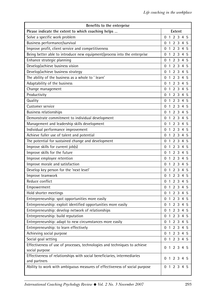| Benefits to the enterprise                                                                  |                |  |  |  |
|---------------------------------------------------------------------------------------------|----------------|--|--|--|
| Please indicate the extent to which coaching helps                                          | Extent         |  |  |  |
| Solve a specific work problem                                                               | 0 1 2 3 4 5    |  |  |  |
| Business performance/survival                                                               | 0 1 2 3 4 5    |  |  |  |
| Improve profit, client service and competitiveness                                          | 0 1 2 3 4 5    |  |  |  |
| Being better able to introduce new equipment/process into the enterprise                    | 0 1 2 3 4 5    |  |  |  |
| Enhance strategic planning                                                                  | 0 1 2 3 4 5    |  |  |  |
| Develop/achieve business vision                                                             | 0 1 2 3 4 5    |  |  |  |
| Develop/achieve business strategy                                                           | 0 1 2 3 4 5    |  |  |  |
| The ability of the business as a whole to 'learn'                                           | 1 2 3 4 5<br>0 |  |  |  |
| Adaptability of the business                                                                | 0 1 2 3 4 5    |  |  |  |
| Change management                                                                           | 0 1 2 3 4 5    |  |  |  |
| Productivity                                                                                | 0 1 2 3 4 5    |  |  |  |
| Quality                                                                                     | 0 1 2 3 4 5    |  |  |  |
| Customer service                                                                            | 0 1 2 3 4 5    |  |  |  |
| <b>Business relationships</b>                                                               | 0 1 2 3 4 5    |  |  |  |
| Demonstrate commitment to individual development                                            | 0 1 2 3 4 5    |  |  |  |
| Management and leadership skills development                                                | 1 2 3 4 5<br>0 |  |  |  |
| Individual performance improvement                                                          | 0 1 2 3 4 5    |  |  |  |
| Achieve fuller use of talent and potential                                                  | 0 1 2 3 4 5    |  |  |  |
| The potential for sustained change and development                                          | 0 1 2 3 4 5    |  |  |  |
| Improve skills for current job(s)                                                           | 0 1 2 3 4 5    |  |  |  |
| Improve skills for the future                                                               | 0 1 2 3 4 5    |  |  |  |
| Improve employee retention                                                                  | 0 1 2 3 4 5    |  |  |  |
| Improve morale and satisfaction                                                             | 0 1 2 3 4 5    |  |  |  |
| Develop key person for the 'next level'                                                     | 1 2 3 4 5<br>0 |  |  |  |
| Improve teamwork                                                                            | 1 2 3 4 5<br>0 |  |  |  |
| Reduce conflict                                                                             | 0 1 2 3 4 5    |  |  |  |
| Empowerment                                                                                 | 0 1 2 3 4 5    |  |  |  |
| Hold shorter meetings                                                                       | 0 1 2 3 4 5    |  |  |  |
| Entrepreneurship: spot opportunities more easily                                            | 1 2 3 4 5<br>0 |  |  |  |
| Entrepreneurship: exploit identified opportunities more easily                              | 0 1 2 3 4 5    |  |  |  |
| Entrepreneurship: develop network of relationships                                          | 0 1 2 3 4 5    |  |  |  |
| Entrepreneurship: build reputation                                                          | 0 1 2 3 4 5    |  |  |  |
| Entrepreneurship: adapt to new circumstances more easily                                    | 0 1 2 3 4 5    |  |  |  |
| Entrepreneurship: to learn effectively                                                      | 0 1 2 3 4 5    |  |  |  |
| Achieving social purpose                                                                    | 0 1 2 3 4 5    |  |  |  |
| Social goal setting                                                                         | 0 1 2 3 4 5    |  |  |  |
| Effectiveness of use of processes, technologies and techniques to achieve<br>social purpose | 0 1 2 3 4 5    |  |  |  |
| Effectiveness of relationships with social beneficiaries, intermediaries                    |                |  |  |  |
| and partners                                                                                | 0 1 2 3 4 5    |  |  |  |
| Ability to work with ambiguous measures of effectiveness of social purpose                  | 0 1 2 3 4 5    |  |  |  |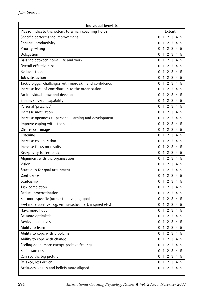| Individual benefits                                          |                        |  |  |  |
|--------------------------------------------------------------|------------------------|--|--|--|
| Please indicate the extent to which coaching helps           | Extent                 |  |  |  |
| Specific performance improvement                             | 0 1 2 3 4 5            |  |  |  |
| Enhance productivity                                         | 0 1 2 3 4 5            |  |  |  |
| Priority setting                                             | 0 1 2 3 4 5            |  |  |  |
| Delegation                                                   | 0 1 2 3 4 5            |  |  |  |
| Balance between home, life and work                          | 0 1 2 3 4 5            |  |  |  |
| Overall effectiveness                                        | 0 1 2 3 4 5            |  |  |  |
| Reduce stress                                                | 0 1 2 3 4 5            |  |  |  |
| Job satisfaction                                             | 0 1 2 3 4 5            |  |  |  |
| Tackle bigger challenges with more skill and confidence      | 0 1 2 3 4 5            |  |  |  |
| Increase level of contribution to the organisation           | 0 1 2 3 4 5            |  |  |  |
| An individual grow and develop                               | 0 1 2 3 4 5            |  |  |  |
| Enhance overall capability                                   | 0 1 2 3 4 5            |  |  |  |
| Personal 'presence'                                          | 0 1 2 3 4 5            |  |  |  |
| Increase motivation                                          | 0 1 2 3 4 5            |  |  |  |
| Increase openness to personal learning and development       | 0 1 2 3 4 5            |  |  |  |
| Improve coping with stress                                   | 1 2 3 4 5<br>0         |  |  |  |
| Clearer self image                                           | 0 1 2 3 4 5            |  |  |  |
| Listening                                                    | 0 1 2 3 4 5            |  |  |  |
| Increase co-operation                                        | 0 1 2 3 4 5            |  |  |  |
| Increase focus on results                                    | 0 1 2 3 4 5            |  |  |  |
| Receptivity to feedback                                      | 0 1 2 3 4 5            |  |  |  |
| Alignment with the organisation                              | 1 2 3<br>- 5<br>0<br>4 |  |  |  |
| Vision                                                       | 0 1 2 3 4 5            |  |  |  |
| Strategies for goal attainment                               | 1 2 3 4 5<br>0         |  |  |  |
| Confidence                                                   | 0 1 2 3 4 5            |  |  |  |
| Leadership                                                   | 0 1 2 3 4 5            |  |  |  |
| Task completion                                              | 0 1 2 3 4 5            |  |  |  |
| Reduce procrastination                                       | 0 1 2 3 4 5            |  |  |  |
| Set more specific (rather than vaque) goals                  | 0 1 2 3 4 5            |  |  |  |
| Feel more positive (e.g. enthusiastic, alert, inspired etc.) | 0 1 2 3 4 5            |  |  |  |
| Have more hope                                               | 0 1 2 3 4 5            |  |  |  |
| Be more optimistic                                           | 0 1 2 3 4 5            |  |  |  |
| Achieve objectives                                           | 0 1 2 3 4 5            |  |  |  |
| Ability to learn                                             | 0 1 2 3 4 5            |  |  |  |
| Ability to cope with problems                                | 0 1 2 3 4 5            |  |  |  |
| Ability to cope with change                                  | 0 1 2 3 4 5            |  |  |  |
| Feeling good, more energy, positive feelings                 | 0 1 2 3 4 5            |  |  |  |
| Self-awareness                                               | 0 1 2 3 4 5            |  |  |  |
| Can see the big picture                                      | 0 1 2 3 4 5            |  |  |  |
| Relaxed, less driven                                         | 0 1 2 3 4 5            |  |  |  |
| Attitudes, values and beliefs more aligned                   | 0 1 2 3 4 5            |  |  |  |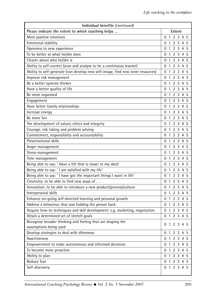| Individual benefits (continued)                                                 |             |
|---------------------------------------------------------------------------------|-------------|
| Please indicate the extent to which coaching helps                              | Extent      |
| More positive emotions                                                          | 0 1 2 3 4 5 |
| <b>Emotional stability</b>                                                      | 0 1 2 3 4 5 |
| Openness to new experience                                                      | 0 1 2 3 4 5 |
| To be better at what he/she does                                                | 0 1 2 3 4 5 |
| Clearer about who he/she is                                                     | 0 1 2 3 4 5 |
| Ability to self-correct (scan and analyse to be a continuous learner)           | 0 1 2 3 4 5 |
| Ability to self-generate (can develop new self-image, find new inner resources) | 0 1 2 3 4 5 |
| Improve risk management                                                         | 0 1 2 3 4 5 |
| Be a better systems thinker                                                     | 0 1 2 3 4 5 |
| Have a better quality of life                                                   | 0 1 2 3 4 5 |
| Be more organised                                                               | 0 1 2 3 4 5 |
| Engagement                                                                      | 0 1 2 3 4 5 |
| Have better family relationships                                                | 0 1 2 3 4 5 |
| Increase energy                                                                 | 0 1 2 3 4 5 |
| Be more fun                                                                     | 0 1 2 3 4 5 |
| The development of values, ethics and integrity                                 | 0 1 2 3 4 5 |
| Courage, risk taking and problem solving                                        | 0 1 2 3 4 5 |
| Commitment, responsibility and accountability                                   | 0 1 2 3 4 5 |
| Presentational skills                                                           | 0 1 2 3 4 5 |
| Anger management                                                                | 0 1 2 3 4 5 |
| Stress management                                                               | 0 1 2 3 4 5 |
| Time management                                                                 | 0 1 2 3 4 5 |
| Being able to say: 'Have a life that is closer to my ideal'                     | 0 1 2 3 4 5 |
| Being able to say: ' I am satisfied with my life'                               | 0 1 2 3 4 5 |
| Being able to say: ' I have got the important things I want in life'            | 0 1 2 3 4 5 |
| Creativity: to be able to find new ways of                                      | 0 1 2 3 4 5 |
| Innovation: to be able to introduce a new product/process/culture               | 0 1 2 3 4 5 |
| Interpersonal skills                                                            | 0 1 2 3 4 5 |
| Enhance on-going self-directed learning and personal growth                     | 0 1 2 3 4 5 |
| Address a behaviour that was holding the person back                            | 0 1 2 3 4 5 |
| Acquire how-to techniques and skill development: e.g. marketing, negotiation    | 0 1 2 3 4 5 |
| Attain a determined set of stretch goals                                        | 0 1 2 3 4 5 |
| Recognise broader thinking and feeling that are shaping the                     | 0 1 2 3 4 5 |
| assumptions being used                                                          |             |
| Develop strategies to deal with dilemmas                                        | 0 1 2 3 4 5 |
| Assertiveness                                                                   | 0 1 2 3 4 5 |
| Empowerment to make autonomous and informed decisions                           | 0 1 2 3 4 5 |
| To become more proactive                                                        | 0 1 2 3 4 5 |
| Ability to plan                                                                 | 0 1 2 3 4 5 |
| Reduce fear                                                                     | 0 1 2 3 4 5 |
| Self-discovery                                                                  | 0 1 2 3 4 5 |
|                                                                                 |             |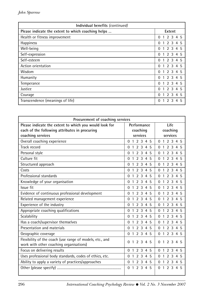| Individual benefits (continued)                    |                                          |  |  |  |
|----------------------------------------------------|------------------------------------------|--|--|--|
| Please indicate the extent to which coaching helps | Extent                                   |  |  |  |
| Health or fitness improvement                      | 1 2 3 4 5<br>$\Omega$                    |  |  |  |
| Happiness                                          | 2 3<br>4 5<br>$\overline{1}$<br>$\Omega$ |  |  |  |
| Well-being                                         | 2 3<br>45<br>0                           |  |  |  |
| Self-expression                                    | 1 2 3<br>45<br>$\Omega$                  |  |  |  |
| Self-esteem                                        | 2 3<br>$\Omega$<br>45                    |  |  |  |
| Action orientation                                 | $1\,2\,3$<br>45<br>0                     |  |  |  |
| Wisdom                                             | $1\,2\,3$<br>$\Omega$<br>45              |  |  |  |
| Humanity                                           | 23<br>45<br>0                            |  |  |  |
| Temperance                                         | $1\,2\,3$<br>4 5<br>$\Omega$             |  |  |  |
| Justice                                            | 2 3<br>4<br>$\Omega$<br>.5               |  |  |  |
| Courage                                            | 2 3<br>45<br>$\Omega$                    |  |  |  |
| Transcendence (meanings of life)                   | 2 3<br>$\Omega$<br>4                     |  |  |  |

| Procurement of coaching services                         |                           |             |  |  |
|----------------------------------------------------------|---------------------------|-------------|--|--|
| Please indicate the extent to which you would look for   | Performance               | Life        |  |  |
| each of the following attributes in procuring            | coaching                  | coaching    |  |  |
| coaching services                                        | services                  | services    |  |  |
| Overall coaching experience                              | 0 1 2 3 4 5               | 0 1 2 3 4 5 |  |  |
| Track record                                             | 1 2 3 4 5<br>0            | 0 1 2 3 4 5 |  |  |
| Personal style                                           | 1 2 3 4 5<br>0            | 0 1 2 3 4 5 |  |  |
| Culture fit                                              | 0 1 2 3 4 5               | 0 1 2 3 4 5 |  |  |
| Structured approach                                      | 1234<br>5<br>0            | 0 1 2 3 4 5 |  |  |
| Costs                                                    | 0 1 2 3 4 5               | 0 1 2 3 4 5 |  |  |
| Professional standards                                   | 1 2 3 4 5<br>$\Omega$     | 0 1 2 3 4 5 |  |  |
| Knowledge of your organisation                           | 1234<br>$\Omega$<br>- 5   | 0 1 2 3 4 5 |  |  |
| Issue fit                                                | 1 2 3 4 5<br>$\Omega$     | 0 1 2 3 4 5 |  |  |
| Evidence of continuous professional development          | 1 2 3 4 5<br>$\Omega$     | 0 1 2 3 4 5 |  |  |
| Related management experience                            | 1 2 3 4 5<br>$\Omega$     | 0 1 2 3 4 5 |  |  |
| Experience of the industry                               | 1 2 3 4 5<br>$\Omega$     | 0 1 2 3 4 5 |  |  |
| Appropriate coaching qualifications                      | 1 2 3 4 5<br>$\Omega$     | 0 1 2 3 4 5 |  |  |
| Scalability                                              | 1 2 3 4 5<br>$\Omega$     | 0 1 2 3 4 5 |  |  |
| Has a coach/supervisor themselves                        | 1 2 3 4 5<br>$\Omega$     | 0 1 2 3 4 5 |  |  |
| Presentation and materials                               | 1 2 3 4 5<br>$\Omega$     | 0 1 2 3 4 5 |  |  |
| Geographic coverage                                      | 1 2 3 4 5<br>$\Omega$     | 0 1 2 3 4 5 |  |  |
| Flexibility of the coach (use range of models, etc., and | 1 2 3 4 5<br>0            | 0 1 2 3 4 5 |  |  |
| work with other coaching organisations)                  |                           |             |  |  |
| Focus on delivering results                              | 1 2 3 4 5<br>$\Omega$     | 0 1 2 3 4 5 |  |  |
| Uses professional body standards, codes of ethics, etc.  | 1 2 3 4 5<br>$\Omega$     | 0 1 2 3 4 5 |  |  |
| Ability to apply a variety of practices/approaches       | 1 2 3 4 5<br>0            | 0 1 2 3 4 5 |  |  |
|                                                          | 1 2 3 4<br>$\Omega$<br>-5 | 0 1 2 3 4 5 |  |  |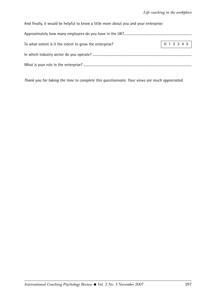And finally, it would be helpful to know a little more about you and your enterprise:

| To what extent is it the intent to grow the enterprise? |  |  |  |
|---------------------------------------------------------|--|--|--|
|                                                         |  |  |  |
|                                                         |  |  |  |

*Thank you for taking the time to complete this questionnaire. Your views are much appreciated.*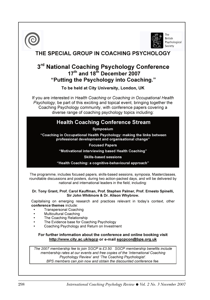



# **THE SPECIAL GROUP IN COACHING PSYCHOLOGY**

# **3rd National Coaching Psychology Conference 17th and 18th December 2007 "Putting the Psychology into Coaching."**

**To be held at City University, London, UK** 

If you are interested in *Health Coaching* or *Coaching in Occupational Health Psychology*, be part of this exciting and topical event, bringing together the Coaching Psychology community, with conference papers covering a diverse range of coaching psychology topics including:

# **Health Coaching Conference Stream**

**Symposium**

 **"Coaching in Occupational Health Psychology: making the links between professional development and organisational change"** 

**Focused Papers**

**"Motivational interviewing based Health Coaching"**

**Skills-based sessions**

**"Health Coaching: a cognitive-behavioural approach"** 

The programme, includes focused papers, skills-based sessions, symposia, Masterclasses, roundtable discussions and posters, during two action-packed days, and will be delivered by national and international leaders in the field, including:

#### **Dr. Tony Grant, Prof. Carol Kauffman, Prof. Stephen Palmer, Prof. Ernesto Spinelli, Sir John Whitmore & Dr. Alison Whybrow.**

Capitalising on emerging research and practices relevant in today's context, other **conference themes** include:

- Transpersonal Coaching
- Multicultural Coaching
- The Coaching Relationship
- The Evidence base for Coaching Psychology
- Coaching Psychology and Return on Investment

#### **For further information about the conference and online booking visit http://www.city.ac.uk/sgcp or e-mail sgcpcon@bps.org.uk**

*The 2007 membership fee to join SGCP is £3.50. SGCP membership benefits include membership rates at our events and free copies of the 'International Coaching Psychology Review' and 'The Coaching Psychologist'. BPS members can join now and obtain the discounted conference fee.*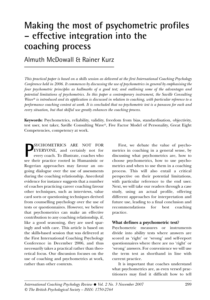# **Making the most of psychometric profiles – effective integration into the coaching process**

Almuth McDowall & Rainer Kurz

*This practical paper is based on a skills session as delivered at the first International Coaching Psychology Conference held in 2006. It commences by discussing the use of psychometrics in general by emphasising the four psychometric principles as hallmarks of a good test; and outlining some of the advantages and potential limitations of psychometrics. In this paper a contemporary instrument, the Saville Consulting Wave® is introduced and its application is discussed in relation to coaching, with particular reference to a performance coaching context at work. It is concluded that no psychometric test is a panacea for each and every situation, but that skilful use greatly enhances the coaching process.*

**Keywords:** Psychometrics, reliability, validity, freedom from bias, standardisation, objectivity, test user, test taker, Saville Consulting Wave®, Five Factor Model of Personality, Great Eight Competencies, competency at work.

**P**SYCHOMETRICS ARE NOT FOR<br>
EVERYONE, and certainly not for<br>
every coach. To illustrate, coaches who<br>
see their practice rooted in Humanistic or SYCHOMETRICS ARE NOT FOR EVERYONE, and certainly not for every coach. To illustrate, coaches who Rogerian approaches may favour an ongoing dialogue over the use of assessments during the coaching relationship. Anecdotal evidence for instance suggests that a number of coaches practicing career coaching favour other techniques, such as interviews, value card sorts or questioning techniques derived from counselling psychology over the use of tests or questionnaires. However, we believe that psychometrics can make an effective contribution to any coaching relationship, if, like a good seasoning, they are used sparingly and with care. This article is based on the skills-based session that was delivered at the First International Coaching Psychology Conference in December 2006, and thus necessarily takes a practical rather than theoretical focus. Our discussion focuses on the use of coaching and psychometrics at work, rather than other contexts.

First, we debate the value of psychometrics in coaching in a general sense, by discussing what psychometrics are, how to choose psychometrics, how to use psychometrics and when to use them in a coaching process. This will also entail a critical perspective on their potential limitations, with particular reference to the end user. Next, we will take our readers through a case study, using an actual profile, offering different approaches for interpretation and future use, leading to a final conclusion and recommendations for best coaching practice.

### **What defines a psychometric test?**

Psychometric measures or instruments divide into ability tests where answers are scored as 'right' or 'wrong' and self-report questionnaires where there are no 'right' or 'wrong' answers. For convenience we will use the term test as shorthand in line with current practice.

It is important that coaches understand what psychometrics are, as even versed practitioners may find it difficult how to tell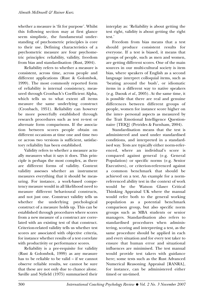whether a measure is 'fit for purpose'. Whilst this following section may at first glance seem simplistic, the fundamental understanding of psychometric principles is core to their use. Defining characteristics of a psychometric measure are four psychometric principles: reliability, validity, freedom from bias and standardisation (Rust, 2004).

Reliability refers to whether a measure is consistent, across time, across people and different applications (Rust & Golombok, 1999). The most commonly reported form of reliability is internal consistency, measured through Cronbach's Coefficient Alpha, which tells us to what extent all items measure the same underlying construct (Cronbach, 1951). Reliability can however be more powerfully established through research procedures such as test re-test or alternate form comparisons. If the association between scores people obtain on different occasions at time one and time two or across two versions is sufficient, satisfactory reliability has been established.

Validity refers to whether a measure actually measures what it says it does. This principle is perhaps the most complex, as there are different forms of validity. Content validity assesses whether an instrument measures everything that it should be measuring. For instance, a work-based competency measure would in all likelihood need to measure different behavioural constructs, and not just one. Construct validity tells us whether the underlying psychological construct of a measure holds up. This can be established through procedures where scores from a new measure of a construct are correlated with an existing test of that construct. Criterion-related validity tells us whether test scores are associated with objective criteria, for instance whether results of a test correlate with productivity or performance scores.

Reliability is a pre-requisite for validity (Rust & Golombok, 1999) as any measure has to be reliable to be valid – if we cannot observe reliable results, we cannot be sure that these are not only due to chance alone. Saville and Nyfield (1975) summarised their interplay as: 'Reliability is about getting the test right, validity is about getting the right test.'

Freedom from bias means that a test should produce consistent results for everyone. If a test is biased, it means that groups of people, such as men and women, are getting different scores. One of the main sources in our multi-cultural society is item bias, where speakers of English as a second language interpret colloquial items, such as 'beating around the bush', or idiomatic items in a different way to native speakers (e.g. Daouk *et al.*, 2005). At the same time, it is possible that there are real and genuine differences between different groups of people, women for instance score higher on the inter- personal aspects as measured by the Trait Emotional Intelligence Questionnaire [TEIQ] (Petrides & Furnham, 2004).

Standardisation means that the test is administered and used under standardised conditions, and interpreted in a standardised way. Tests are typically either norm-referenced, where an individual's score is compared against general (e.g. General Population) or specific norms (e.g. Senior Executives), or criterion-referenced against a common benchmark that should be achieved on a test. An example for a normreferenced ability test in the context of work would be the Watson Glaser Critical Thinking Appraisal UK where the manual would refer both to the general working population as a potential benchmark comparison group, but also specific norm groups such as MBA students or senior managers. Standardisation also refers to standardised procedures when administering, scoring and interpreting a test, as the same procedure should be applied in each and every situation and for every test taker to ensure that human error and situational influences are minimised. The test manual would provide test takers with guidance here; some tests such as the Rust Advanced Numerical Reasoning Appraisal [RANRA], for instance, can be administered either timed or un-timed.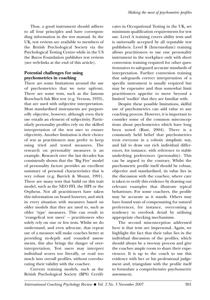Thus, a good instrument should adhere to all four principles and have corresponding information in the test manual. In the UK, test reviews are available to members of the British Psychological Society via the Psychological Testing Centre while in the US the Buros Foundation publishes test reviews (see web-links at the end of this article).

# **Potential challenges for using psychometrics in coaching**

There are some limitations around the use of psychometrics that we note upfront. There are some tests, such as the famous Rorschach Ink Blot test (e.g. Vernon, 1933), that are used with subjective interpretation. Most standardised instruments are purportedly objective, however, although even their use entails an element of subjectivity. Particularly personality profiles rely on the skilled interpretation of the test user to ensure objectivity. Another limitation is their choice of test as practitioners may prefer to keep using tried and tested measures. The research on personality measures is an example. Research over the last decades has consistently shown that the 'Big Five' model of personality factors provides an excellent summary of personal characteristics that is very robust (e.g. Barrick & Mount, 1991). There are many tests that build on this trait model, such as the NEO FFI, the HPI or the Orpheus. Not all practitioners have taken this information on board however, and stick in every situation with measures based on older models that they are used to, such as older 'type' measures. This can result in 'evangelical test users' – practitioners who solely rely on one or few tests. Whilst we do understand, and even advocate, that repeat use of a measure will make coaches better at providing in-depth and rounded assessments, this also brings the danger of overinterpretation. Test users may interpret individual scores too literally, or read too much into overall profiles, without corroborating their validity with the coachee.

Current training models, such as the British Psychological Society (BPS) Certificates in Occupational Testing in the UK, set minimum qualification requirements for test use. Level A training covers ability tests and is universally accepted by all reputable test publishers. Level B (Intermediate) training allows practitioners to use one personality instrument in the workplace only with short conversion training required for other questionnaires to safeguard accurate standards of interpretation. Further conversion training that safeguards correct interpretation of a specific instrument is usually required but may be expensive and thus somewhat limit practitioners appetite to move beyond a limited 'toolkit' that they are familiar with.

Despite these possible limitations, skilful use of psychometrics can add value to any coaching process. However, it is important to consider some of the common misconceptions about psychometrics which have long been noted (Rust, 2004). There is a commonly held belief that psychometrics treat everyone in a robotic simplistic way, and fail to draw out rich individual differences, for instance, with reference to stable underlying preferences (personality). This can be argued to the contrary. Whilst the psychometric profile itself should be robust, objective and standardised, its value lies in the discussion with the coachee, where care is taken to verify this evidence by drawing out relevant examples that illustrate typical behaviours. For some coachees, the profile may be accurate as it stands. Others may have found ways of compensating for natural preferences, for instance, overcoming a tendency to overlook detail by utilising appropriate checking mechanisms.

The second misconception addressed here is that tests are impersonal. Again, we highlight the fact that their value lies in the individual discussion of the profiles, which should always be a two-way process and give the coachee ample room to share their experiences. It is up to the coach to use this evidence with her or his professional judgement and, triangulate with the profile itself to formulate a comprehensive psychometric assessment.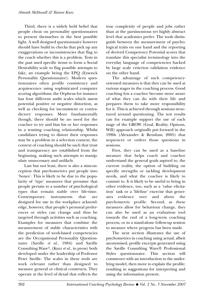Third, there is a widely held belief that people cheat on personality questionnaires to present themselves in the best possible light. A well designed questionnaire however should have build in checks that pick up any exaggerations or inconsistencies that flag to the coach whether this is a problem. Tests in the past used specific items to form a Social Desirability scale to flag possible attempts to fake, an example being the EPQ (Eysenck Personality Questionnaire). Modern questionnaires often profile consistency and acquiescence using sophisticated computer scoring algorithms; the Orpheus for instance has four different audit scales which assess potential positive or negative distortion, as well as checking for inconsistent or contradictory responses. More fundamentally though, there should be no need for the coachee to try and bias his or her responses in a trusting coaching relationship. Whilst candidates trying to distort their responses may be a problem in a selection context, the context of coaching should be such that trust and transparency are established from the beginning, making such attempts to manipulate unnecessary and unlikely.

Last but not least, there is also a misconception that psychometrics put people into 'boxes'. This is likely to be due to the popularity of 'type' measures that presume that people pertain to a number of psychological types that remain stable over life-time. Contemporary instruments that are designed for use in the workplace acknowledge, however, that people's personal preferences or styles can change and thus be targeted through activities such as coaching. Examples for measures that combine the measurement of stable characteristics with the prediction of work-based competencies are the Occupational Personality Questionnaire (Saville *et al.*, 1984) and Saville Consulting Wave®, (Kurz *et al.*, in press) both developed under the leadership of Professor Peter Saville. The scales in these tools are work relevant rather than designed to measure general or clinical constructs. They operate at the level of detail that reflects the true complexity of people and jobs rather than at the parsimonious yet highly abstract level that academics prefer. The tools distinguish between the measurement of psychological traits on one hand and the reporting of derived Competency Potential scores that translate this specialist terminology into the everyday language of competencies backed by large scale criterion validation evidence on the other hand.

The advantage of such competencyoriented measures is that they can be used at various stages in the coaching process. Good coaching lets a coachee become more aware of what they can do with their life and prepares them to take more responsibility for it. This is achieved through sessions structured around questioning. The test results can for example support the use of each stage of the GROW (Goal, Reality, Options, Will) approach originally put forward in the 1980s (Alexander & Renshaw, 2005) that sequences or orders those questions in sessions.

First, they can be used as a baseline measure that helps coach and coachee understand the general goals aspired to, the current reality, the option of building on specific strengths or tackling development needs, and what the coachee is likely to commit to. It is likely to be useful to bring in other evidence, too, such as a 'value elicitation' task or a 'lifeline' exercise that generates evidence over and above the psychometric profile. Second, as these measures allow for behaviour change, they can also be used as an evaluation tool towards the end of a long-term coaching process, or in a stand-alone follow-up session to measure where progress has been made.

The next section illustrates the use of psychometrics in coaching using actual, albeit anonymised, profile excerpts generated using the Saville Consulting Wave® Professional Styles questionnaire. This section will commence with an introduction to the underlying model, then move to explain the profile; resulting in suggestions for interpreting and using the information present.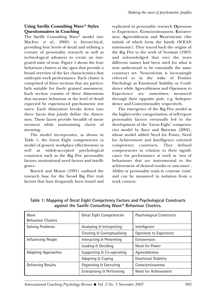## **Using Saville Consulting Wave® Styles Questionnaires in Coaching**

The Saville Consulting Wave® model (see MacIver *et al.*, 2006) is hierarchical, providing four levels of detail and utilising a century of personality research as well as technological advances to create an integrated suite of tests. Figure 1 shows the four behaviour clusters at the apex that provide a broad overview of the key characteristics that underpin work performance. Each cluster is comprised of three sections that are particularly suitable for finely grained assessment. Each section consists of three dimensions that measure behaviour at the level of detail expected by experienced psychometric test users. Each dimension breaks down into three facets that jointly define the dimension. These facets provide breadth of measurement while maintaining clarity of meaning.

The model incorporates, as shown in Table 1, the Great Eight competencies (a model of generic workplace effectiveness) as well as widely-accepted psychological constructs such as the Big Five personality factors, motivational need factors and intelligence.

Barrick and Mount (1991) outlined the research base for the broad Big Five trait factors that have frequently been found and replicated in personality research **O**penness to Experience, **C**onscientiousness, **E**xtraversion, **A**greeableness and **N**euroticism (the initials of which form the handy OCEAN mnemonic). They traced back the origins of the Big Five to the work of Norman (1963) and acknowledged that over the years different names had been used for what is now understood to be essentially the same construct set. Neuroticism is increasingly referred to in the wake of Positive Psychology as Emotional Stability or Confidence while Agreeableness and Openness to Experience are sometimes measured through their opposite pole, e.g. Independence and Conventionality respectively.

The emergence of the Big Five model as the higher-order categorisation of self-report personality factors eventually led to the development of the 'Great Eight' competencies model by Kurz and Bartram (2002), whose model added Need for Power, Need for Achievement and Intelligence oriented competency constructs. They defined competencies in relation to their significance for performance at work as 'sets of behaviours that are instrumental in the achievement of desired results or outcomes'. Ability or personality traits in contrast 'exist' and can be measured in isolation from a work context.

| Wave<br><b>Behaviour Clusters</b> | <b>Great Eight Competencies</b> | <b>Psychological Constructs</b> |
|-----------------------------------|---------------------------------|---------------------------------|
| Solving Problems                  | Analysing & Interpreting        | Intelligence                    |
|                                   | Creating & Conceptualising      | Openness to Experience          |
| Influencing People                | Interacting & Presenting        | Extraversion                    |
|                                   | Leading & Deciding              | Need for Power                  |
| <b>Adapting Approaches</b>        | Supporting & Co-operating       | Agreeableness                   |
|                                   | <b>Adapting &amp; Coping</b>    | <b>Emotional Stability</b>      |
| Delivering Results                | Organising & Executing          | Conscientiousness               |
|                                   | Enterprising & Performing       | Need for Achievement            |

**Table 1: Mapping of Great Eight Competency Factors and Psychological Constructs against the Saville Consulting Wave® Behaviour Clusters.**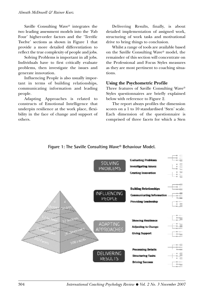Saville Consulting Wave® integrates the two leading assessment models into the 'Fab Four' higher-order factors and the 'Terrific Twelve' sections as shown in Figure 1 that provide a more detailed differentiation to reflect the true complexity of people and jobs.

Solving Problems is important in all jobs. Individuals have to first critically evaluate problems, then investigate the issues and generate innovation.

Influencing People is also usually important in terms of building relationships, communicating information and leading people.

Adapting Approaches is related to constructs of Emotional Intelligence that underpin resilience at the work place, flexibility in the face of change and support of others.

Delivering Results, finally, is about detailed implementation of assigned work, structuring of work tasks and motivational drive to bring things to conclusion.

Whilst a range of tools are available based on the Saville Consulting Wave® model, the remainder of this section will concentrate on the Professional and Focus Styles measures as they are most pertinent to coaching situations.

### **Using the Psychometric Profile**

Three features of Saville Consulting Wave® Styles questionnaires are briefly explained below with reference to Figure 2.

The report always profiles the dimension scores on a 1 to 10 standardised 'Sten' scale. Each dimension of the questionnaire is comprised of three facets for which a Sten

# **Figure 1: The Saville Consulting Wave® Behaviour Model.**

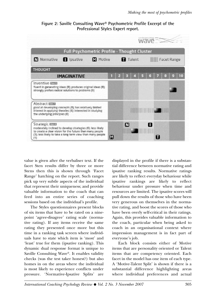

|                                                                                                                                                                                                                      |   |   |               | WH'                     |                          |    |                         |    |
|----------------------------------------------------------------------------------------------------------------------------------------------------------------------------------------------------------------------|---|---|---------------|-------------------------|--------------------------|----|-------------------------|----|
| <b>Full Psychometric Profile - Thought Cluster</b>                                                                                                                                                                   |   |   |               |                         |                          |    |                         |    |
| Normative<br>lpsative<br><b>M</b> Motive                                                                                                                                                                             |   |   | <b>Talent</b> |                         |                          |    | <b>IIII</b> Facet Range |    |
| <b>THOUGHT</b>                                                                                                                                                                                                       |   |   |               |                         |                          |    |                         |    |
| <b>IMAGINATIVE</b>                                                                                                                                                                                                   |   |   |               | $1 \ 2 \ 3 \ 4 \ 5 \ 6$ |                          | 78 |                         | 10 |
| Inventive Esset<br>fluent in generating ideas (8); produces original ideas (8);<br>strongly prefers radical solutions to problems (9)                                                                                |   |   |               |                         |                          |    |                         |    |
| Abstract Bunn<br>good at developing concepts (B); has relatively limited<br>interest in applying theories (4); interested in studying<br>the underlying principles (8)                                               |   |   |               |                         | <b>HIS REAL PROPERTY</b> |    |                         |    |
| Strategic <b>Emis</b><br>moderately inclined to develop strategies (6): less likely<br>to create a clear vision for the future than many people<br>(3); less likely to take a long term view than many people<br>(4) | M | M |               |                         | o                        |    |                         |    |

value is given after the verbaliser text. If the facet Sten results differ by three or more Stens then this is shown through 'Facet Range' hatching on the report. Such ranges pick up very subtle aspects of the individual that represent their uniqueness; and provide valuable information to the coach that can feed into an entire series of coaching sessions based on the individual's profile.

The Styles questionnaires present blocks of six items that have to be rated on a ninepoint 'agree-disagree' rating scale (normative rating). If any items receive the same rating they presented once more but this time in a ranking task screen where individuals have to state which item is 'most' and 'least' true for them (ipsative ranking). This dynamic dual response format is unique to Saville Consulting Wave®. It enables validity checks (was the test taker honest?) but also homes in on the areas where the individual is most likely to experience conflicts under pressure. 'Normative-Ipsative Splits' are displayed in the profile if there is a substantial difference between normative rating and ipsative ranking results. Normative ratings are likely to reflect everyday behaviour while ipsative rankings are likely to reflect behaviour under pressure when time and resources are limited. The ipsative scores will pull down the results of those who have been very generous on themselves in the normative rating, and boost the scores of those who have been overly self-critical in their ratings. Again, this provides valuable information to the coach, particular when being asked to coach in an organisational context where impression management is in fact part of everyone's job.

Each block consists either of Motive items that are personality oriented or Talent items that are competency oriented. Each facet in the model has one item of each type. A 'Motive-Talent Split' is shown if there is a substantial difference highlighting areas where individual preferences and actual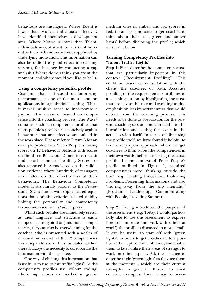behaviours are misaligned. Where Talent is lower than Motive, individuals effectively have identified themselves a development area. Where Motive is lower than Talent, individuals may, at worst, be at risk of burnout as their behaviours are not supported by underlying motivation. This information can also be utilised to good effect in coaching sessions, for instance by conducting a gap analysis ('Where do you think you are at the moment, and where would you like to be?').

### **Using a competency potential profile**

Coaching that is focused on improving performance is one of the most common applications in organisational settings. Thus, it makes intuitive sense to incorporate a psychometric measure focused on competence into the coaching process. The Wave® contains such a competency profile that maps people's preferences concisely against behaviours that are effective and valued in the workplace. Please refer to Figure 3 for an example profile for a 'Peter Purple' showing scores on 12 Behaviour Sections with scores on the three Behaviour Dimensions that sit under each summary heading. Scores are also reported in Stens based on the validation evidence where hundreds of managers were rated on the effectiveness of their behaviours. The Behaviour Competency model is structurally parallel to the Professional Styles model with sophisticated equations that optimise criterion-related validity linking the personality and competency taxonomies (see Kurz *et al.*, in press).

Whilst such profiles are immensely useful, as their language and structure is easily mapped against typical organisational competencies, they can also be overwhelming for the coachee, who is presented with a wealth of information, as each of the 12 competencies has a separate score. Plus, as stated earlier, there is always the necessity to corroborate the information with the coachee.

One way of eliciting this information that is useful is to use 'talent traffic lights'. As the competency profiles use colour coding, where high scores are marked in green, medium ones in amber, and low scores in red; it can be conducive to get coaches to think about their 'red, green and amber lights' before disclosing the profile; which we set out below.

# **Turning Competency Profiles into 'Talent Traffic Lights'**

**Step 1:** First, describe the competency areas that are particularly important in this context ('Requirement Profiling'). This could be based on consultation with the client, the coachee, or both. Accurate profiling of the requirements contributes to a coaching session by highlighting the areas that are key to the role and avoiding undue emphasis on less important areas that would detract from the coaching process. This needs to be done as preparation for the relevant coaching session, and can feed into the introduction and setting the scene in the actual session itself. In terms of discussing the profile itself, we have found it helpful to take a very open approach, where we get coachees to think about the competencies in their own words, before disclosing the actual profile. In the context of Peter Purple's profile outlined in Figure 1, required competencies were 'thinking outside the box' (e.g. Creating Innovation, Evaluating Problems, Presenting Information) and also 'moving away from the silo mentality' (Providing Leadership, Communicating with People, Providing Support).

**Step 2:** Having introduced the purpose of the assessment ('e.g. Today, I would particularly like to use this assessment to explore how you innovate and work with others at work') the profile is discussed in more detail. It can be useful to start off with 'green lights', in order to get coachees into a positive and receptive frame of mind, and enable them to later utilise their areas of strength to work on other aspects. Ask the coachee to describe their 'green lights' as they see them at the moment – which are their current strengths in general? Ensure to elicit concrete examples. Then, it may be neces-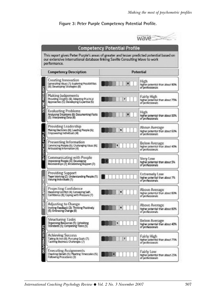# **Figure 3: Peter Purple Competency Potential Profile.**

|                                                                                                                                                                                           | <b>Competency Potential Profile</b> |                                                                      |
|-------------------------------------------------------------------------------------------------------------------------------------------------------------------------------------------|-------------------------------------|----------------------------------------------------------------------|
| This report gives Peter Purple's areas of greater and lesser predicted potential based on<br>our extensive international database linking Saville Consulting Wave to work<br>performance. |                                     |                                                                      |
| <b>Competency Description</b>                                                                                                                                                             |                                     | Potential                                                            |
| Creating Innovation<br>Generating Ideas (7); Exploring Possibilities<br>(8); Developing Strategies (8)                                                                                    |                                     | High<br>higher potential than about 90%<br>of professionals          |
| Making Judgements<br>Providing Insights (B); Adopting Practical<br>Approaches (5): Developing Expertise (6)                                                                               |                                     | Fairly High<br>higher potential than about 75%<br>of professionals   |
| <b>Evaluating Problems</b><br>Analysing Situations (8): Documenting Facts<br>(G): Interpreting Data (B)                                                                                   |                                     | Hıgh<br>higher potential than about 90%<br>of professionals          |
| Providing Leadership<br>Making Decisions (8); Leading People (6);<br>Empowering Individuals (4)                                                                                           |                                     | Above Average<br>higher potential than about 60%<br>of professionals |
| Presenting Information<br>Convincing People (5); Challenging Ideas (6);<br>Articulating Information (4)                                                                                   |                                     | Below Average<br>higher potential than about 40%<br>of professionals |
| Communicating with People<br>Impressing People (3); Developing<br>Relationships (2): Establishing Rapport (2)                                                                             |                                     | Very Low<br>higher potential than about 5%<br>of professionals       |
| Providing Support<br>Team Working (2): Understanding People (1):<br>Valuing Individuals (1)                                                                                               |                                     | Extremely Low<br>higher potential than about 1%<br>of professionals  |
| Projecting Confidence<br>Resolving Conflict (4); Conveying Self-<br>Confidence (6); Coping with Pressure (7)                                                                              |                                     | Above Average<br>higher potential than about 60%<br>of professionals |
| Adjusting to Change<br>Inviting Feedback (3): Thinking Positively<br>(6): Embracing Change (8)                                                                                            |                                     | Above Average<br>higher potential than about 60%<br>of professionals |
| <b>Structuring Tasks</b><br>Organising Resources (S); Upholding<br>Standards (5); Completing Tasks (5)                                                                                    |                                     | Below Average<br>higher potential than about 40%<br>of professionals |
| <b>Achieving Success</b><br>Taking Action (B); Pursuing Goals (7);<br>Tackling Business Challenges (7)                                                                                    |                                     | Fairly High<br>higher potential than about 75%<br>of professonals    |
| <b>Executing Assignments</b><br>Checking Details (5); Meeting Timescales (5);<br>Following Procedures (3)                                                                                 |                                     | Fairly Low<br>higher potential than about 25%<br>of professionals    |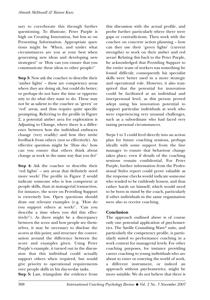sary to corroborate this through further questioning. To illustrate, Peter Purple is high on Creating Innovation, but less so on Presenting Information. Appropriate questions might be 'When, and under what circumstances are you at your best when generating new ideas and developing new strategies?' or 'How can you ensure that you communicate these ideas to other people?'

**Step 3:** Now ask the coachee to describe their 'amber lights' – these are competency areas where they are doing ok, but could do better; or perhaps do not have the time or opportunity to do what they want to do. These may not be as salient to the coachee as 'green' or 'red' areas, and thus require quite specific prompting. Referring to the profile in Figure 2, a potential amber area for exploration is Adjusting to Change, where there is a difference between how the individual embraces change (very readily) and how they invite feedback from others (not so effectively). An effective question might be 'How do/ how can you ensure that others think about change at work in the same way that you do?'

**Step 4:** Ask the coachee to describe their 'red lights' – any areas that definitely need more work? The profile in Figure 2 would indicate someone who is less competent at people skills, than at managerial transaction, for instance, the score on Providing Support is extremely low. Open questions should draw out relevant examples (e.g. 'How do you support others at work?', 'Can you describe a time when you did this effectively?'). As there might be a discrepancy between the score and how people see themselves, it may be necessary to disclose the scores at this point; and structure the conversation around the difference between the score and examples given. Using Peter Purple's example, it turned out in the discussion that this individual could actually support others when required, but would give priority to operational requirements over people skills in his day-to-day tasks. **Step 5:** Last, triangulate the evidence from this discussion with the actual profile, and probe further particularly where there were gaps or contradictions. Then work with the coachee on concrete action planning – how can they use their 'green lights' (current strengths) to work on their amber and red areas? Relating this back to the Peter Purple, he acknowledged that Providing Support to the entire team of workers was something he found difficult; consequently his specialist skills were better used in a more strategic and operational role. However, it also transpired that the potential for innovation could be facilitated at an individual and interpersonal level, as this person proved adept using his innovation potential to support particular individuals at work who were experiencing very unusual challenges, such as a subordinate who had faced very taxing personal circumstances.

Steps 1 to 5 could feed directly into an action plan for future coaching sessions, perhaps ideally with some support from the line manager to ensure that behaviour change takes place; even if details of the coaching sessions remain confidential. For Peter Purple, further information from the Professional Styles report could prove valuable as the response checks would indicate someone who tended to be ruthlessly honest, and thus rather harsh on himself; which would need to be born in mind by the coach, particularly if other individuals in the same organisation were also to receive coaching.

## **Conclusion**

The approach outlined above is of course only one potential application of psychometrics. The Saville Consulting Wave® suite, and particularly the competency profile, is particularly suited to performance coaching in a work context for managerial levels. For other coaching purposes, for instance providing career coaching to young individuals who are about to enter or entering the world of work, a different instrument, or indeed an approach without psychometrics, might be more suitable. We do not believe that there is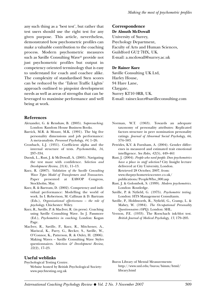any such thing as a 'best test', but rather that test users should use the right test for any given purpose. This article, nevertheless, demonstrated how psychometric profiles can make a valuable contribution to the coaching process. Modern psychometric measures such as Saville Consulting Wave® provide not just psychometric profiles but output in competency oriented terminology that is easy to understand for coach and coachee alike. The complexity of standardised Sten scores can be reduced by the 'Talent Traffic Lights' approach outlined to pinpoint development needs as well as areas of strengths that can be leveraged to maximise performance and well being at work.

#### **Correspondence Dr Almuth McDowall**

University of Surrey, Psychology Department, Faculty of Arts and Human Sciences, Guildford GU2 7HX, UK. E-mail: a.mcdowall@surrey.ac.uk

#### **Dr Rainer Kurz**

Saville Consulting UK Ltd, Harley House, 94 Hare Lane, Claygate, Surrey KT10 0RB, UK. E-mail: rainer.kurz@savilleconsulting.com

#### **References**

- Alexander, G. & Renshaw, B. (2005). *Supercoaching.* London: Random House Business Books.
- Barrick, M.R. & Mount, M.K. (1991). The big five personality dimensions and job performance: A meta-analysis. *Personnel Psychology, 44*, 1–26.
- Cronbach, L.J. (1951). Coefficient alpha and the internal structure of tests. *Psychometrika, 16*, 297–334.
- Daouk, L., Rust, J. & McDowall, A. (2005). Navigating the test maze with confidence. *Selection and Development Review, 21*(4), 11–13.
- Kurz, R. (2007). *Validation of the Saville Consulting Wave Types Model of Transformers and Transactors.* Paper presented at EAWOP Congress, Stockholm, May.
- Kurz, R. & Bartram, D. (2002). Competency and individual performance: Modelling the world of work. In I. Robertson, M. Callinan & D. Bartram (Eds.), *Organizational effectiveness – the role of psychology.* Chichester: Wiley.
- Kurz, R., Saville, P. & MacIver, R. (in press). Coaching using Saville Consulting Wave. In J. Passmore (Ed.), *Psychometrics in coaching.* London: Kogan Page.
- MacIver, R., Saville, P., Kurz, R., Mitchener, A., Mariscal, K., Parry, G., Becker, S., Saville, W., O'Connor, K., Patterson, R. & Oxley, H. (2006). Making Waves – Saville Consulting Wave Styles questionnaires. *Selection & Development Review, 22*(2), 17–23.

#### **Useful weblinks**

Psychological Testing Centre. Website hosted by British Psychological Society: www.psychtesting.org.uk

- Norman, W.T. (1963). Towards an adequate taxonomy of personality attributes: Replicated factors structure in peer nomination personality ratings. *Journal of Abnormal Social Psychology, 66*, 574–583.
- Petrides, K.V. & Furnham, A. (2004). Gender differenes in measured and estimated trait emotional intelligence. *Sex Roles, 42*(5), 449–461
- Rust, J. (2004). *People who need people. Does psychometrics have a place in staff selection?* City Insight lecture delivered at City University, London. Retrieved 28 October, 2007, from: www.thepsychometricscentre.co.uk/ publications/PeopleWho\_000.asp
- Rust, J. & Golombok, S. (1999). *Modern psychometrics.* London: Routledge.
- Saville, P. & Nyfield, G. (1975). *Psychometric testing.* London: HTS Management Consultants.
- Saville, P., Holdsworth, R., Nyfield, G., Cramp, L. & Mabey, W. (1984). *The Occupational Personality Questionnaires (OPQ).* London: SHL.
- Vernon, P.E. (1933). The Rorschach ink-blot test. *British Journal of Medical Psychology, 13*, 179–205.

Buros Library of Mental Measurements: http://www.unl.edu/buros/bimm/html/ library.html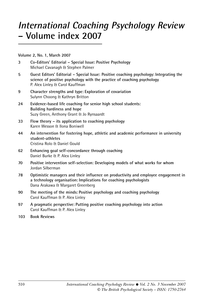# **International Coaching Psychology Review – Volume index 2007**

**Volume 2, No. 1, March 2007**

- **3 Co-Editors' Editorial Special Issue: Positive Psychology** Michael Cavanagh & Stephen Palmer
- **5 Guest Editors' Editorial Special Issue: Positive coaching psychology: Integrating the science of positive psychology with the practice of coaching psychology** P. Alex Linley & Carol Kauffman
- **9 Character strengths and type: Exploration of covariation** Sulynn Choong & Kathryn Britton
- **24 Evidence-based life coaching for senior high school students: Building hardiness and hope** Suzy Green, Anthony Grant & Jo Rynsaardt
- **33 Flow theory its application to coaching psychology** Karen Wesson & Ilona Boniwell
- **44 An intervention for fostering hope, athletic and academic performance in university student-athletes** Cristina Rolo & Daniel Gould
- **62 Enhancing goal self-concordance through coaching** Daniel Burke & P. Alex Linley
- **70 Positive intervention self-selection: Developing models of what works for whom** Jordan Silberman
- **78 Optimistic managers and their influence on productivity and employee engagement in a technology organisation: Implications for coaching psychologists** Dana Arakawa & Margaret Greenberg
- **90 The meeting of the minds: Positive psychology and coaching psychology** Carol Kauffman & P. Alex Linley
- **97 A pragmatic perspective: Putting positive coaching psychology into action** Carol Kauffman & P. Alex Linley
- **103 Book Reviews**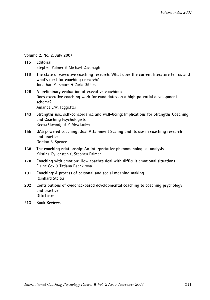#### **Volume 2, No. 2, July 2007**

| 115 Editorial                     |
|-----------------------------------|
| Stephen Palmer & Michael Cavanagh |

- **116 The state of executive coaching research: What does the current literature tell us and what's next for coaching research?** Jonathan Passmore & Carla Gibbes
- **129 A preliminary evaluation of executive coaching: Does executive coaching work for candidates on a high potential development scheme?** Amanda J.W. Feggetter
- **143 Strengths use, self-concordance and well-being: Implications for Strengths Coaching and Coaching Psychologists** Reena Govindji & P. Alex Linley
- **155 GAS powered coaching: Goal Attainment Scaling and its use in coaching research and practice** Gordon B. Spence
- **168 The coaching relationship: An interpretative phenomenological analysis** Kristina Gyllensten & Stephen Palmer
- **178 Coaching with emotion: How coaches deal with difficult emotional situations** Elaine Cox & Tatiana Bachkirova
- **191 Coaching: A process of personal and social meaning making** Reinhard Stelter
- **202 Contributions of evidence-based developmental coaching to coaching psychology and practice** Otto Laske
- **213 Book Reviews**